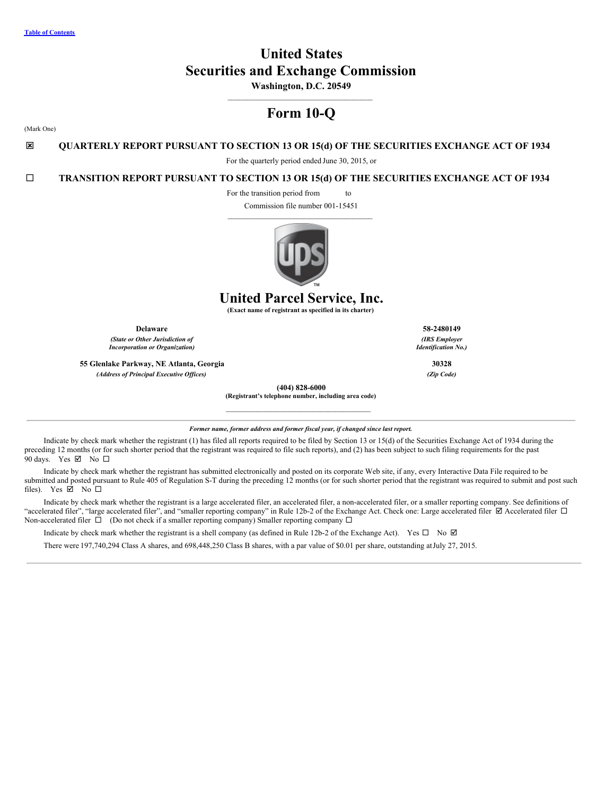# **United States Securities and Exchange Commission**

**Washington, D.C. 20549** \_\_\_\_\_\_\_\_\_\_\_\_\_\_\_\_\_\_\_\_\_\_\_\_\_\_\_\_\_\_\_\_\_\_\_\_\_

# **Form 10-Q**

(Mark One)

# ý **QUARTERLY REPORT PURSUANT TO SECTION 13 OR 15(d) OF THE SECURITIES EXCHANGE ACT OF 1934**

For the quarterly period ended June 30, 2015, or

# ¨ **TRANSITION REPORT PURSUANT TO SECTION 13 OR 15(d) OF THE SECURITIES EXCHANGE ACT OF 1934**

For the transition period from to

Commission file number 001-15451 \_\_\_\_\_\_\_\_\_\_\_\_\_\_\_\_\_\_\_\_\_\_\_\_\_\_\_\_\_\_\_\_\_\_\_\_\_



**United Parcel Service, Inc.**

**(Exact name of registrant as specified in its charter)**

**Delaware 58-2480149**

*(State or Other Jurisdiction of Incorporation or Organization)*

**55 Glenlake Parkway, NE Atlanta, Georgia 30328** *(Address of Principal Executive Of ices) (Zip Code)*

*(IRS Employer Identification No.)*

**(404) 828-6000 (Registrant's telephone number, including area code)**  $\mathcal{L}_\text{max}$  and  $\mathcal{L}_\text{max}$  and  $\mathcal{L}_\text{max}$  and  $\mathcal{L}_\text{max}$ 

*Former name, former address and former fiscal year, if changed since last report.*

Indicate by check mark whether the registrant (1) has filed all reports required to be filed by Section 13 or 15(d) of the Securities Exchange Act of 1934 during the preceding 12 months (or for such shorter period that the registrant was required to file such reports), and (2) has been subject to such filing requirements for the past 90 days. Yes  $\boxtimes$  No  $\square$ 

Indicate by check mark whether the registrant has submitted electronically and posted on its corporate Web site, if any, every Interactive Data File required to be submitted and posted pursuant to Rule 405 of Regulation S-T during the preceding 12 months (or for such shorter period that the registrant was required to submit and post such files). Yes  $\overline{\boxtimes}$  No  $\Box$ 

Indicate by check mark whether the registrant is a large accelerated filer, an accelerated filer, a non-accelerated filer, or a smaller reporting company. See definitions of "accelerated filer", "large accelerated filer", and "smaller reporting company" in Rule 12b-2 of the Exchange Act. Check one: Large accelerated filer  $\Box$  Accelerated filer  $\Box$ Non-accelerated filer  $\Box$  (Do not check if a smaller reporting company) Smaller reporting company  $\Box$ 

Indicate by check mark whether the registrant is a shell company (as defined in Rule 12b-2 of the Exchange Act). Yes  $\Box$  No  $\Box$ 

There were 197,740,294 Class A shares, and 698,448,250 Class B shares, with a par value of \$0.01 per share, outstanding atJuly 27, 2015.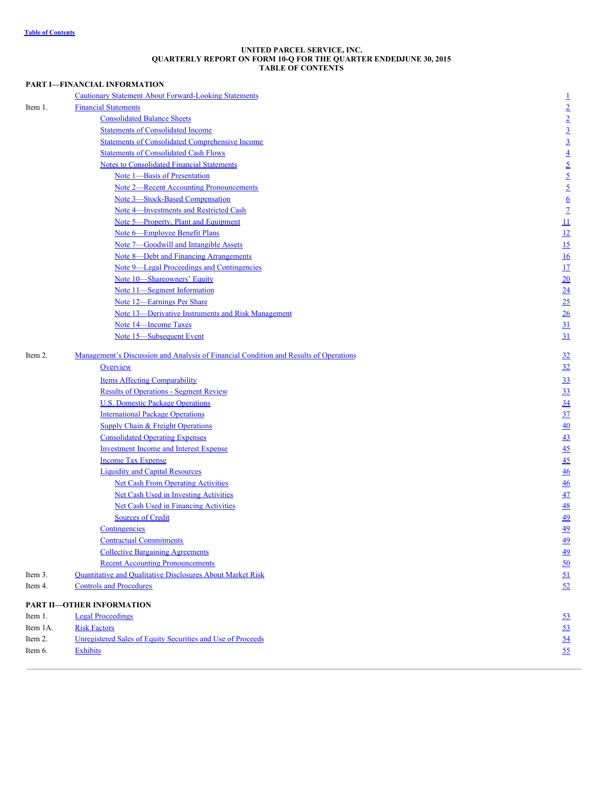#### **UNITED PARCEL SERVICE, INC. QUARTERLY REPORT ON FORM 10-Q FOR THE QUARTER ENDEDJUNE 30, 2015 TABLE OF CONTENTS**

<span id="page-1-0"></span>

|          | PART I-FINANCIAL INFORMATION                                                          |                             |
|----------|---------------------------------------------------------------------------------------|-----------------------------|
|          | <b>Cautionary Statement About Forward-Looking Statements</b>                          |                             |
| Item 1.  | <b>Financial Statements</b>                                                           | $\frac{1}{2}$ $\frac{2}{3}$ |
|          | <b>Consolidated Balance Sheets</b>                                                    |                             |
|          | <b>Statements of Consolidated Income</b>                                              |                             |
|          | <b>Statements of Consolidated Comprehensive Income</b>                                | $\overline{3}$              |
|          | <b>Statements of Consolidated Cash Flows</b>                                          | $\overline{4}$              |
|          | <b>Notes to Consolidated Financial Statements</b>                                     |                             |
|          | Note 1-Basis of Presentation                                                          | $rac{5}{5}$                 |
|          | <b>Note 2—Recent Accounting Pronouncements</b>                                        | $\overline{2}$              |
|          | Note 3—Stock-Based Compensation                                                       | $\overline{6}$              |
|          | Note 4—Investments and Restricted Cash                                                | $\underline{\mathcal{I}}$   |
|          | <u>Note 5—Property, Plant and Equipment</u>                                           | 11                          |
|          | Note 6—Employee Benefit Plans                                                         | 12                          |
|          | Note 7-Goodwill and Intangible Assets                                                 | 15                          |
|          | <b>Note 8-Debt and Financing Arrangements</b>                                         | 16                          |
|          | Note 9—Legal Proceedings and Contingencies                                            | 17                          |
|          | Note 10—Shareowners' Equity                                                           | 20                          |
|          | Note 11-Segment Information                                                           | $\overline{24}$             |
|          | Note 12-Earnings Per Share                                                            | 25                          |
|          | Note 13—Derivative Instruments and Risk Management                                    | 26                          |
|          | Note 14-Income Taxes                                                                  | 31                          |
|          | Note 15-Subsequent Event                                                              | 31                          |
|          |                                                                                       |                             |
| Item 2.  | Management's Discussion and Analysis of Financial Condition and Results of Operations | 32                          |
|          | Overview                                                                              | 32                          |
|          | <b>Items Affecting Comparability</b>                                                  | 33                          |
|          | <b>Results of Operations - Segment Review</b>                                         | $\overline{33}$             |
|          | <b>U.S. Domestic Package Operations</b>                                               | 34                          |
|          | <b>International Package Operations</b>                                               | 37                          |
|          | Supply Chain & Freight Operations                                                     | $\underline{40}$            |
|          | <b>Consolidated Operating Expenses</b>                                                | 43                          |
|          | <b>Investment Income and Interest Expense</b>                                         | 45                          |
|          | <b>Income Tax Expense</b>                                                             | 45                          |
|          | <b>Liquidity and Capital Resources</b>                                                | $\frac{46}{5}$              |
|          | <b>Net Cash From Operating Activities</b>                                             | $\frac{46}{5}$              |
|          | <b>Net Cash Used in Investing Activities</b>                                          | 47                          |
|          | <b>Net Cash Used in Financing Activities</b>                                          | $\frac{48}{1}$              |
|          | <b>Sources of Credit</b>                                                              | 49                          |
|          | Contingencies                                                                         | 49                          |
|          | <b>Contractual Commitments</b>                                                        | 49                          |
|          | <b>Collective Bargaining Agreements</b>                                               | 49                          |
|          | <b>Recent Accounting Pronouncements</b>                                               | 50                          |
| Item 3.  | <b>Quantitative and Qualitative Disclosures About Market Risk</b>                     | 51                          |
| Item 4.  | <b>Controls and Procedures</b>                                                        | 52                          |
|          |                                                                                       |                             |
|          | <b>PART II-OTHER INFORMATION</b>                                                      |                             |
| Item 1.  | <b>Legal Proceedings</b>                                                              | 53                          |
| Item 1A. | <b>Risk Factors</b>                                                                   | 53                          |
| Item 2.  | Unregistered Sales of Equity Securities and Use of Proceeds                           | 54                          |
| Item 6.  | <b>Exhibits</b>                                                                       | 55                          |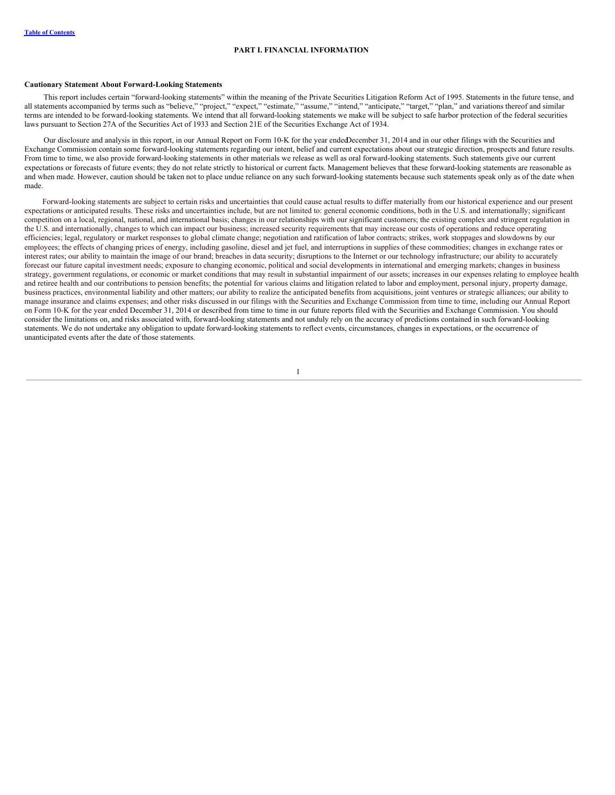### **PART I. FINANCIAL INFORMATION**

### <span id="page-2-0"></span>**Cautionary Statement About Forward-Looking Statements**

This report includes certain "forward-looking statements" within the meaning of the Private Securities Litigation Reform Act of 1995. Statements in the future tense, and all statements accompanied by terms such as "believe," "project," "expect," "estimate," "assume," "intend," "anticipate," "target," "plan," and variations thereof and similar terms are intended to be forward-looking statements. We intend that all forward-looking statements we make will be subject to safe harbor protection of the federal securities laws pursuant to Section 27A of the Securities Act of 1933 and Section 21E of the Securities Exchange Act of 1934.

Our disclosure and analysis in this report, in our Annual Report on Form 10-K for the year endedDecember 31, 2014 and in our other filings with the Securities and Exchange Commission contain some forward-looking statements regarding our intent, belief and current expectations about our strategic direction, prospects and future results. From time to time, we also provide forward-looking statements in other materials we release as well as oral forward-looking statements. Such statements give our current expectations or forecasts of future events; they do not relate strictly to historical or current facts. Management believes that these forward-looking statements are reasonable as and when made. However, caution should be taken not to place undue reliance on any such forward-looking statements because such statements speak only as of the date when made.

Forward-looking statements are subject to certain risks and uncertainties that could cause actual results to differ materially from our historical experience and our present expectations or anticipated results. These risks and uncertainties include, but are not limited to: general economic conditions, both in the U.S. and internationally; significant competition on a local, regional, national, and international basis; changes in our relationships with our significant customers; the existing complex and stringent regulation in the U.S. and internationally, changes to which can impact our business; increased security requirements that may increase our costs of operations and reduce operating efficiencies; legal, regulatory or market responses to global climate change; negotiation and ratification of labor contracts; strikes, work stoppages and slowdowns by our employees; the effects of changing prices of energy, including gasoline, diesel and jet fuel, and interruptions in supplies of these commodities; changes in exchange rates or interest rates; our ability to maintain the image of our brand; breaches in data security; disruptions to the Internet or our technology infrastructure; our ability to accurately forecast our future capital investment needs; exposure to changing economic, political and social developments in international and emerging markets; changes in business strategy, government regulations, or economic or market conditions that may result in substantial impairment of our assets; increases in our expenses relating to employee health and retiree health and our contributions to pension benefits; the potential for various claims and litigation related to labor and employment, personal injury, property damage, business practices, environmental liability and other matters; our ability to realize the anticipated benefits from acquisitions, joint ventures or strategic alliances; our ability to manage insurance and claims expenses; and other risks discussed in our filings with the Securities and Exchange Commission from time to time, including our Annual Report on Form 10-K for the year ended December 31, 2014 or described from time to time in our future reports filed with the Securities and Exchange Commission. You should consider the limitations on, and risks associated with, forward-looking statements and not unduly rely on the accuracy of predictions contained in such forward-looking statements. We do not undertake any obligation to update forward-looking statements to reflect events, circumstances, changes in expectations, or the occurrence of unanticipated events after the date of those statements.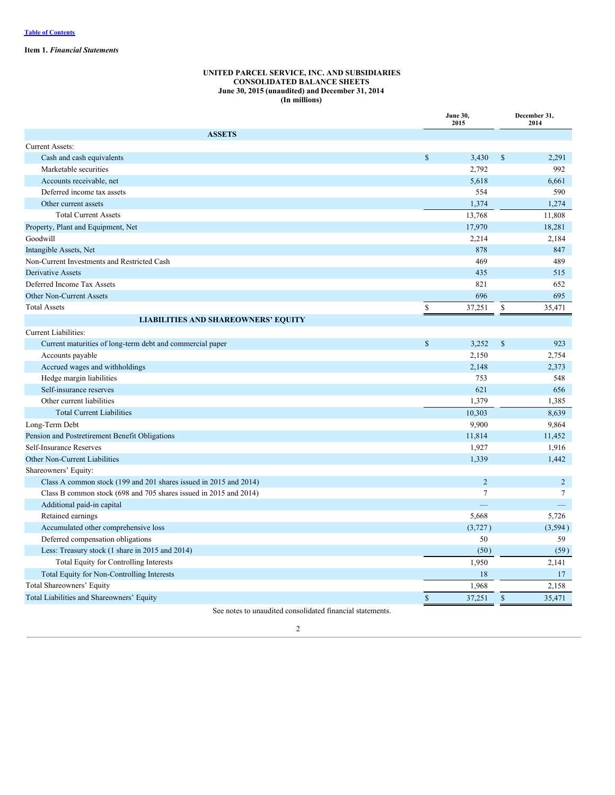<span id="page-3-1"></span><span id="page-3-0"></span>**Item 1.** *Financial Statements*

#### **UNITED PARCEL SERVICE, INC. AND SUBSIDIARIES CONSOLIDATED BALANCE SHEETS June 30, 2015 (unaudited) and December 31, 2014 (In millions)**

|                                                                   | <b>June 30,</b><br>2015 |                |               | December 31,<br>2014 |
|-------------------------------------------------------------------|-------------------------|----------------|---------------|----------------------|
| <b>ASSETS</b>                                                     |                         |                |               |                      |
| <b>Current Assets:</b>                                            |                         |                |               |                      |
| Cash and cash equivalents                                         | $\mathcal{S}$           | 3,430          | $\mathbf S$   | 2,291                |
| Marketable securities                                             |                         | 2,792          |               | 992                  |
| Accounts receivable, net                                          |                         | 5,618          |               | 6,661                |
| Deferred income tax assets                                        |                         | 554            |               | 590                  |
| Other current assets                                              |                         | 1,374          |               | 1,274                |
| <b>Total Current Assets</b>                                       |                         | 13,768         |               | 11,808               |
| Property, Plant and Equipment, Net                                |                         | 17,970         |               | 18,281               |
| Goodwill                                                          |                         | 2,214          |               | 2,184                |
| Intangible Assets, Net                                            |                         | 878            |               | 847                  |
| Non-Current Investments and Restricted Cash                       |                         | 469            |               | 489                  |
| <b>Derivative Assets</b>                                          |                         | 435            |               | 515                  |
| Deferred Income Tax Assets                                        |                         | 821            |               | 652                  |
| <b>Other Non-Current Assets</b>                                   |                         | 696            |               | 695                  |
| <b>Total Assets</b>                                               | $\mathbb{S}$            | 37,251         | $\mathbf S$   | 35,471               |
| <b>LIABILITIES AND SHAREOWNERS' EQUITY</b>                        |                         |                |               |                      |
| <b>Current Liabilities:</b>                                       |                         |                |               |                      |
| Current maturities of long-term debt and commercial paper         | $\mathbb{S}$            | 3.252          | $\mathsf{\$}$ | 923                  |
| Accounts payable                                                  |                         | 2,150          |               | 2,754                |
| Accrued wages and withholdings                                    |                         | 2,148          |               | 2,373                |
| Hedge margin liabilities                                          |                         | 753            |               | 548                  |
| Self-insurance reserves                                           |                         | 621            |               | 656                  |
| Other current liabilities                                         |                         | 1,379          |               | 1,385                |
| <b>Total Current Liabilities</b>                                  |                         | 10,303         |               | 8,639                |
| Long-Term Debt                                                    |                         | 9,900          |               | 9,864                |
| Pension and Postretirement Benefit Obligations                    |                         | 11,814         |               | 11,452               |
| <b>Self-Insurance Reserves</b>                                    |                         | 1,927          |               | 1,916                |
| Other Non-Current Liabilities                                     |                         | 1,339          |               | 1,442                |
| Shareowners' Equity:                                              |                         |                |               |                      |
| Class A common stock (199 and 201 shares issued in 2015 and 2014) |                         | $\overline{2}$ |               | 2                    |
| Class B common stock (698 and 705 shares issued in 2015 and 2014) |                         | $\overline{7}$ |               | $\tau$               |
| Additional paid-in capital                                        |                         |                |               |                      |
| Retained earnings                                                 |                         | 5,668          |               | 5,726                |
| Accumulated other comprehensive loss                              |                         | (3,727)        |               | (3, 594)             |
| Deferred compensation obligations                                 |                         | 50             |               | 59                   |
| Less: Treasury stock (1 share in 2015 and 2014)                   |                         | (50)           |               | (59)                 |
| Total Equity for Controlling Interests                            |                         | 1,950          |               | 2,141                |
| Total Equity for Non-Controlling Interests                        |                         | 18             |               | 17                   |
| Total Shareowners' Equity                                         |                         | 1,968          |               | 2,158                |
| Total Liabilities and Shareowners' Equity                         | $\mathsf{\$}$           | 37,251         | $\mathsf{\$}$ | 35,471               |
|                                                                   |                         |                |               |                      |

See notes to unaudited consolidated financial statements.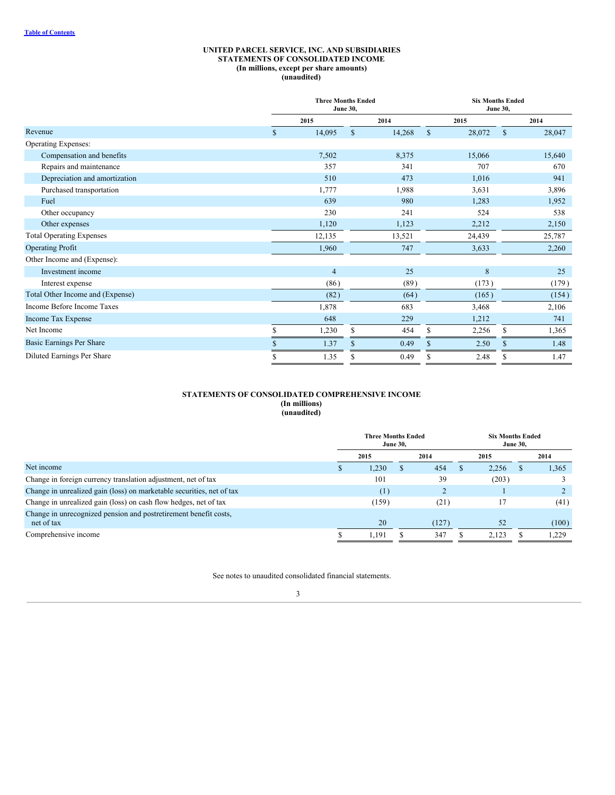# **UNITED PARCEL SERVICE, INC. AND SUBSIDIARIES STATEMENTS OF CONSOLIDATED INCOME (In millions, except per share amounts) (unaudited)**

<span id="page-4-0"></span>

|                                  |              | <b>Three Months Ended</b><br><b>June 30,</b> |              |        |               |         | <b>Six Months Ended</b><br><b>June 30,</b> |        |  |  |
|----------------------------------|--------------|----------------------------------------------|--------------|--------|---------------|---------|--------------------------------------------|--------|--|--|
|                                  |              | 2015                                         |              | 2014   |               | 2015    |                                            | 2014   |  |  |
| Revenue                          | $\mathbb{S}$ | 14,095                                       | $\mathbb{S}$ | 14,268 | $\mathbb{S}$  | 28,072  | $\mathbb{S}$                               | 28,047 |  |  |
| <b>Operating Expenses:</b>       |              |                                              |              |        |               |         |                                            |        |  |  |
| Compensation and benefits        |              | 7,502                                        |              | 8,375  |               | 15,066  |                                            | 15,640 |  |  |
| Repairs and maintenance          |              | 357                                          |              | 341    |               | 707     |                                            | 670    |  |  |
| Depreciation and amortization    |              | 510                                          |              | 473    |               | 1,016   |                                            | 941    |  |  |
| Purchased transportation         |              | 1,777                                        |              | 1,988  |               | 3,631   |                                            | 3,896  |  |  |
| Fuel                             |              | 639                                          |              | 980    |               | 1,283   |                                            | 1,952  |  |  |
| Other occupancy                  |              | 230                                          |              | 241    |               | 524     |                                            | 538    |  |  |
| Other expenses                   |              | 1,120                                        |              | 1,123  |               | 2,212   |                                            | 2,150  |  |  |
| <b>Total Operating Expenses</b>  |              | 12,135                                       |              | 13,521 |               | 24,439  |                                            | 25,787 |  |  |
| <b>Operating Profit</b>          |              | 1,960                                        |              | 747    |               | 3,633   |                                            | 2,260  |  |  |
| Other Income and (Expense):      |              |                                              |              |        |               |         |                                            |        |  |  |
| Investment income                |              | $\overline{4}$                               |              | 25     |               | $\,8\,$ |                                            | 25     |  |  |
| Interest expense                 |              | (86)                                         |              | (89)   |               | (173)   |                                            | (179)  |  |  |
| Total Other Income and (Expense) |              | (82)                                         |              | (64)   |               | (165)   |                                            | (154)  |  |  |
| Income Before Income Taxes       |              | 1,878                                        |              | 683    |               | 3,468   |                                            | 2,106  |  |  |
| Income Tax Expense               |              | 648                                          |              | 229    |               | 1,212   |                                            | 741    |  |  |
| Net Income                       | S            | 1,230                                        | \$           | 454    | <sup>\$</sup> | 2,256   | S                                          | 1,365  |  |  |
| Basic Earnings Per Share         | S            | 1.37                                         | S            | 0.49   | S             | 2.50    | S.                                         | 1.48   |  |  |
| Diluted Earnings Per Share       | \$           | 1.35                                         | S            | 0.49   | \$            | 2.48    | S                                          | 1.47   |  |  |

### **STATEMENTS OF CONSOLIDATED COMPREHENSIVE INCOME (In millions) (unaudited)**

<span id="page-4-1"></span>

|                                                                                | <b>Three Months Ended</b><br><b>June 30,</b> |              |   |       |  | <b>Six Months Ended</b> |  |       |
|--------------------------------------------------------------------------------|----------------------------------------------|--------------|---|-------|--|-------------------------|--|-------|
|                                                                                |                                              | 2014<br>2015 |   | 2015  |  |                         |  |       |
| Net income                                                                     |                                              | 1,230        | ж | 454   |  | 2,256                   |  | 1,365 |
| Change in foreign currency translation adjustment, net of tax                  |                                              | 101          |   | 39    |  | (203)                   |  |       |
| Change in unrealized gain (loss) on marketable securities, net of tax          |                                              | (1)          |   |       |  |                         |  |       |
| Change in unrealized gain (loss) on cash flow hedges, net of tax               |                                              | (159)        |   | (21)  |  | 17                      |  | (41)  |
| Change in unrecognized pension and postretirement benefit costs,<br>net of tax |                                              | 20           |   | (127) |  | 52                      |  | (100) |
| Comprehensive income                                                           |                                              | 1.191        |   | 347   |  | 2.123                   |  | 1.229 |

See notes to unaudited consolidated financial statements.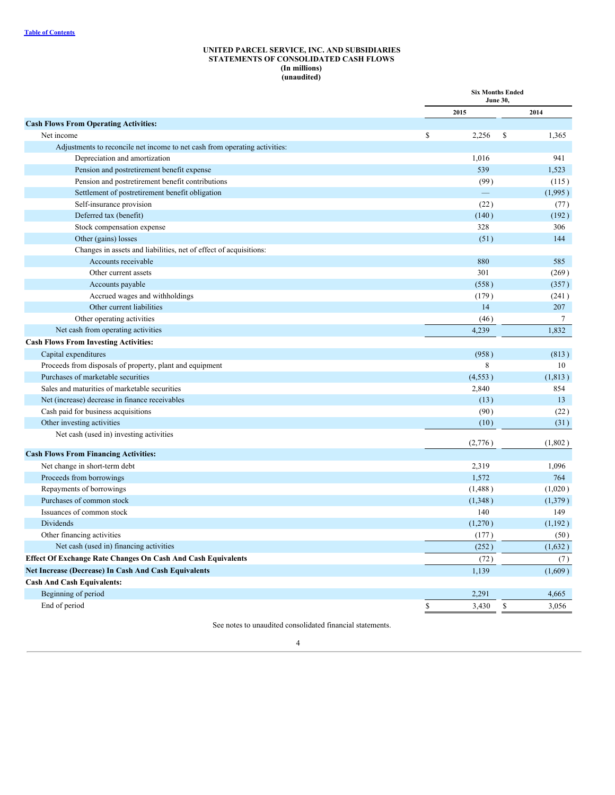#### **UNITED PARCEL SERVICE, INC. AND SUBSIDIARIES STATEMENTS OF CONSOLIDATED CASH FLOWS (In millions) (unaudited)**

<span id="page-5-0"></span>

|                                                                            | <b>Six Months Ended</b><br><b>June 30,</b> |          |  |  |
|----------------------------------------------------------------------------|--------------------------------------------|----------|--|--|
|                                                                            | 2015                                       | 2014     |  |  |
| <b>Cash Flows From Operating Activities:</b>                               |                                            |          |  |  |
| Net income                                                                 | \$<br>2,256<br>S                           | 1,365    |  |  |
| Adjustments to reconcile net income to net cash from operating activities: |                                            |          |  |  |
| Depreciation and amortization                                              | 1,016                                      | 941      |  |  |
| Pension and postretirement benefit expense                                 | 539                                        | 1,523    |  |  |
| Pension and postretirement benefit contributions                           | (99)                                       | (115)    |  |  |
| Settlement of postretirement benefit obligation                            |                                            | (1,995)  |  |  |
| Self-insurance provision                                                   | (22)                                       | (77)     |  |  |
| Deferred tax (benefit)                                                     | (140)                                      | (192)    |  |  |
| Stock compensation expense                                                 | 328                                        | 306      |  |  |
| Other (gains) losses                                                       | (51)                                       | 144      |  |  |
| Changes in assets and liabilities, net of effect of acquisitions:          |                                            |          |  |  |
| Accounts receivable                                                        | 880                                        | 585      |  |  |
| Other current assets                                                       | 301                                        | (269)    |  |  |
| Accounts payable                                                           | (558)                                      | (357)    |  |  |
| Accrued wages and withholdings                                             | (179)                                      | (241)    |  |  |
| Other current liabilities                                                  | 14                                         | 207      |  |  |
| Other operating activities                                                 | (46)                                       | $\tau$   |  |  |
| Net cash from operating activities                                         | 4,239                                      | 1,832    |  |  |
| <b>Cash Flows From Investing Activities:</b>                               |                                            |          |  |  |
| Capital expenditures                                                       | (958)                                      | (813)    |  |  |
| Proceeds from disposals of property, plant and equipment                   | 8                                          | 10       |  |  |
| Purchases of marketable securities                                         | (4, 553)                                   | (1, 813) |  |  |
| Sales and maturities of marketable securities                              | 2,840                                      | 854      |  |  |
| Net (increase) decrease in finance receivables                             | (13)                                       | 13       |  |  |
| Cash paid for business acquisitions                                        | (90)                                       | (22)     |  |  |
| Other investing activities                                                 | (10)                                       | (31)     |  |  |
| Net cash (used in) investing activities                                    |                                            |          |  |  |
|                                                                            | (2,776)                                    | (1,802)  |  |  |
| <b>Cash Flows From Financing Activities:</b>                               |                                            |          |  |  |
| Net change in short-term debt                                              | 2,319                                      | 1,096    |  |  |
| Proceeds from borrowings                                                   | 1,572                                      | 764      |  |  |
| Repayments of borrowings                                                   | (1,488)                                    | (1,020)  |  |  |
| Purchases of common stock                                                  | (1,348)                                    | (1,379)  |  |  |
| Issuances of common stock                                                  | 140                                        | 149      |  |  |
| Dividends                                                                  | (1,270)                                    | (1,192)  |  |  |
| Other financing activities                                                 | (177)                                      | (50)     |  |  |
| Net cash (used in) financing activities                                    | (252)                                      | (1,632)  |  |  |
| <b>Effect Of Exchange Rate Changes On Cash And Cash Equivalents</b>        | (72)                                       |          |  |  |
| Net Increase (Decrease) In Cash And Cash Equivalents                       | 1.139                                      | (7)      |  |  |
|                                                                            |                                            | (1,609)  |  |  |
| <b>Cash And Cash Equivalents:</b>                                          |                                            |          |  |  |
| Beginning of period                                                        | 2,291                                      | 4,665    |  |  |
| End of period                                                              | \$<br>$\mathbb{S}$<br>3,430                | 3,056    |  |  |

See notes to unaudited consolidated financial statements.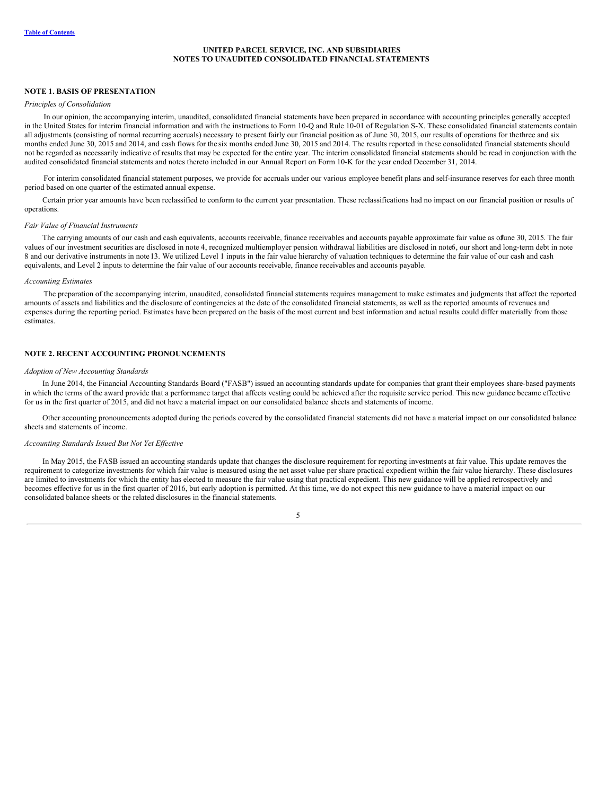# <span id="page-6-1"></span><span id="page-6-0"></span>**NOTE 1. BASIS OF PRESENTATION**

#### *Principles of Consolidation*

In our opinion, the accompanying interim, unaudited, consolidated financial statements have been prepared in accordance with accounting principles generally accepted in the United States for interim financial information and with the instructions to Form 10-Q and Rule 10-01 of Regulation S-X. These consolidated financial statements contain all adjustments (consisting of normal recurring accruals) necessary to present fairly our financial position as of June 30, 2015, our results of operations for the three and six months ended June 30, 2015 and 2014, and cash flows for the six months ended June 30, 2015 and 2014. The results reported in these consolidated financial statements should not be regarded as necessarily indicative of results that may be expected for the entire year. The interim consolidated financial statements should be read in conjunction with the audited consolidated financial statements and notes thereto included in our Annual Report on Form 10-K for the year ended December 31, 2014.

For interim consolidated financial statement purposes, we provide for accruals under our various employee benefit plans and self-insurance reserves for each three month period based on one quarter of the estimated annual expense.

Certain prior year amounts have been reclassified to conform to the current year presentation. These reclassifications had no impact on our financial position or results of operations.

#### *Fair Value of Financial Instruments*

The carrying amounts of our cash and cash equivalents, accounts receivables, finance receivables and accounts payable approximate fair value as of une 30, 2015. The fair values of our investment securities are disclosed in note 4, recognized multiemployer pension withdrawal liabilities are disclosed in note6, our short and long-term debt in note 8 and our derivative instruments in note13. We utilized Level 1 inputs in the fair value hierarchy of valuation techniques to determine the fair value of our cash and cash equivalents, and Level 2 inputs to determine the fair value of our accounts receivable, finance receivables and accounts payable.

#### *Accounting Estimates*

The preparation of the accompanying interim, unaudited, consolidated financial statements requires management to make estimates and judgments that affect the reported amounts of assets and liabilities and the disclosure of contingencies at the date of the consolidated financial statements, as well as the reported amounts of revenues and expenses during the reporting period. Estimates have been prepared on the basis of the most current and best information and actual results could differ materially from those estimates.

# <span id="page-6-2"></span>**NOTE 2. RECENT ACCOUNTING PRONOUNCEMENTS**

#### *Adoption of New Accounting Standards*

In June 2014, the Financial Accounting Standards Board ("FASB") issued an accounting standards update for companies that grant their employees share-based payments in which the terms of the award provide that a performance target that affects vesting could be achieved after the requisite service period. This new guidance became effective for us in the first quarter of 2015, and did not have a material impact on our consolidated balance sheets and statements of income.

Other accounting pronouncements adopted during the periods covered by the consolidated financial statements did not have a material impact on our consolidated balance sheets and statements of income.

#### *Accounting Standards Issued But Not Yet Ef ective*

In May 2015, the FASB issued an accounting standards update that changes the disclosure requirement for reporting investments at fair value. This update removes the requirement to categorize investments for which fair value is measured using the net asset value per share practical expedient within the fair value hierarchy. These disclosures are limited to investments for which the entity has elected to measure the fair value using that practical expedient. This new guidance will be applied retrospectively and becomes effective for us in the first quarter of 2016, but early adoption is permitted. At this time, we do not expect this new guidance to have a material impact on our consolidated balance sheets or the related disclosures in the financial statements.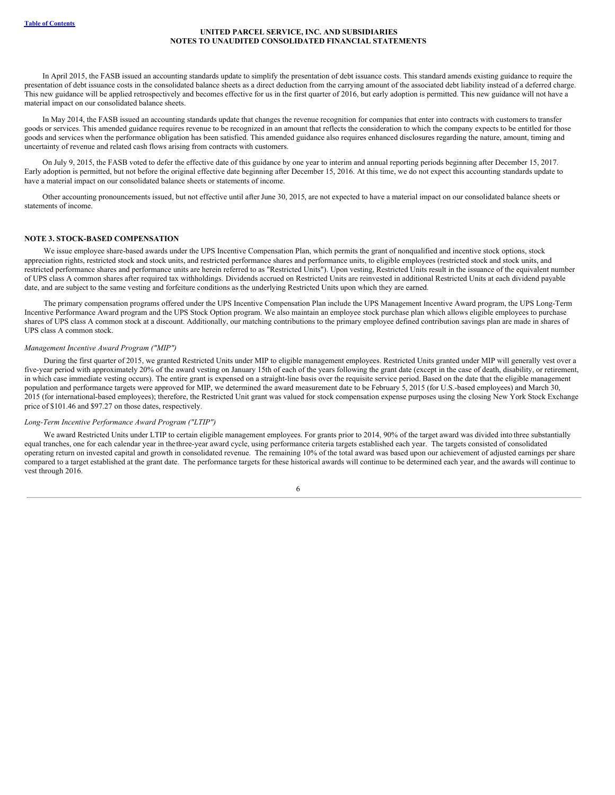In April 2015, the FASB issued an accounting standards update to simplify the presentation of debt issuance costs. This standard amends existing guidance to require the presentation of debt issuance costs in the consolidated balance sheets as a direct deduction from the carrying amount of the associated debt liability instead of a deferred charge. This new guidance will be applied retrospectively and becomes effective for us in the first quarter of 2016, but early adoption is permitted. This new guidance will not have a material impact on our consolidated balance sheets.

In May 2014, the FASB issued an accounting standards update that changes the revenue recognition for companies that enter into contracts with customers to transfer goods or services. This amended guidance requires revenue to be recognized in an amount that reflects the consideration to which the company expects to be entitled for those goods and services when the performance obligation has been satisfied. This amended guidance also requires enhanced disclosures regarding the nature, amount, timing and uncertainty of revenue and related cash flows arising from contracts with customers.

On July 9, 2015, the FASB voted to defer the effective date of this guidance by one year to interim and annual reporting periods beginning after December 15, 2017. Early adoption is permitted, but not before the original effective date beginning after December 15, 2016. At this time, we do not expect this accounting standards update to have a material impact on our consolidated balance sheets or statements of income.

<span id="page-7-0"></span>Other accounting pronouncements issued, but not effective until after June 30, 2015, are not expected to have a material impact on our consolidated balance sheets or statements of income.

#### **NOTE 3. STOCK-BASED COMPENSATION**

We issue employee share-based awards under the UPS Incentive Compensation Plan, which permits the grant of nonqualified and incentive stock options, stock appreciation rights, restricted stock and stock units, and restricted performance shares and performance units, to eligible employees (restricted stock and stock units, and restricted performance shares and performance units are herein referred to as "Restricted Units"). Upon vesting, Restricted Units result in the issuance of the equivalent number of UPS class A common shares after required tax withholdings. Dividends accrued on Restricted Units are reinvested in additional Restricted Units at each dividend payable date, and are subject to the same vesting and forfeiture conditions as the underlying Restricted Units upon which they are earned.

The primary compensation programs offered under the UPS Incentive Compensation Plan include the UPS Management Incentive Award program, the UPS Long-Term Incentive Performance Award program and the UPS Stock Option program. We also maintain an employee stock purchase plan which allows eligible employees to purchase shares of UPS class A common stock at a discount. Additionally, our matching contributions to the primary employee defined contribution savings plan are made in shares of UPS class A common stock.

#### *Management Incentive Award Program ("MIP")*

During the first quarter of 2015, we granted Restricted Units under MIP to eligible management employees. Restricted Units granted under MIP will generally vest over a five-year period with approximately 20% of the award vesting on January 15th of each of the years following the grant date (except in the case of death, disability, or retirement, in which case immediate vesting occurs). The entire grant is expensed on a straight-line basis over the requisite service period. Based on the date that the eligible management population and performance targets were approved for MIP, we determined the award measurement date to be February 5, 2015 (for U.S.-based employees) and March 30, 2015 (for international-based employees); therefore, the Restricted Unit grant was valued for stock compensation expense purposes using the closing New York Stock Exchange price of \$101.46 and \$97.27 on those dates, respectively.

#### *Long-Term Incentive Performance Award Program ("LTIP")*

We award Restricted Units under LTIP to certain eligible management employees. For grants prior to 2014, 90% of the target award was divided into three substantially equal tranches, one for each calendar year in thethree-year award cycle, using performance criteria targets established each year. The targets consisted of consolidated operating return on invested capital and growth in consolidated revenue. The remaining 10% of the total award was based upon our achievement of adjusted earnings per share compared to a target established at the grant date. The performance targets for these historical awards will continue to be determined each year, and the awards will continue to vest through 2016.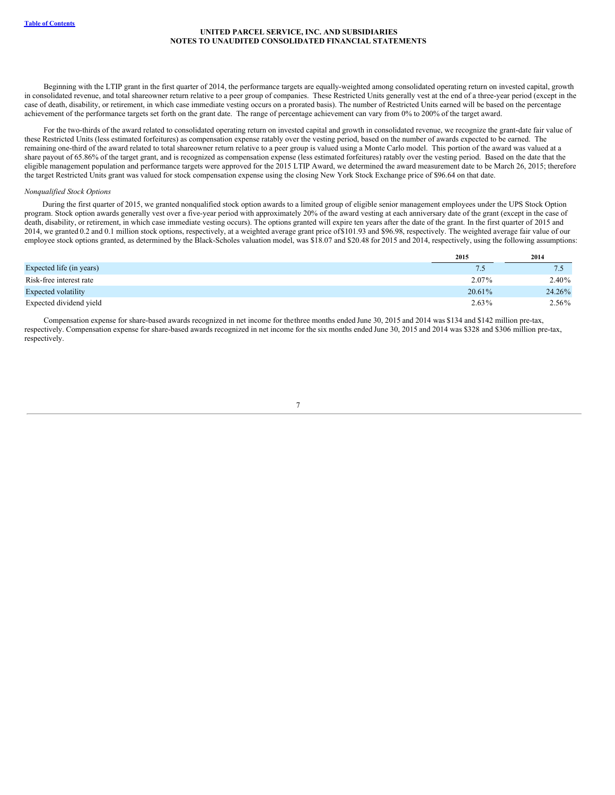Beginning with the LTIP grant in the first quarter of 2014, the performance targets are equally-weighted among consolidated operating return on invested capital, growth in consolidated revenue, and total shareowner return relative to a peer group of companies. These Restricted Units generally vest at the end of a three-year period (except in the case of death, disability, or retirement, in which case immediate vesting occurs on a prorated basis). The number of Restricted Units earned will be based on the percentage achievement of the performance targets set forth on the grant date. The range of percentage achievement can vary from 0% to 200% of the target award.

For the two-thirds of the award related to consolidated operating return on invested capital and growth in consolidated revenue, we recognize the grant-date fair value of these Restricted Units (less estimated forfeitures) as compensation expense ratably over the vesting period, based on the number of awards expected to be earned. The remaining one-third of the award related to total shareowner return relative to a peer group is valued using a Monte Carlo model. This portion of the award was valued at a share payout of 65.86% of the target grant, and is recognized as compensation expense (less estimated forfeitures) ratably over the vesting period. Based on the date that the eligible management population and performance targets were approved for the 2015 LTIP Award, we determined the award measurement date to be March 26, 2015; therefore the target Restricted Units grant was valued for stock compensation expense using the closing New York Stock Exchange price of \$96.64 on that date.

#### *Nonqualified Stock Options*

During the first quarter of 2015, we granted nonqualified stock option awards to a limited group of eligible senior management employees under the UPS Stock Option program. Stock option awards generally vest over a five-year period with approximately 20% of the award vesting at each anniversary date of the grant (except in the case of death, disability, or retirement, in which case immediate vesting occurs). The options granted will expire ten years after the date of the grant. In the first quarter of 2015 and 2014, we granted 0.2 and 0.1 million stock options, respectively, at a weighted average grant price of\$101.93 and \$96.98, respectively. The weighted average fair value of our employee stock options granted, as determined by the Black-Scholes valuation model, was \$18.07 and \$20.48 for 2015 and 2014, respectively, using the following assumptions:

|                            | 2015     | 2014   |
|----------------------------|----------|--------|
| Expected life (in years)   | 7.5      | 7.5    |
| Risk-free interest rate    | 2.07%    | 2.40%  |
| <b>Expected volatility</b> | 20.61%   | 24.26% |
| Expected dividend yield    | $2.63\%$ | 2.56%  |

<span id="page-8-0"></span>Compensation expense for share-based awards recognized in net income for thethree months ended June 30, 2015 and 2014 was \$134 and \$142 million pre-tax, respectively. Compensation expense for share-based awards recognized in net income for the six months ended June 30, 2015 and 2014 was \$328 and \$306 million pre-tax, respectively.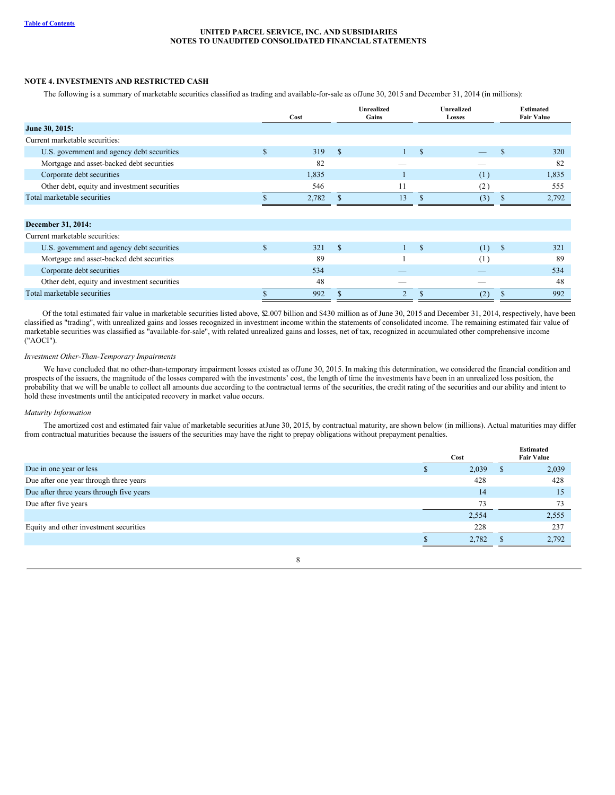### **NOTE 4. INVESTMENTS AND RESTRICTED CASH**

The following is a summary of marketable securities classified as trading and available-for-sale as ofJune 30, 2015 and December 31, 2014 (in millions):

|                                              | Cost         |       | <b>Unrealized</b><br>Gains |                |               | Unrealized<br><b>Losses</b> |               |       | <b>Estimated</b><br><b>Fair Value</b> |
|----------------------------------------------|--------------|-------|----------------------------|----------------|---------------|-----------------------------|---------------|-------|---------------------------------------|
| June 30, 2015:                               |              |       |                            |                |               |                             |               |       |                                       |
| Current marketable securities:               |              |       |                            |                |               |                             |               |       |                                       |
| U.S. government and agency debt securities   | \$           | 319   | <sup>\$</sup>              |                | <sup>\$</sup> |                             | $\mathbb{S}$  | 320   |                                       |
| Mortgage and asset-backed debt securities    |              | 82    |                            |                |               |                             |               | 82    |                                       |
| Corporate debt securities                    |              | 1,835 |                            |                |               | (1)                         |               | 1,835 |                                       |
| Other debt, equity and investment securities |              | 546   |                            | 11             |               | (2)                         |               | 555   |                                       |
| Total marketable securities                  |              | 2,782 |                            | 13             |               | (3)                         |               | 2,792 |                                       |
|                                              |              |       |                            |                |               |                             |               |       |                                       |
| December 31, 2014:                           |              |       |                            |                |               |                             |               |       |                                       |
| Current marketable securities:               |              |       |                            |                |               |                             |               |       |                                       |
| U.S. government and agency debt securities   | $\mathbb{S}$ | 321   | <sup>\$</sup>              |                | <sup>\$</sup> | (1)                         | <sup>\$</sup> | 321   |                                       |
| Mortgage and asset-backed debt securities    |              | 89    |                            |                |               | (1)                         |               | 89    |                                       |
| Corporate debt securities                    |              | 534   |                            |                |               |                             |               | 534   |                                       |
| Other debt, equity and investment securities |              | 48    |                            |                |               | --                          |               | 48    |                                       |
| Total marketable securities                  |              | 992   |                            | $\mathfrak{D}$ |               | (2)                         | Ф             | 992   |                                       |

Of the total estimated fair value in marketable securities listed above, \$2.007 billion and \$430 million as of June 30, 2015 and December 31, 2014, respectively, have been classified as "trading", with unrealized gains and losses recognized in investment income within the statements of consolidated income. The remaining estimated fair value of marketable securities was classified as "available-for-sale", with related unrealized gains and losses, net of tax, recognized in accumulated other comprehensive income ("AOCI").

# *Investment Other-Than-Temporary Impairments*

We have concluded that no other-than-temporary impairment losses existed as ofJune 30, 2015. In making this determination, we considered the financial condition and prospects of the issuers, the magnitude of the losses compared with the investments' cost, the length of time the investments have been in an unrealized loss position, the probability that we will be unable to collect all amounts due according to the contractual terms of the securities, the credit rating of the securities and our ability and intent to hold these investments until the anticipated recovery in market value occurs.

#### *Maturity Information*

The amortized cost and estimated fair value of marketable securities at June 30, 2015, by contractual maturity, are shown below (in millions). Actual maturities may differ from contractual maturities because the issuers of the securities may have the right to prepay obligations without prepayment penalties.

|                                          | Cost  |   | <b>Estimated</b><br><b>Fair Value</b> |
|------------------------------------------|-------|---|---------------------------------------|
| Due in one year or less                  | 2,039 | ъ | 2,039                                 |
| Due after one year through three years   | 428   |   | 428                                   |
| Due after three years through five years | 14    |   | 15                                    |
| Due after five years                     | 73    |   | 73                                    |
|                                          | 2,554 |   | 2,555                                 |
| Equity and other investment securities   | 228   |   | 237                                   |
|                                          | 2.782 |   | 2.792                                 |
|                                          |       |   |                                       |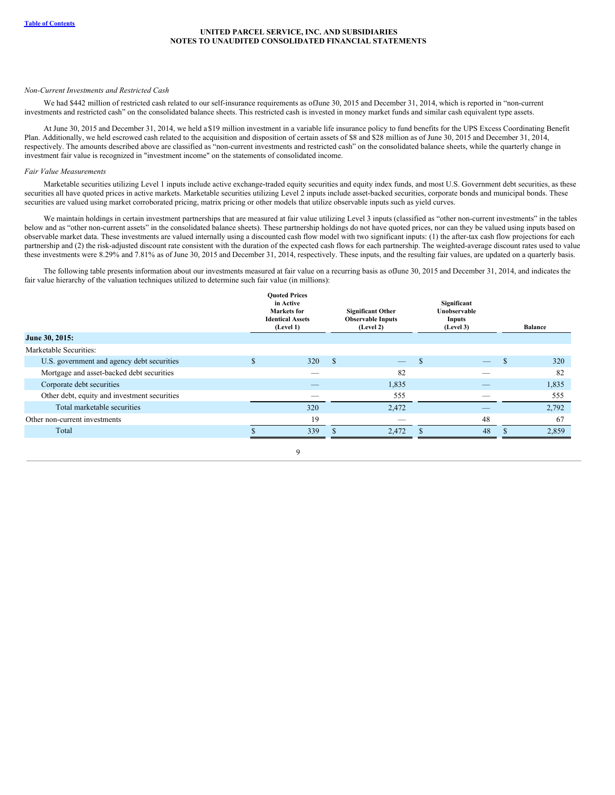#### *Non-Current Investments and Restricted Cash*

We had \$442 million of restricted cash related to our self-insurance requirements as of June 30, 2015 and December 31, 2014, which is reported in "non-current investments and restricted cash" on the consolidated balance sheets. This restricted cash is invested in money market funds and similar cash equivalent type assets.

At June 30, 2015 and December 31, 2014, we held a \$19 million investment in a variable life insurance policy to fund benefits for the UPS Excess Coordinating Benefit Plan. Additionally, we held escrowed cash related to the acquisition and disposition of certain assets of \$8 and \$28 million as of June 30, 2015 and December 31, 2014, respectively. The amounts described above are classified as "non-current investments and restricted cash" on the consolidated balance sheets, while the quarterly change in investment fair value is recognized in "investment income" on the statements of consolidated income.

#### *Fair Value Measurements*

Marketable securities utilizing Level 1 inputs include active exchange-traded equity securities and equity index funds, and most U.S. Government debt securities, as these securities all have quoted prices in active markets. Marketable securities utilizing Level 2 inputs include asset-backed securities, corporate bonds and municipal bonds. These securities are valued using market corroborated pricing, matrix pricing or other models that utilize observable inputs such as yield curves.

We maintain holdings in certain investment partnerships that are measured at fair value utilizing Level 3 inputs (classified as "other non-current investments" in the tables below and as "other non-current assets" in the consolidated balance sheets). These partnership holdings do not have quoted prices, nor can they be valued using inputs based on observable market data. These investments are valued internally using a discounted cash flow model with two significant inputs: (1) the after-tax cash flow projections for each partnership and (2) the risk-adjusted discount rate consistent with the duration of the expected cash flows for each partnership. The weighted-average discount rates used to value these investments were 8.29% and 7.81% as of June 30, 2015 and December 31, 2014, respectively. These inputs, and the resulting fair values, are updated on a quarterly basis.

The following table presents information about our investments measured at fair value on a recurring basis as of June 30, 2015 and December 31, 2014, and indicates the fair value hierarchy of the valuation techniques utilized to determine such fair value (in millions):

|                                              | <b>Ouoted Prices</b><br>in Active<br><b>Markets</b> for<br><b>Identical Assets</b><br>(Level 1) |               | <b>Significant Other</b><br><b>Observable Inputs</b><br>(Level 2) | Significant<br>Unobservable<br>Inputs<br>(Level 3) |    |               | <b>Balance</b> |
|----------------------------------------------|-------------------------------------------------------------------------------------------------|---------------|-------------------------------------------------------------------|----------------------------------------------------|----|---------------|----------------|
| June 30, 2015:                               |                                                                                                 |               |                                                                   |                                                    |    |               |                |
| Marketable Securities:                       |                                                                                                 |               |                                                                   |                                                    |    |               |                |
| U.S. government and agency debt securities   | 320<br>S                                                                                        | <sup>\$</sup> |                                                                   | <sup>\$</sup>                                      |    | <sup>\$</sup> | 320            |
| Mortgage and asset-backed debt securities    |                                                                                                 |               | 82                                                                |                                                    |    |               | 82             |
| Corporate debt securities                    | _                                                                                               |               | 1,835                                                             |                                                    | _  |               | 1,835          |
| Other debt, equity and investment securities |                                                                                                 |               | 555                                                               |                                                    |    |               | 555            |
| Total marketable securities                  | 320                                                                                             |               | 2,472                                                             |                                                    |    |               | 2,792          |
| Other non-current investments                | 19                                                                                              |               |                                                                   |                                                    | 48 |               | 67             |
| Total                                        | 339                                                                                             |               | 2.472                                                             |                                                    | 48 |               | 2,859          |
|                                              |                                                                                                 |               |                                                                   |                                                    |    |               |                |

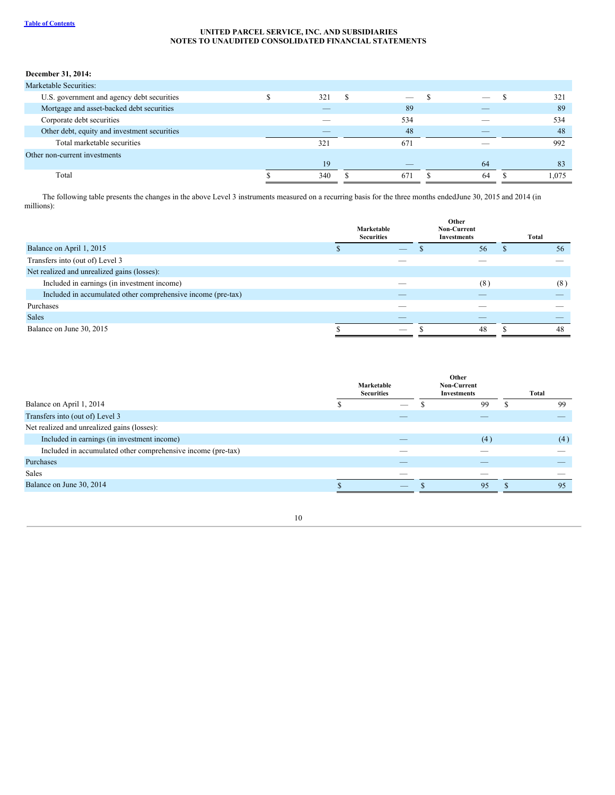**December 31, 2014:**

| Marketable Securities:      |                                                                                                                                                                                                       |     |                          |    |       |
|-----------------------------|-------------------------------------------------------------------------------------------------------------------------------------------------------------------------------------------------------|-----|--------------------------|----|-------|
|                             |                                                                                                                                                                                                       | 321 | $\overline{\phantom{a}}$ | _  | 321   |
|                             |                                                                                                                                                                                                       |     | 89                       |    | 89    |
|                             |                                                                                                                                                                                                       |     | 534                      |    | 534   |
|                             |                                                                                                                                                                                                       | __  | 48                       |    | 48    |
| Total marketable securities |                                                                                                                                                                                                       | 321 | 671                      |    | 992   |
|                             |                                                                                                                                                                                                       |     |                          |    |       |
|                             |                                                                                                                                                                                                       | 19  |                          | 64 | 83    |
| Total                       |                                                                                                                                                                                                       | 340 | 671                      | 64 | 1.075 |
|                             | U.S. government and agency debt securities<br>Mortgage and asset-backed debt securities<br>Corporate debt securities<br>Other debt, equity and investment securities<br>Other non-current investments |     |                          |    |       |

The following table presents the changes in the above Level 3 instruments measured on a recurring basis for the three months endedJune 30, 2015 and 2014 (in millions):

|                                                              |                                 | Other                                    |       |     |
|--------------------------------------------------------------|---------------------------------|------------------------------------------|-------|-----|
|                                                              | Marketable<br><b>Securities</b> | <b>Non-Current</b><br><b>Investments</b> | Total |     |
| Balance on April 1, 2015                                     |                                 | 56                                       | л.    | 56  |
| Transfers into (out of) Level 3                              |                                 |                                          |       |     |
| Net realized and unrealized gains (losses):                  |                                 |                                          |       |     |
| Included in earnings (in investment income)                  |                                 | (8)                                      |       | (8) |
| Included in accumulated other comprehensive income (pre-tax) | _                               | $\overline{\phantom{a}}$                 |       |     |
| Purchases                                                    |                                 |                                          |       |     |
| Sales                                                        |                                 |                                          |       |     |
| Balance on June 30, 2015                                     |                                 | 48                                       |       | 48  |
|                                                              |                                 |                                          |       |     |

| Balance on April 1, 2014<br>99<br>$\overline{\phantom{a}}$<br>۰Β<br>Transfers into (out of) Level 3<br>$\overline{\phantom{a}}$<br>_ |     |
|--------------------------------------------------------------------------------------------------------------------------------------|-----|
|                                                                                                                                      | -99 |
|                                                                                                                                      |     |
| Net realized and unrealized gains (losses):                                                                                          |     |
| Included in earnings (in investment income)<br>(4)<br>$\overline{\phantom{a}}$                                                       | (4) |
| Included in accumulated other comprehensive income (pre-tax)<br>___<br>__                                                            |     |
| Purchases<br>_<br>_                                                                                                                  |     |
| Sales                                                                                                                                |     |
| Balance on June 30, 2014<br>95<br>__                                                                                                 | 95  |

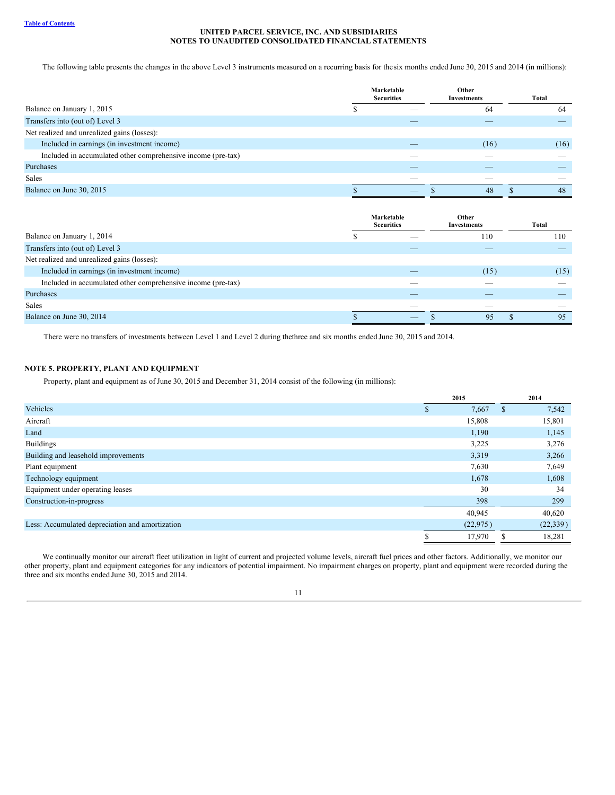The following table presents the changes in the above Level 3 instruments measured on a recurring basis for thesix months ended June 30, 2015 and 2014 (in millions):

|                                                              | Marketable<br><b>Securities</b> |     | Other<br><b>Investments</b> | Total |  |  |
|--------------------------------------------------------------|---------------------------------|-----|-----------------------------|-------|--|--|
| Balance on January 1, 2015                                   |                                 |     | 64                          | 64    |  |  |
| Transfers into (out of) Level 3                              |                                 |     |                             |       |  |  |
| Net realized and unrealized gains (losses):                  |                                 |     |                             |       |  |  |
| Included in earnings (in investment income)                  |                                 |     | (16)                        | (16)  |  |  |
| Included in accumulated other comprehensive income (pre-tax) |                                 | ___ | ___                         |       |  |  |
| Purchases                                                    |                                 |     |                             |       |  |  |
| Sales                                                        |                                 |     |                             |       |  |  |
| Balance on June 30, 2015                                     |                                 | _   | 48                          | 48    |  |  |

|                                                              | Marketable<br><b>Securities</b> |     | Other<br>Investments | Total |
|--------------------------------------------------------------|---------------------------------|-----|----------------------|-------|
| Balance on January 1, 2014                                   |                                 |     | 110                  | 110   |
| Transfers into (out of) Level 3                              |                                 |     | _                    |       |
| Net realized and unrealized gains (losses):                  |                                 |     |                      |       |
| Included in earnings (in investment income)                  |                                 |     | (15)                 | (15)  |
| Included in accumulated other comprehensive income (pre-tax) |                                 | _   | _                    | __    |
| Purchases                                                    |                                 |     |                      |       |
| Sales                                                        |                                 |     |                      |       |
| Balance on June 30, 2014                                     |                                 | $-$ | 95                   | 95    |

There were no transfers of investments between Level 1 and Level 2 during thethree and six months ended June 30, 2015 and 2014.

# <span id="page-12-0"></span>**NOTE 5. PROPERTY, PLANT AND EQUIPMENT**

Property, plant and equipment as of June 30, 2015 and December 31, 2014 consist of the following (in millions):

|                                                 | 2015      |              | 2014      |
|-------------------------------------------------|-----------|--------------|-----------|
| Vehicles                                        | 7,667     | <sup>S</sup> | 7,542     |
| Aircraft                                        | 15,808    |              | 15,801    |
| Land                                            | 1,190     |              | 1,145     |
| <b>Buildings</b>                                | 3,225     |              | 3,276     |
| Building and leasehold improvements             | 3,319     |              | 3,266     |
| Plant equipment                                 | 7,630     |              | 7,649     |
| Technology equipment                            | 1,678     |              | 1,608     |
| Equipment under operating leases                | 30        |              | 34        |
| Construction-in-progress                        | 398       |              | 299       |
|                                                 | 40,945    |              | 40,620    |
| Less: Accumulated depreciation and amortization | (22, 975) |              | (22, 339) |
|                                                 | 17,970    |              | 18,281    |

We continually monitor our aircraft fleet utilization in light of current and projected volume levels, aircraft fuel prices and other factors. Additionally, we monitor our other property, plant and equipment categories for any indicators of potential impairment. No impairment charges on property, plant and equipment were recorded during the three and six months ended June 30, 2015 and 2014.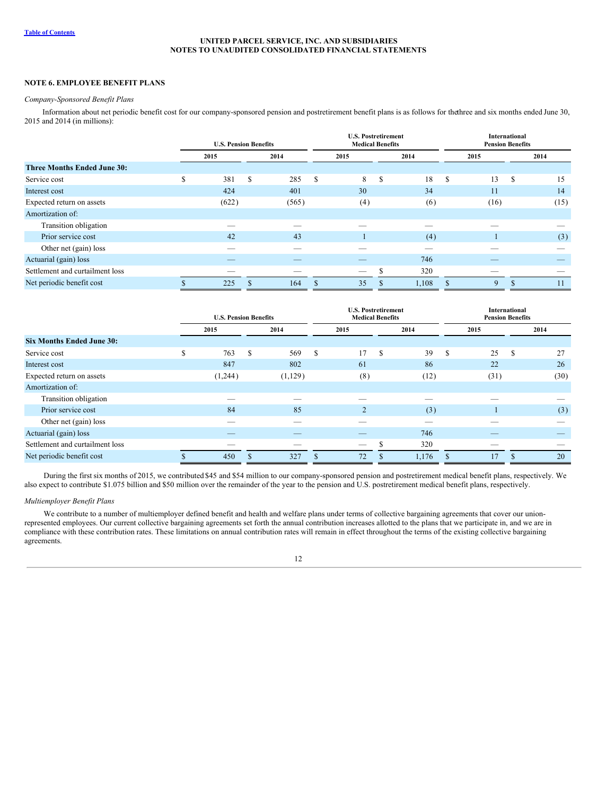# <span id="page-13-0"></span>**NOTE 6. EMPLOYEE BENEFIT PLANS**

# *Company-Sponsored Benefit Plans*

Information about net periodic benefit cost for our company-sponsored pension and postretirement benefit plans is as follows for thethree and six months ended June 30, 2015 and 2014 (in millions):

|                                    | <b>U.S. Pension Benefits</b> |                          |    |       | <b>U.S. Postretirement</b><br><b>Medical Benefits</b> |                                             | <b>International</b><br><b>Pension Benefits</b> |                          |              |                          |               |      |
|------------------------------------|------------------------------|--------------------------|----|-------|-------------------------------------------------------|---------------------------------------------|-------------------------------------------------|--------------------------|--------------|--------------------------|---------------|------|
|                                    |                              | 2015                     |    | 2014  |                                                       | 2015                                        |                                                 | 2014                     |              | 2015                     |               | 2014 |
| <b>Three Months Ended June 30:</b> |                              |                          |    |       |                                                       |                                             |                                                 |                          |              |                          |               |      |
| Service cost                       | S.                           | 381                      | \$ | 285   | S                                                     | 8                                           | S                                               | 18                       | S            | 13                       | S             | 15   |
| Interest cost                      |                              | 424                      |    | 401   |                                                       | 30                                          |                                                 | 34                       |              | 11                       |               | 14   |
| Expected return on assets          |                              | (622)                    |    | (565) |                                                       | (4)                                         |                                                 | (6)                      |              | (16)                     |               | (15) |
| Amortization of:                   |                              |                          |    |       |                                                       |                                             |                                                 |                          |              |                          |               |      |
| Transition obligation              |                              | $\overline{\phantom{a}}$ |    | _     |                                                       | -                                           |                                                 | $\overline{\phantom{a}}$ |              | $\overline{\phantom{a}}$ |               |      |
| Prior service cost                 |                              | 42                       |    | 43    |                                                       |                                             |                                                 | (4)                      |              |                          |               | (3)  |
| Other net (gain) loss              |                              | -                        |    |       |                                                       |                                             |                                                 |                          |              |                          |               |      |
| Actuarial (gain) loss              |                              | _                        |    | _     |                                                       |                                             |                                                 | 746                      |              | _                        |               |      |
| Settlement and curtailment loss    |                              | $\overline{\phantom{a}}$ |    |       |                                                       | $\hspace{1.0cm} \overbrace{\hspace{1.0cm}}$ | ה.                                              | 320                      |              | $\overline{\phantom{a}}$ |               |      |
| Net periodic benefit cost          |                              | 225                      |    | 164   |                                                       | 35                                          |                                                 | 1,108                    | $\mathbf{s}$ | 9                        | $\mathcal{S}$ | 11   |

|                                  | <b>U.S. Pension Benefits</b> |                          |     | <b>U.S. Postretirement</b><br><b>Medical Benefits</b> |                | <b>International</b><br><b>Pension Benefits</b> |       |               |      |    |      |
|----------------------------------|------------------------------|--------------------------|-----|-------------------------------------------------------|----------------|-------------------------------------------------|-------|---------------|------|----|------|
|                                  |                              | 2015                     |     | 2014                                                  | 2015           |                                                 | 2014  |               | 2015 |    | 2014 |
| <b>Six Months Ended June 30:</b> |                              |                          |     |                                                       |                |                                                 |       |               |      |    |      |
| Service cost                     | \$                           | 763                      | \$  | 569                                                   | \$<br>17       | S                                               | 39    | S             | 25   | S  | 27   |
| Interest cost                    |                              | 847                      |     | 802                                                   | 61             |                                                 | 86    |               | 22   |    | 26   |
| Expected return on assets        |                              | (1,244)                  |     | (1,129)                                               | (8)            |                                                 | (12)  |               | (31) |    | (30) |
| Amortization of:                 |                              |                          |     |                                                       |                |                                                 |       |               |      |    |      |
| Transition obligation            |                              | $\overline{\phantom{a}}$ |     | _                                                     | -              |                                                 | -     |               |      |    |      |
| Prior service cost               |                              | 84                       |     | 85                                                    | $\overline{2}$ |                                                 | (3)   |               |      |    | (3)  |
| Other net (gain) loss            |                              | _                        |     |                                                       |                |                                                 |       |               |      |    |      |
| Actuarial (gain) loss            |                              | _                        |     |                                                       |                |                                                 | 746   |               |      |    |      |
| Settlement and curtailment loss  |                              | $\sim$                   |     |                                                       | _              |                                                 | 320   |               |      |    |      |
| Net periodic benefit cost        |                              | 450                      | Эħ. | 327                                                   | 72             |                                                 | 1,176 | <sup>\$</sup> | 17   | Ъ. | 20   |

During the first six months of 2015, we contributed \$45 and \$54 million to our company-sponsored pension and postretirement medical benefit plans, respectively. We also expect to contribute \$1.075 billion and \$50 million over the remainder of the year to the pension and U.S. postretirement medical benefit plans, respectively.

# *Multiemployer Benefit Plans*

We contribute to a number of multiemployer defined benefit and health and welfare plans under terms of collective bargaining agreements that cover our unionrepresented employees. Our current collective bargaining agreements set forth the annual contribution increases allotted to the plans that we participate in, and we are in compliance with these contribution rates. These limitations on annual contribution rates will remain in effect throughout the terms of the existing collective bargaining agreements.

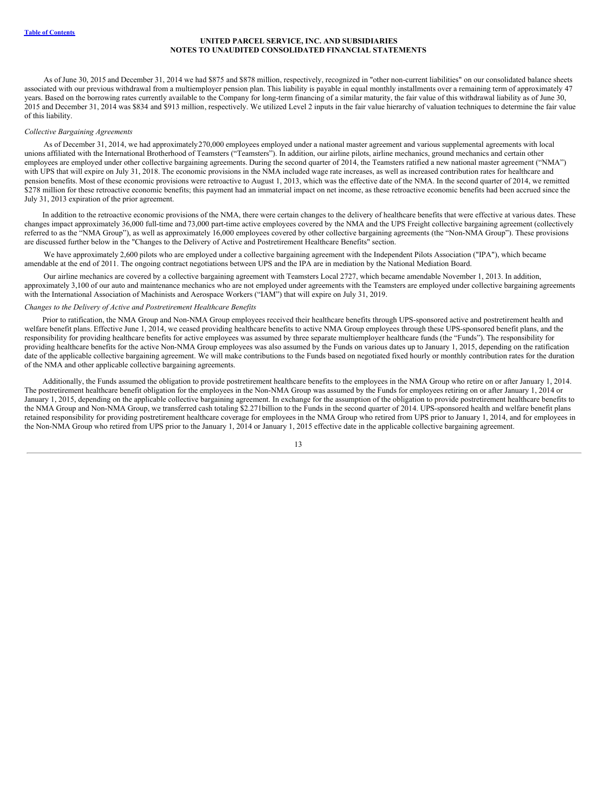As of June 30, 2015 and December 31, 2014 we had \$875 and \$878 million, respectively, recognized in "other non-current liabilities" on our consolidated balance sheets associated with our previous withdrawal from a multiemployer pension plan. This liability is payable in equal monthly installments over a remaining term of approximately 47 years. Based on the borrowing rates currently available to the Company for long-term financing of a similar maturity, the fair value of this withdrawal liability as of June 30, 2015 and December 31, 2014 was \$834 and \$913 million, respectively. We utilized Level 2 inputs in the fair value hierarchy of valuation techniques to determine the fair value of this liability.

#### *Collective Bargaining Agreements*

As of December 31, 2014, we had approximately270,000 employees employed under a national master agreement and various supplemental agreements with local unions affiliated with the International Brotherhood of Teamsters ("Teamsters"). In addition, our airline pilots, airline mechanics, ground mechanics and certain other employees are employed under other collective bargaining agreements. During the second quarter of 2014, the Teamsters ratified a new national master agreement ("NMA") with UPS that will expire on July 31, 2018. The economic provisions in the NMA included wage rate increases, as well as increased contribution rates for healthcare and pension benefits. Most of these economic provisions were retroactive to August 1, 2013, which was the effective date of the NMA. In the second quarter of 2014, we remitted \$278 million for these retroactive economic benefits; this payment had an immaterial impact on net income, as these retroactive economic benefits had been accrued since the July 31, 2013 expiration of the prior agreement.

In addition to the retroactive economic provisions of the NMA, there were certain changes to the delivery of healthcare benefits that were effective at various dates. These changes impact approximately 36,000 full-time and 73,000 part-time active employees covered by the NMA and the UPS Freight collective bargaining agreement (collectively referred to as the "NMA Group"), as well as approximately 16,000 employees covered by other collective bargaining agreements (the "Non-NMA Group"). These provisions are discussed further below in the "Changes to the Delivery of Active and Postretirement Healthcare Benefits" section.

We have approximately 2,600 pilots who are employed under a collective bargaining agreement with the Independent Pilots Association ("IPA"), which became amendable at the end of 2011. The ongoing contract negotiations between UPS and the IPA are in mediation by the National Mediation Board.

Our airline mechanics are covered by a collective bargaining agreement with Teamsters Local 2727, which became amendable November 1, 2013. In addition, approximately 3,100 of our auto and maintenance mechanics who are not employed under agreements with the Teamsters are employed under collective bargaining agreements with the International Association of Machinists and Aerospace Workers ("IAM") that will expire on July 31, 2019.

### *Changes to the Delivery of Active and Postretirement Healthcare Benefits*

Prior to ratification, the NMA Group and Non-NMA Group employees received their healthcare benefits through UPS-sponsored active and postretirement health and welfare benefit plans. Effective June 1, 2014, we ceased providing healthcare benefits to active NMA Group employees through these UPS-sponsored benefit plans, and the responsibility for providing healthcare benefits for active employees was assumed by three separate multiemployer healthcare funds (the "Funds"). The responsibility for providing healthcare benefits for the active Non-NMA Group employees was also assumed by the Funds on various dates up to January 1, 2015, depending on the ratification date of the applicable collective bargaining agreement. We will make contributions to the Funds based on negotiated fixed hourly or monthly contribution rates for the duration of the NMA and other applicable collective bargaining agreements.

Additionally, the Funds assumed the obligation to provide postretirement healthcare benefits to the employees in the NMA Group who retire on or after January 1, 2014. The postretirement healthcare benefit obligation for the employees in the Non-NMA Group was assumed by the Funds for employees retiring on or after January 1, 2014 or January 1, 2015, depending on the applicable collective bargaining agreement. In exchange for the assumption of the obligation to provide postretirement healthcare benefits to the NMA Group and Non-NMA Group, we transferred cash totaling \$2.271billion to the Funds in the second quarter of 2014. UPS-sponsored health and welfare benefit plans retained responsibility for providing postretirement healthcare coverage for employees in the NMA Group who retired from UPS prior to January 1, 2014, and for employees in the Non-NMA Group who retired from UPS prior to the January 1, 2014 or January 1, 2015 effective date in the applicable collective bargaining agreement.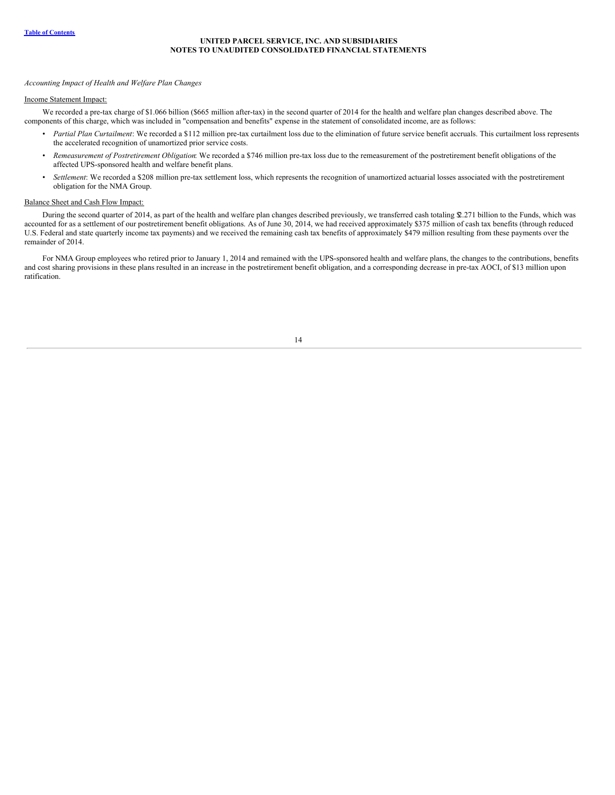# *Accounting Impact of Health and Welfare Plan Changes*

#### Income Statement Impact:

We recorded a pre-tax charge of \$1.066 billion (\$665 million after-tax) in the second quarter of 2014 for the health and welfare plan changes described above. The components of this charge, which was included in "compensation and benefits" expense in the statement of consolidated income, are as follows:

- *Partial Plan Curtailment*: We recorded a \$112 million pre-tax curtailment loss due to the elimination of future service benefit accruals. This curtailment loss represents the accelerated recognition of unamortized prior service costs.
- *Remeasurement of Postretirement Obligation*: We recorded a \$746 million pre-tax loss due to the remeasurement of the postretirement benefit obligations of the affected UPS-sponsored health and welfare benefit plans.
- *Settlement*: We recorded a \$208 million pre-tax settlement loss, which represents the recognition of unamortized actuarial losses associated with the postretirement obligation for the NMA Group.

#### Balance Sheet and Cash Flow Impact:

During the second quarter of 2014, as part of the health and welfare plan changes described previously, we transferred cash totaling \$2.271 billion to the Funds, which was accounted for as a settlement of our postretirement benefit obligations. As of June 30, 2014, we had received approximately \$375 million of cash tax benefits (through reduced U.S. Federal and state quarterly income tax payments) and we received the remaining cash tax benefits of approximately \$479 million resulting from these payments over the remainder of 2014.

For NMA Group employees who retired prior to January 1, 2014 and remained with the UPS-sponsored health and welfare plans, the changes to the contributions, benefits and cost sharing provisions in these plans resulted in an increase in the postretirement benefit obligation, and a corresponding decrease in pre-tax AOCI, of \$13 million upon ratification.

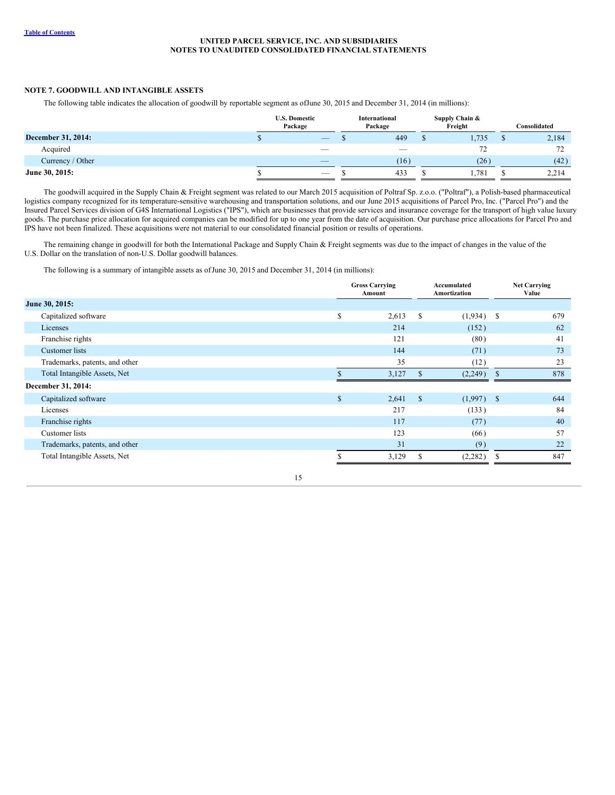# <span id="page-16-0"></span>**NOTE 7. GOODWILL AND INTANGIBLE ASSETS**

The following table indicates the allocation of goodwill by reportable segment as ofJune 30, 2015 and December 31, 2014 (in millions):

|                           | <b>U.S. Domestic</b><br>Package |                                 | International<br>Package | Supply Chain &<br>Freight |       |  | Consolidated |  |  |
|---------------------------|---------------------------------|---------------------------------|--------------------------|---------------------------|-------|--|--------------|--|--|
| <b>December 31, 2014:</b> |                                 | $\overline{\phantom{a}}$        | 449                      |                           | 1,735 |  | 2,184        |  |  |
| Acquired                  |                                 | $\overline{\phantom{a}}$        |                          |                           | 72    |  | 72           |  |  |
| Currency / Other          |                                 | $\overline{\phantom{a}}$        | (16)                     |                           | (26)  |  | (42)         |  |  |
| June 30, 2015:            |                                 | $\hspace{0.1mm}-\hspace{0.1mm}$ | 433                      |                           | 1,781 |  | 2,214        |  |  |

The goodwill acquired in the Supply Chain & Freight segment was related to our March 2015 acquisition of Poltraf Sp. z.o.o. ("Poltraf"), a Polish-based pharmaceutical logistics company recognized for its temperature-sensitive warehousing and transportation solutions, and our June 2015 acquisitions of Parcel Pro, Inc. ("Parcel Pro") and the Insured Parcel Services division of G4S International Logistics ("IPS"), which are businesses that provide services and insurance coverage for the transport of high value luxury goods. The purchase price allocation for acquired companies can be modified for up to one year from the date of acquisition. Our purchase price allocations for Parcel Pro and IPS have not been finalized. These acquisitions were not material to our consolidated financial position or results of operations.

The remaining change in goodwill for both the International Package and Supply Chain & Freight segments was due to the impact of changes in the value of the U.S. Dollar on the translation of non-U.S. Dollar goodwill balances.

The following is a summary of intangible assets as ofJune 30, 2015 and December 31, 2014 (in millions):

|                                |              | <b>Gross Carrying</b><br>Amount | Accumulated<br>Amortization |              |  | <b>Net Carrying</b><br>Value |
|--------------------------------|--------------|---------------------------------|-----------------------------|--------------|--|------------------------------|
| June 30, 2015:                 |              |                                 |                             |              |  |                              |
| Capitalized software           | S            | 2,613                           | S                           | $(1,934)$ \$ |  | 679                          |
| Licenses                       |              | 214                             |                             | (152)        |  | 62                           |
| Franchise rights               |              | 121                             |                             | (80)         |  | 41                           |
| Customer lists                 |              | 144                             |                             | (71)         |  | 73                           |
| Trademarks, patents, and other |              | 35                              |                             | (12)         |  | 23                           |
| Total Intangible Assets, Net   |              | 3,127                           |                             | (2,249)      |  | 878                          |
| December 31, 2014:             |              |                                 |                             |              |  |                              |
| Capitalized software           | $\mathbb{S}$ | 2,641                           | $\mathbb{S}$                | $(1,997)$ \$ |  | 644                          |
| Licenses                       |              | 217                             |                             | (133)        |  | 84                           |
| Franchise rights               |              | 117                             |                             | (77)         |  | 40                           |
| Customer lists                 |              | 123                             |                             | (66)         |  | 57                           |
| Trademarks, patents, and other |              | 31                              |                             | (9)          |  | 22                           |
| Total Intangible Assets, Net   |              | 3,129                           | S                           | (2,282)      |  | 847                          |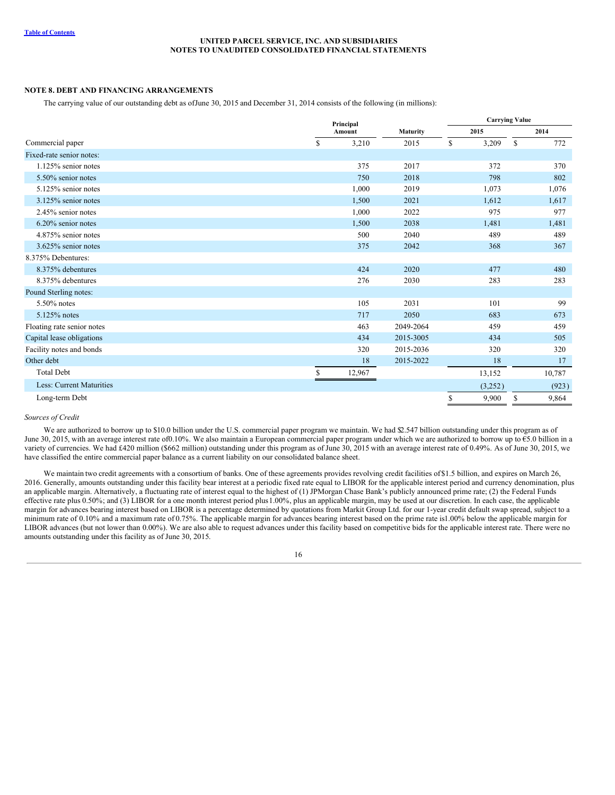# <span id="page-17-0"></span>**NOTE 8. DEBT AND FINANCING ARRANGEMENTS**

The carrying value of our outstanding debt as ofJune 30, 2015 and December 31, 2014 consists of the following (in millions):

|                                 |    | Principal |           |    |         | <b>Carrying Value</b> |        |
|---------------------------------|----|-----------|-----------|----|---------|-----------------------|--------|
|                                 |    | Amount    | Maturity  |    | 2015    |                       | 2014   |
| Commercial paper                | S  | 3,210     | 2015      | S  | 3,209   | $\mathbb{S}$          | 772    |
| Fixed-rate senior notes:        |    |           |           |    |         |                       |        |
| 1.125% senior notes             |    | 375       | 2017      |    | 372     |                       | 370    |
| 5.50% senior notes              |    | 750       | 2018      |    | 798     |                       | 802    |
| 5.125% senior notes             |    | 1,000     | 2019      |    | 1,073   |                       | 1,076  |
| 3.125% senior notes             |    | 1,500     | 2021      |    | 1,612   |                       | 1,617  |
| 2.45% senior notes              |    | 1,000     | 2022      |    | 975     |                       | 977    |
| 6.20% senior notes              |    | 1,500     | 2038      |    | 1,481   |                       | 1,481  |
| 4.875% senior notes             |    | 500       | 2040      |    | 489     |                       | 489    |
| 3.625% senior notes             |    | 375       | 2042      |    | 368     |                       | 367    |
| 8.375% Debentures:              |    |           |           |    |         |                       |        |
| 8.375% debentures               |    | 424       | 2020      |    | 477     |                       | 480    |
| 8.375% debentures               |    | 276       | 2030      |    | 283     |                       | 283    |
| Pound Sterling notes:           |    |           |           |    |         |                       |        |
| 5.50% notes                     |    | 105       | 2031      |    | 101     |                       | 99     |
| 5.125% notes                    |    | 717       | 2050      |    | 683     |                       | 673    |
| Floating rate senior notes      |    | 463       | 2049-2064 |    | 459     |                       | 459    |
| Capital lease obligations       |    | 434       | 2015-3005 |    | 434     |                       | 505    |
| Facility notes and bonds        |    | 320       | 2015-2036 |    | 320     |                       | 320    |
| Other debt                      |    | 18        | 2015-2022 |    | 18      |                       | 17     |
| <b>Total Debt</b>               | S. | 12,967    |           |    | 13,152  |                       | 10,787 |
| <b>Less: Current Maturities</b> |    |           |           |    | (3,252) |                       | (923)  |
| Long-term Debt                  |    |           |           | \$ | 9,900   | \$                    | 9,864  |
|                                 |    |           |           |    |         |                       |        |

#### *Sources of Credit*

We are authorized to borrow up to \$10.0 billion under the U.S. commercial paper program we maintain. We had \$2.547 billion outstanding under this program as of June 30, 2015, with an average interest rate of0.10%. We also maintain a European commercial paper program under which we are authorized to borrow up to €5.0 billion in a variety of currencies. We had £420 million (\$662 million) outstanding under this program as of June 30, 2015 with an average interest rate of 0.49%. As of June 30, 2015, we have classified the entire commercial paper balance as a current liability on our consolidated balance sheet.

We maintain two credit agreements with a consortium of banks. One of these agreements provides revolving credit facilities of \$1.5 billion, and expires on March 26, 2016. Generally, amounts outstanding under this facility bear interest at a periodic fixed rate equal to LIBOR for the applicable interest period and currency denomination, plus an applicable margin. Alternatively, a fluctuating rate of interest equal to the highest of (1) JPMorgan Chase Bank's publicly announced prime rate; (2) the Federal Funds effective rate plus 0.50%; and (3) LIBOR for a one month interest period plus1.00%, plus an applicable margin, may be used at our discretion. In each case, the applicable margin for advances bearing interest based on LIBOR is a percentage determined by quotations from Markit Group Ltd. for our 1-year credit default swap spread, subject to a minimum rate of 0.10% and a maximum rate of 0.75%. The applicable margin for advances bearing interest based on the prime rate is1.00% below the applicable margin for LIBOR advances (but not lower than 0.00%). We are also able to request advances under this facility based on competitive bids for the applicable interest rate. There were no amounts outstanding under this facility as of June 30, 2015.

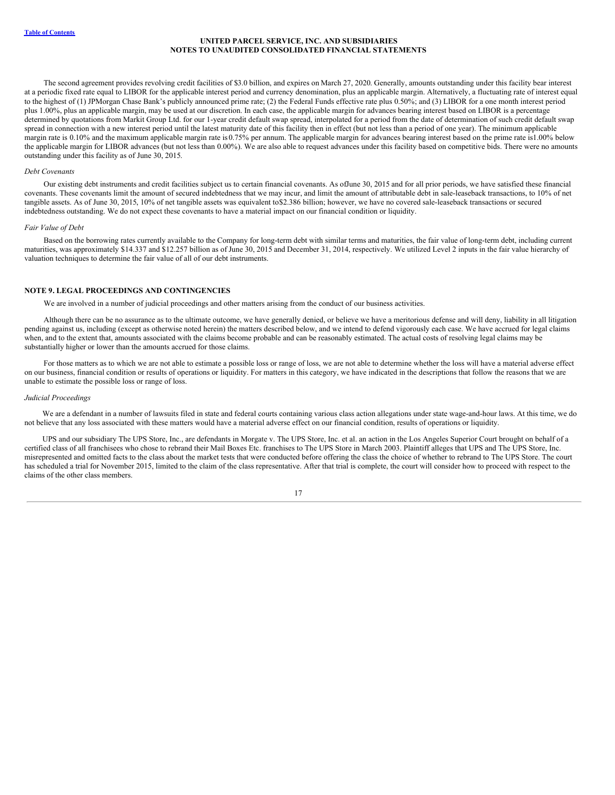The second agreement provides revolving credit facilities of \$3.0 billion, and expires on March 27, 2020. Generally, amounts outstanding under this facility bear interest at a periodic fixed rate equal to LIBOR for the applicable interest period and currency denomination, plus an applicable margin. Alternatively, a fluctuating rate of interest equal to the highest of (1) JPMorgan Chase Bank's publicly announced prime rate; (2) the Federal Funds effective rate plus 0.50%; and (3) LIBOR for a one month interest period plus 1.00%, plus an applicable margin, may be used at our discretion. In each case, the applicable margin for advances bearing interest based on LIBOR is a percentage determined by quotations from Markit Group Ltd. for our 1-year credit default swap spread, interpolated for a period from the date of determination of such credit default swap spread in connection with a new interest period until the latest maturity date of this facility then in effect (but not less than a period of one year). The minimum applicable margin rate is 0.10% and the maximum applicable margin rate is0.75% per annum. The applicable margin for advances bearing interest based on the prime rate is1.00% below the applicable margin for LIBOR advances (but not less than 0.00%). We are also able to request advances under this facility based on competitive bids. There were no amounts outstanding under this facility as of June 30, 2015.

#### *Debt Covenants*

Our existing debt instruments and credit facilities subject us to certain financial covenants. As ofJune 30, 2015 and for all prior periods, we have satisfied these financial covenants. These covenants limit the amount of secured indebtedness that we may incur, and limit the amount of attributable debt in sale-leaseback transactions, to 10% of net tangible assets. As of June 30, 2015, 10% of net tangible assets was equivalent to\$2.386 billion; however, we have no covered sale-leaseback transactions or secured indebtedness outstanding. We do not expect these covenants to have a material impact on our financial condition or liquidity.

#### *Fair Value of Debt*

Based on the borrowing rates currently available to the Company for long-term debt with similar terms and maturities, the fair value of long-term debt, including current maturities, was approximately \$14.337 and \$12.257 billion as of June 30, 2015 and December 31, 2014, respectively. We utilized Level 2 inputs in the fair value hierarchy of valuation techniques to determine the fair value of all of our debt instruments.

#### <span id="page-18-0"></span>**NOTE 9. LEGAL PROCEEDINGS AND CONTINGENCIES**

We are involved in a number of judicial proceedings and other matters arising from the conduct of our business activities.

Although there can be no assurance as to the ultimate outcome, we have generally denied, or believe we have a meritorious defense and will deny, liability in all litigation pending against us, including (except as otherwise noted herein) the matters described below, and we intend to defend vigorously each case. We have accrued for legal claims when, and to the extent that, amounts associated with the claims become probable and can be reasonably estimated. The actual costs of resolving legal claims may be substantially higher or lower than the amounts accrued for those claims.

For those matters as to which we are not able to estimate a possible loss or range of loss, we are not able to determine whether the loss will have a material adverse effect on our business, financial condition or results of operations or liquidity. For matters in this category, we have indicated in the descriptions that follow the reasons that we are unable to estimate the possible loss or range of loss.

#### *Judicial Proceedings*

We are a defendant in a number of lawsuits filed in state and federal courts containing various class action allegations under state wage-and-hour laws. At this time, we do not believe that any loss associated with these matters would have a material adverse effect on our financial condition, results of operations or liquidity.

UPS and our subsidiary The UPS Store, Inc., are defendants in Morgate v. The UPS Store, Inc. et al. an action in the Los Angeles Superior Court brought on behalf of a certified class of all franchisees who chose to rebrand their Mail Boxes Etc. franchises to The UPS Store in March 2003. Plaintiff alleges that UPS and The UPS Store, Inc. misrepresented and omitted facts to the class about the market tests that were conducted before offering the class the choice of whether to rebrand to The UPS Store. The court has scheduled a trial for November 2015, limited to the claim of the class representative. After that trial is complete, the court will consider how to proceed with respect to the claims of the other class members.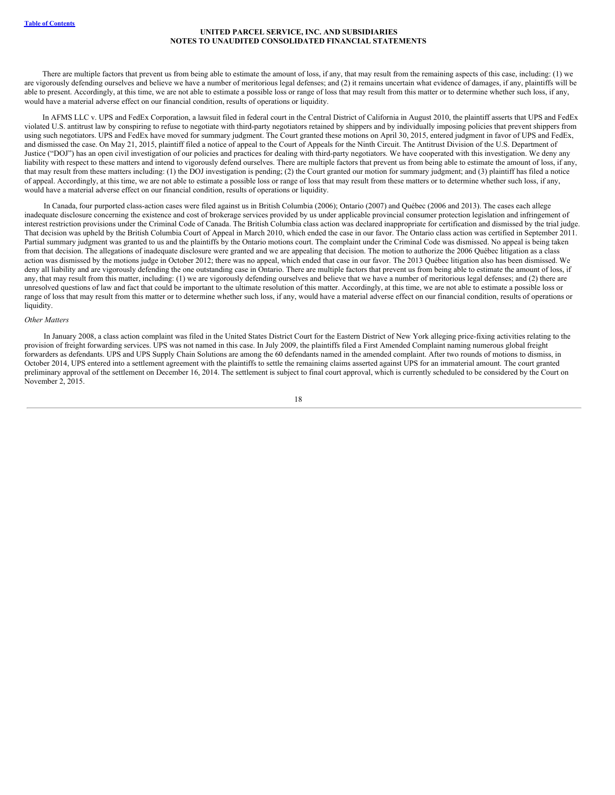There are multiple factors that prevent us from being able to estimate the amount of loss, if any, that may result from the remaining aspects of this case, including: (1) we are vigorously defending ourselves and believe we have a number of meritorious legal defenses; and (2) it remains uncertain what evidence of damages, if any, plaintiffs will be able to present. Accordingly, at this time, we are not able to estimate a possible loss or range of loss that may result from this matter or to determine whether such loss, if any, would have a material adverse effect on our financial condition, results of operations or liquidity.

In AFMS LLC v. UPS and FedEx Corporation, a lawsuit filed in federal court in the Central District of California in August 2010, the plaintiff asserts that UPS and FedEx violated U.S. antitrust law by conspiring to refuse to negotiate with third-party negotiators retained by shippers and by individually imposing policies that prevent shippers from using such negotiators. UPS and FedEx have moved for summary judgment. The Court granted these motions on April 30, 2015, entered judgment in favor of UPS and FedEx, and dismissed the case. On May 21, 2015, plaintiff filed a notice of appeal to the Court of Appeals for the Ninth Circuit. The Antitrust Division of the U.S. Department of Justice ("DOJ") has an open civil investigation of our policies and practices for dealing with third-party negotiators. We have cooperated with this investigation. We deny any liability with respect to these matters and intend to vigorously defend ourselves. There are multiple factors that prevent us from being able to estimate the amount of loss, if any, that may result from these matters including: (1) the DOJ investigation is pending; (2) the Court granted our motion for summary judgment; and (3) plaintiff has filed a notice of appeal. Accordingly, at this time, we are not able to estimate a possible loss or range of loss that may result from these matters or to determine whether such loss, if any, would have a material adverse effect on our financial condition, results of operations or liquidity.

In Canada, four purported class-action cases were filed against us in British Columbia (2006); Ontario (2007) and Québec (2006 and 2013). The cases each allege inadequate disclosure concerning the existence and cost of brokerage services provided by us under applicable provincial consumer protection legislation and infringement of interest restriction provisions under the Criminal Code of Canada. The British Columbia class action was declared inappropriate for certification and dismissed by the trial judge. That decision was upheld by the British Columbia Court of Appeal in March 2010, which ended the case in our favor. The Ontario class action was certified in September 2011. Partial summary judgment was granted to us and the plaintiffs by the Ontario motions court. The complaint under the Criminal Code was dismissed. No appeal is being taken from that decision. The allegations of inadequate disclosure were granted and we are appealing that decision. The motion to authorize the 2006 Québec litigation as a class action was dismissed by the motions judge in October 2012; there was no appeal, which ended that case in our favor. The 2013 Québec litigation also has been dismissed. We deny all liability and are vigorously defending the one outstanding case in Ontario. There are multiple factors that prevent us from being able to estimate the amount of loss, if any, that may result from this matter, including: (1) we are vigorously defending ourselves and believe that we have a number of meritorious legal defenses; and (2) there are unresolved questions of law and fact that could be important to the ultimate resolution of this matter. Accordingly, at this time, we are not able to estimate a possible loss or range of loss that may result from this matter or to determine whether such loss, if any, would have a material adverse effect on our financial condition, results of operations or liquidity.

#### *Other Matters*

In January 2008, a class action complaint was filed in the United States District Court for the Eastern District of New York alleging price-fixing activities relating to the provision of freight forwarding services. UPS was not named in this case. In July 2009, the plaintiffs filed a First Amended Complaint naming numerous global freight forwarders as defendants. UPS and UPS Supply Chain Solutions are among the 60 defendants named in the amended complaint. After two rounds of motions to dismiss, in October 2014, UPS entered into a settlement agreement with the plaintiffs to settle the remaining claims asserted against UPS for an immaterial amount. The court granted preliminary approval of the settlement on December 16, 2014. The settlement is subject to final court approval, which is currently scheduled to be considered by the Court on November 2, 2015.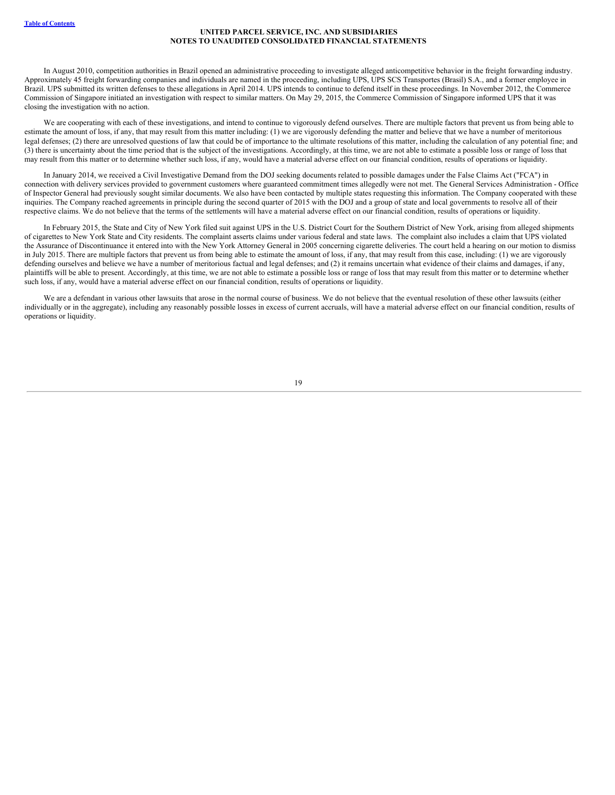In August 2010, competition authorities in Brazil opened an administrative proceeding to investigate alleged anticompetitive behavior in the freight forwarding industry. Approximately 45 freight forwarding companies and individuals are named in the proceeding, including UPS, UPS SCS Transportes (Brasil) S.A., and a former employee in Brazil. UPS submitted its written defenses to these allegations in April 2014. UPS intends to continue to defend itself in these proceedings. In November 2012, the Commerce Commission of Singapore initiated an investigation with respect to similar matters. On May 29, 2015, the Commerce Commission of Singapore informed UPS that it was closing the investigation with no action.

We are cooperating with each of these investigations, and intend to continue to vigorously defend ourselves. There are multiple factors that prevent us from being able to estimate the amount of loss, if any, that may result from this matter including: (1) we are vigorously defending the matter and believe that we have a number of meritorious legal defenses; (2) there are unresolved questions of law that could be of importance to the ultimate resolutions of this matter, including the calculation of any potential fine; and (3) there is uncertainty about the time period that is the subject of the investigations. Accordingly, at this time, we are not able to estimate a possible loss or range of loss that may result from this matter or to determine whether such loss, if any, would have a material adverse effect on our financial condition, results of operations or liquidity.

In January 2014, we received a Civil Investigative Demand from the DOJ seeking documents related to possible damages under the False Claims Act ("FCA") in connection with delivery services provided to government customers where guaranteed commitment times allegedly were not met. The General Services Administration - Office of Inspector General had previously sought similar documents. We also have been contacted by multiple states requesting this information. The Company cooperated with these inquiries. The Company reached agreements in principle during the second quarter of 2015 with the DOJ and a group of state and local governments to resolve all of their respective claims. We do not believe that the terms of the settlements will have a material adverse effect on our financial condition, results of operations or liquidity.

In February 2015, the State and City of New York filed suit against UPS in the U.S. District Court for the Southern District of New York, arising from alleged shipments of cigarettes to New York State and City residents. The complaint asserts claims under various federal and state laws. The complaint also includes a claim that UPS violated the Assurance of Discontinuance it entered into with the New York Attorney General in 2005 concerning cigarette deliveries. The court held a hearing on our motion to dismiss in July 2015. There are multiple factors that prevent us from being able to estimate the amount of loss, if any, that may result from this case, including: (1) we are vigorously defending ourselves and believe we have a number of meritorious factual and legal defenses; and (2) it remains uncertain what evidence of their claims and damages, if any, plaintiffs will be able to present. Accordingly, at this time, we are not able to estimate a possible loss or range of loss that may result from this matter or to determine whether such loss, if any, would have a material adverse effect on our financial condition, results of operations or liquidity.

We are a defendant in various other lawsuits that arose in the normal course of business. We do not believe that the eventual resolution of these other lawsuits (either individually or in the aggregate), including any reasonably possible losses in excess of current accruals, will have a material adverse effect on our financial condition, results of operations or liquidity.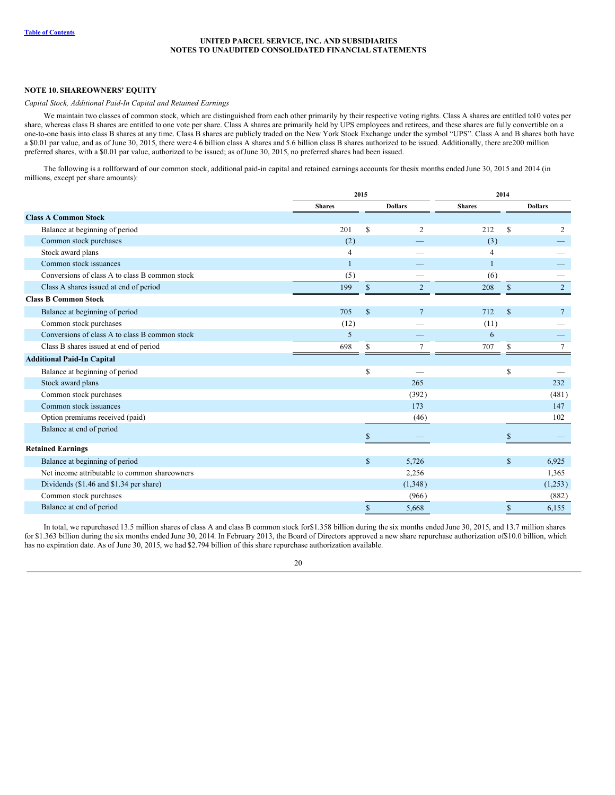### <span id="page-21-0"></span>**NOTE 10. SHAREOWNERS' EQUITY**

#### *Capital Stock, Additional Paid-In Capital and Retained Earnings*

We maintain two classes of common stock, which are distinguished from each other primarily by their respective voting rights. Class A shares are entitled to10 votes per share, whereas class B shares are entitled to one vote per share. Class A shares are primarily held by UPS employees and retirees, and these shares are fully convertible on a one-to-one basis into class B shares at any time. Class B shares are publicly traded on the New York Stock Exchange under the symbol "UPS". Class A and B shares both have a \$0.01 par value, and as ofJune 30, 2015, there were 4.6 billion class A shares and 5.6 billion class B shares authorized to be issued. Additionally, there are200 million preferred shares, with a \$0.01 par value, authorized to be issued; as ofJune 30, 2015, no preferred shares had been issued.

The following is a rollforward of our common stock, additional paid-in capital and retained earnings accounts for thesix months ended June 30, 2015 and 2014 (in millions, except per share amounts):

|                                                |                | 2015         |                 | 2014           |               |                |  |
|------------------------------------------------|----------------|--------------|-----------------|----------------|---------------|----------------|--|
|                                                | <b>Shares</b>  |              | <b>Dollars</b>  | <b>Shares</b>  |               | <b>Dollars</b> |  |
| <b>Class A Common Stock</b>                    |                |              |                 |                |               |                |  |
| Balance at beginning of period                 | 201            | $\mathbb{S}$ | $\overline{2}$  | 212            | $\mathbb{S}$  | 2              |  |
| Common stock purchases                         | (2)            |              |                 | (3)            |               |                |  |
| Stock award plans                              | $\overline{4}$ |              |                 | $\overline{4}$ |               |                |  |
| Common stock issuances                         | $\overline{1}$ |              |                 | 1              |               |                |  |
| Conversions of class A to class B common stock | (5)            |              |                 | (6)            |               |                |  |
| Class A shares issued at end of period         | 199            | $\mathbb{S}$ | $\overline{2}$  | 208            | $\mathbb{S}$  | 2              |  |
| <b>Class B Common Stock</b>                    |                |              |                 |                |               |                |  |
| Balance at beginning of period                 | 705            | $\mathbb{S}$ | $7\phantom{.0}$ | 712            | $\mathsf{\$}$ | $\tau$         |  |
| Common stock purchases                         | (12)           |              |                 | (11)           |               |                |  |
| Conversions of class A to class B common stock | $\overline{5}$ |              |                 | 6              |               |                |  |
| Class B shares issued at end of period         | 698            | S            | $\tau$          | 707            | $\mathbb{S}$  | $\tau$         |  |
| <b>Additional Paid-In Capital</b>              |                |              |                 |                |               |                |  |
| Balance at beginning of period                 |                | S            |                 |                | \$            |                |  |
| Stock award plans                              |                |              | 265             |                |               | 232            |  |
| Common stock purchases                         |                |              | (392)           |                |               | (481)          |  |
| Common stock issuances                         |                |              | 173             |                |               | 147            |  |
| Option premiums received (paid)                |                |              | (46)            |                |               | 102            |  |
| Balance at end of period                       |                |              |                 |                |               |                |  |
|                                                |                | <b>S</b>     |                 |                | \$            |                |  |
| <b>Retained Earnings</b>                       |                |              |                 |                |               |                |  |
| Balance at beginning of period                 |                | $\mathbb{S}$ | 5,726           |                | $\mathbb{S}$  | 6,925          |  |
| Net income attributable to common shareowners  |                |              | 2,256           |                |               | 1,365          |  |
| Dividends (\$1.46 and \$1.34 per share)        |                |              | (1,348)         |                |               | (1,253)        |  |
| Common stock purchases                         |                |              | (966)           |                |               | (882)          |  |
| Balance at end of period                       |                | $\mathbb{S}$ | 5,668           |                | $\mathbb{S}$  | 6,155          |  |

In total, we repurchased 13.5 million shares of class A and class B common stock for\$1.358 billion during the six months ended June 30, 2015, and 13.7 million shares for \$1.363 billion during the six months ended June 30, 2014. In February 2013, the Board of Directors approved a new share repurchase authorization of\$10.0 billion, which has no expiration date. As of June 30, 2015, we had \$2.794 billion of this share repurchase authorization available.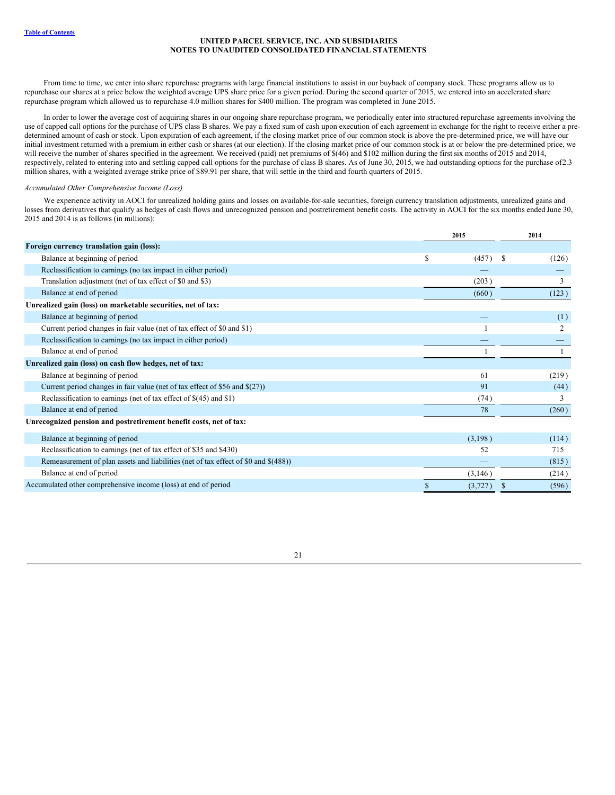From time to time, we enter into share repurchase programs with large financial institutions to assist in our buyback of company stock. These programs allow us to repurchase our shares at a price below the weighted average UPS share price for a given period. During the second quarter of 2015, we entered into an accelerated share repurchase program which allowed us to repurchase 4.0 million shares for \$400 million. The program was completed in June 2015.

In order to lower the average cost of acquiring shares in our ongoing share repurchase program, we periodically enter into structured repurchase agreements involving the use of capped call options for the purchase of UPS class B shares. We pay a fixed sum of cash upon execution of each agreement in exchange for the right to receive either a predetermined amount of cash or stock. Upon expiration of each agreement, if the closing market price of our common stock is above the pre-determined price, we will have our initial investment returned with a premium in either cash or shares (at our election). If the closing market price of our common stock is at or below the pre-determined price, we will receive the number of shares specified in the agreement. We received (paid) net premiums of \$(46) and \$102 million during the first six months of 2015 and 2014, respectively, related to entering into and settling capped call options for the purchase of class B shares. As of June 30, 2015, we had outstanding options for the purchase of2.3 million shares, with a weighted average strike price of \$89.91 per share, that will settle in the third and fourth quarters of 2015.

#### *Accumulated Other Comprehensive Income (Loss)*

We experience activity in AOCI for unrealized holding gains and losses on available-for-sale securities, foreign currency translation adjustments, unrealized gains and losses from derivatives that qualify as hedges of cash flows and unrecognized pension and postretirement benefit costs. The activity in AOCI for the six months ended June 30, 2015 and 2014 is as follows (in millions):

|                                                                                     |   | 2015    |    | 2014  |
|-------------------------------------------------------------------------------------|---|---------|----|-------|
| Foreign currency translation gain (loss):                                           |   |         |    |       |
| Balance at beginning of period                                                      | S | (457)   | -8 | (126) |
| Reclassification to earnings (no tax impact in either period)                       |   |         |    |       |
| Translation adjustment (net of tax effect of \$0 and \$3)                           |   | (203)   |    | 3     |
| Balance at end of period                                                            |   | (660)   |    | (123) |
| Unrealized gain (loss) on marketable securities, net of tax:                        |   |         |    |       |
| Balance at beginning of period                                                      |   |         |    | (1)   |
| Current period changes in fair value (net of tax effect of \$0 and \$1)             |   |         |    |       |
| Reclassification to earnings (no tax impact in either period)                       |   |         |    |       |
| Balance at end of period                                                            |   |         |    |       |
| Unrealized gain (loss) on cash flow hedges, net of tax:                             |   |         |    |       |
| Balance at beginning of period                                                      |   | 61      |    | (219) |
| Current period changes in fair value (net of tax effect of \$56 and $\S(27)$ )      |   | 91      |    | (44)  |
| Reclassification to earnings (net of tax effect of $\S(45)$ ) and $\S1$ )           |   | (74)    |    | 3     |
| Balance at end of period                                                            |   | 78      |    | (260) |
| Unrecognized pension and postretirement benefit costs, net of tax:                  |   |         |    |       |
| Balance at beginning of period                                                      |   | (3,198) |    | (114) |
| Reclassification to earnings (net of tax effect of \$35 and \$430)                  |   | 52      |    | 715   |
| Remeasurement of plan assets and liabilities (net of tax effect of \$0 and \$(488)) |   |         |    | (815) |
| Balance at end of period                                                            |   | (3,146) |    | (214) |
| Accumulated other comprehensive income (loss) at end of period                      |   | (3,727) |    | (596) |
|                                                                                     |   |         |    |       |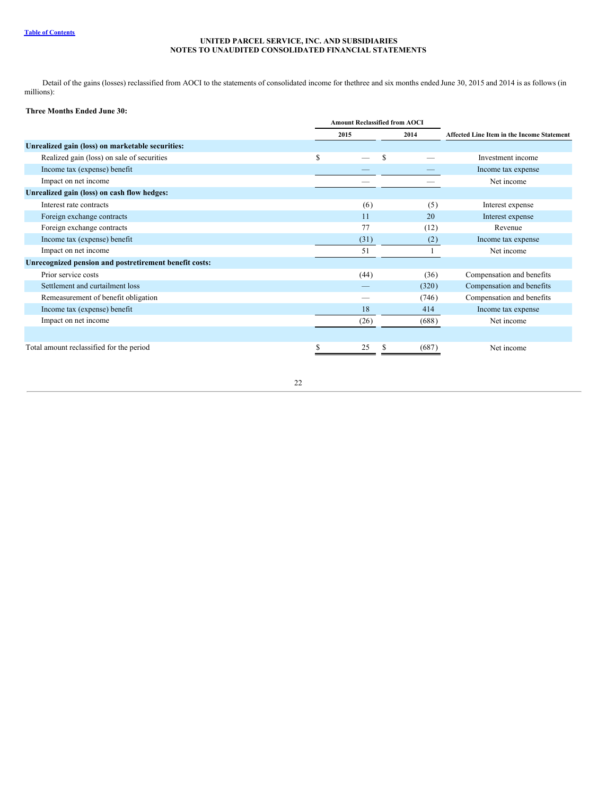Detail of the gains (losses) reclassified from AOCI to the statements of consolidated income for thethree and six months ended June 30, 2015 and 2014 is as follows (in millions):

# **Three Months Ended June 30:**

|                                                        |   | <b>Amount Reclassified from AOCI</b> |       |       |                                                   |
|--------------------------------------------------------|---|--------------------------------------|-------|-------|---------------------------------------------------|
|                                                        |   | 2015                                 |       | 2014  | <b>Affected Line Item in the Income Statement</b> |
| Unrealized gain (loss) on marketable securities:       |   |                                      |       |       |                                                   |
| Realized gain (loss) on sale of securities             | S |                                      | S     |       | Investment income                                 |
| Income tax (expense) benefit                           |   |                                      |       |       | Income tax expense                                |
| Impact on net income                                   |   |                                      |       |       | Net income                                        |
| Unrealized gain (loss) on cash flow hedges:            |   |                                      |       |       |                                                   |
| Interest rate contracts                                |   | (6)                                  |       | (5)   | Interest expense                                  |
| Foreign exchange contracts                             |   | 11                                   |       | 20    | Interest expense                                  |
| Foreign exchange contracts                             |   | 77                                   |       | (12)  | Revenue                                           |
| Income tax (expense) benefit                           |   | (31)                                 |       | (2)   | Income tax expense                                |
| Impact on net income                                   |   | 51                                   |       |       | Net income                                        |
| Unrecognized pension and postretirement benefit costs: |   |                                      |       |       |                                                   |
| Prior service costs                                    |   | (44)                                 |       | (36)  | Compensation and benefits                         |
| Settlement and curtailment loss                        |   |                                      |       | (320) | Compensation and benefits                         |
| Remeasurement of benefit obligation                    |   |                                      |       | (746) | Compensation and benefits                         |
| Income tax (expense) benefit                           |   | 18                                   |       | 414   | Income tax expense                                |
| Impact on net income                                   |   | (26)                                 | (688) |       | Net income                                        |
|                                                        |   |                                      |       |       |                                                   |
| Total amount reclassified for the period               |   | 25                                   |       | (687) | Net income                                        |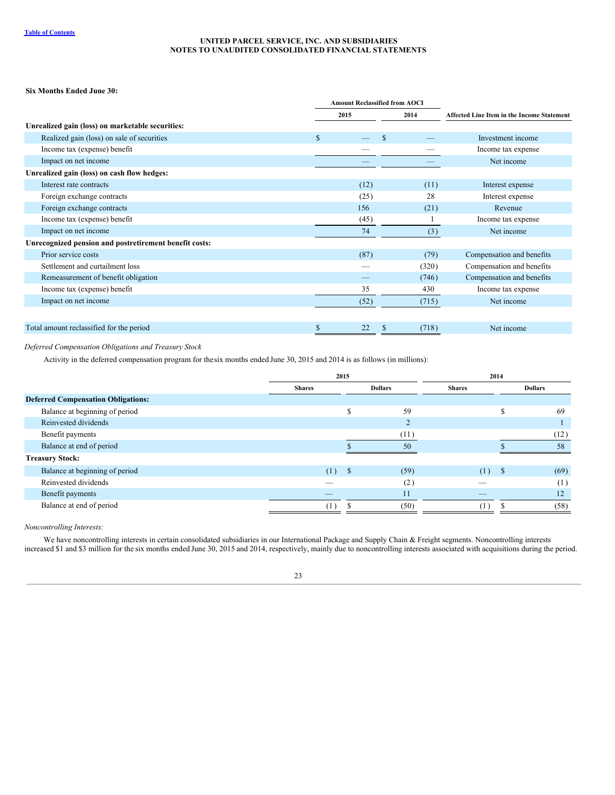# **Six Months Ended June 30:**

|              |      |      | 2014  | <b>Affected Line Item in the Income Statement</b> |
|--------------|------|------|-------|---------------------------------------------------|
|              |      |      |       |                                                   |
| $\mathbb{S}$ |      | S    |       | Investment income                                 |
|              |      |      |       | Income tax expense                                |
|              |      |      |       | Net income                                        |
|              |      |      |       |                                                   |
|              | (12) |      | (11)  | Interest expense                                  |
|              | (25) |      | 28    | Interest expense                                  |
|              | 156  |      | (21)  | Revenue                                           |
|              | (45) |      |       | Income tax expense                                |
|              | 74   |      | (3)   | Net income                                        |
|              |      |      |       |                                                   |
|              | (87) |      | (79)  | Compensation and benefits                         |
|              | -    |      | (320) | Compensation and benefits                         |
|              |      |      | (746) | Compensation and benefits                         |
|              | 35   |      | 430   | Income tax expense                                |
|              | (52) |      | (715) | Net income                                        |
|              |      |      |       |                                                   |
|              | 22   | S    | (718) | Net income                                        |
|              |      | 2015 |       | <b>Amount Reclassified from AOCI</b>              |

# *Deferred Compensation Obligations and Treasury Stock*

Activity in the deferred compensation program for thesix months ended June 30, 2015 and 2014 is as follows (in millions):

|                                           | 2015          |                | 2014           |               |               |                |
|-------------------------------------------|---------------|----------------|----------------|---------------|---------------|----------------|
|                                           | <b>Shares</b> | <b>Dollars</b> |                | <b>Shares</b> |               | <b>Dollars</b> |
| <b>Deferred Compensation Obligations:</b> |               |                |                |               |               |                |
| Balance at beginning of period            |               | ¢              | 59             |               | $\triangle$   | 69             |
| Reinvested dividends                      |               |                | $\bigcap$<br>∠ |               |               |                |
| Benefit payments                          |               |                | (11)           |               |               | (12)           |
| Balance at end of period                  |               |                | 50             |               |               | 58             |
| <b>Treasury Stock:</b>                    |               |                |                |               |               |                |
| Balance at beginning of period            | (1)           | <sup>\$</sup>  | (59)           | (1)           | <sup>\$</sup> | (69)           |
| Reinvested dividends                      |               |                | (2)            |               |               | (1)            |
| Benefit payments                          |               |                | 11             |               |               | 12             |
| Balance at end of period                  | (1)           |                | (50)           | П.            |               | (58)           |

*Noncontrolling Interests:*

We have noncontrolling interests in certain consolidated subsidiaries in our International Package and Supply Chain & Freight segments. Noncontrolling interests increased \$1 and \$3 million for the six months ended June 30, 2015 and 2014, respectively, mainly due to noncontrolling interests associated with acquisitions during the period.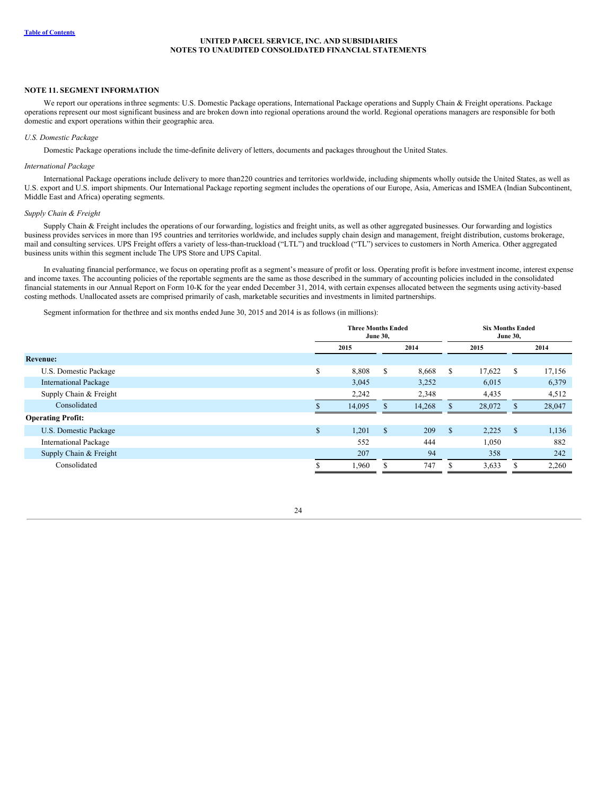#### <span id="page-25-0"></span>**NOTE 11. SEGMENT INFORMATION**

We report our operations in three segments: U.S. Domestic Package operations, International Package operations and Supply Chain & Freight operations. Package operations represent our most significant business and are broken down into regional operations around the world. Regional operations managers are responsible for both domestic and export operations within their geographic area.

#### *U.S. Domestic Package*

Domestic Package operations include the time-definite delivery of letters, documents and packages throughout the United States.

#### *International Package*

International Package operations include delivery to more than220 countries and territories worldwide, including shipments wholly outside the United States, as well as U.S. export and U.S. import shipments. Our International Package reporting segment includes the operations of our Europe, Asia, Americas and ISMEA (Indian Subcontinent, Middle East and Africa) operating segments.

#### *Supply Chain & Freight*

Supply Chain & Freight includes the operations of our forwarding, logistics and freight units, as well as other aggregated businesses. Our forwarding and logistics business provides services in more than 195 countries and territories worldwide, and includes supply chain design and management, freight distribution, customs brokerage, mail and consulting services. UPS Freight offers a variety of less-than-truckload ("LTL") and truckload ("TL") services to customers in North America. Other aggregated business units within this segment include The UPS Store and UPS Capital.

In evaluating financial performance, we focus on operating profit as a segment's measure of profit or loss. Operating profit is before investment income, interest expense and income taxes. The accounting policies of the reportable segments are the same as those described in the summary of accounting policies included in the consolidated financial statements in our Annual Report on Form 10-K for the year ended December 31, 2014, with certain expenses allocated between the segments using activity-based costing methods. Unallocated assets are comprised primarily of cash, marketable securities and investments in limited partnerships.

Segment information for the three and six months ended June 30, 2015 and 2014 is as follows (in millions):

|    |        |              | <b>Six Months Ended</b><br><b>June 30,</b> |                           |        |              |        |  |       |  |
|----|--------|--------------|--------------------------------------------|---------------------------|--------|--------------|--------|--|-------|--|
|    | 2015   | 2014         |                                            |                           | 2015   |              | 2014   |  |       |  |
|    |        |              |                                            |                           |        |              |        |  |       |  |
| S  | 8,808  | \$           | 8,668                                      | S                         | 17,622 | S            | 17,156 |  |       |  |
|    | 3,045  |              | 3,252                                      |                           | 6,015  |              | 6,379  |  |       |  |
|    | 2,242  |              | 2,348                                      |                           | 4,435  |              | 4,512  |  |       |  |
|    | 14,095 |              | 14,268                                     |                           | 28,072 |              | 28,047 |  |       |  |
|    |        |              |                                            |                           |        |              |        |  |       |  |
| \$ | 1,201  | $\mathbb{S}$ | 209                                        | S                         | 2,225  | <sup>S</sup> | 1,136  |  |       |  |
|    | 552    |              | 444                                        |                           | 1,050  |              | 882    |  |       |  |
|    | 207    |              | 94                                         |                           | 358    |              | 242    |  |       |  |
|    | 1.960  |              |                                            |                           | 747    | 3,633        |        |  | 2,260 |  |
|    |        |              | <b>June 30,</b>                            | <b>Three Months Ended</b> |        |              |        |  |       |  |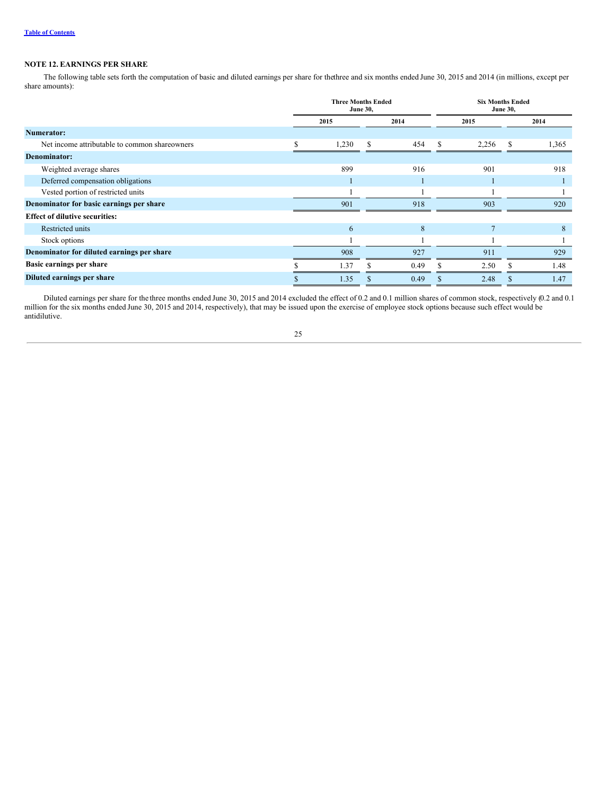# <span id="page-26-0"></span>**NOTE 12. EARNINGS PER SHARE**

The following table sets forth the computation of basic and diluted earnings per share for thethree and six months ended June 30, 2015 and 2014 (in millions, except per share amounts):

|                                               |     | <b>Three Months Ended</b> | <b>June 30,</b> |      |  | <b>Six Months Ended</b> | <b>June 30,</b> |       |  |
|-----------------------------------------------|-----|---------------------------|-----------------|------|--|-------------------------|-----------------|-------|--|
|                                               |     | 2015                      |                 | 2014 |  | 2015                    |                 | 2014  |  |
| <b>Numerator:</b>                             |     |                           |                 |      |  |                         |                 |       |  |
| Net income attributable to common shareowners | \$. | 1,230                     | S               | 454  |  | 2,256                   | \$.             | 1,365 |  |
| <b>Denominator:</b>                           |     |                           |                 |      |  |                         |                 |       |  |
| Weighted average shares                       |     | 899                       |                 | 916  |  | 901                     |                 | 918   |  |
| Deferred compensation obligations             |     |                           |                 |      |  |                         |                 |       |  |
| Vested portion of restricted units            |     |                           |                 |      |  |                         |                 |       |  |
| Denominator for basic earnings per share      |     | 901                       |                 | 918  |  | 903                     |                 | 920   |  |
| <b>Effect of dilutive securities:</b>         |     |                           |                 |      |  |                         |                 |       |  |
| <b>Restricted units</b>                       |     | 6                         |                 | 8    |  | 7                       |                 | 8     |  |
| Stock options                                 |     |                           |                 |      |  |                         |                 |       |  |
| Denominator for diluted earnings per share    |     | 908                       |                 | 927  |  | 911                     |                 | 929   |  |
| Basic earnings per share                      |     | 1.37                      |                 | 0.49 |  | 2.50                    |                 | 1.48  |  |
| Diluted earnings per share                    |     | 1.35                      |                 | 0.49 |  | 2.48                    |                 | 1.47  |  |
|                                               |     |                           |                 |      |  |                         |                 |       |  |

Diluted earnings per share for the three months ended June 30, 2015 and 2014 excluded the effect of 0.2 and 0.1 million shares of common stock, respectively (0.2 and 0.1 million for the six months ended June 30, 2015 and 2014, respectively), that may be issued upon the exercise of employee stock options because such effect would be antidilutive.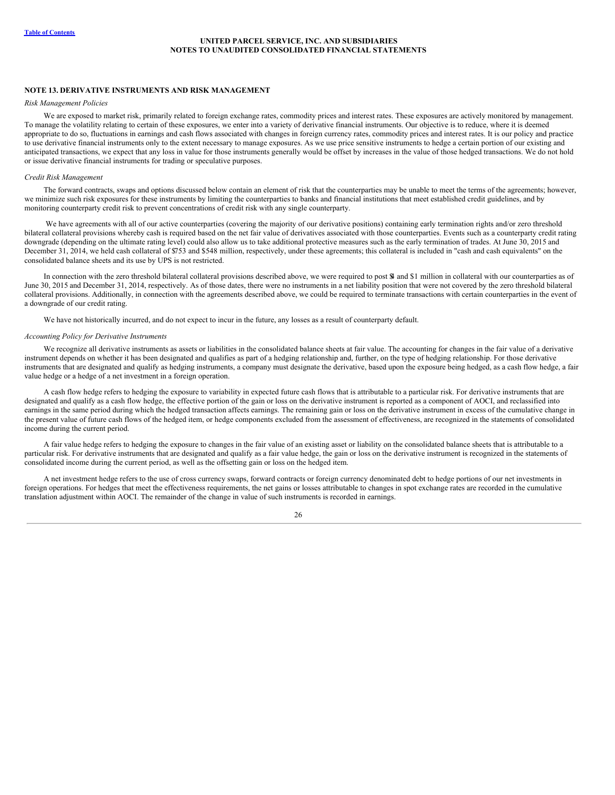#### <span id="page-27-0"></span>**NOTE 13. DERIVATIVE INSTRUMENTS AND RISK MANAGEMENT**

#### *Risk Management Policies*

We are exposed to market risk, primarily related to foreign exchange rates, commodity prices and interest rates. These exposures are actively monitored by management. To manage the volatility relating to certain of these exposures, we enter into a variety of derivative financial instruments. Our objective is to reduce, where it is deemed appropriate to do so, fluctuations in earnings and cash flows associated with changes in foreign currency rates, commodity prices and interest rates. It is our policy and practice to use derivative financial instruments only to the extent necessary to manage exposures. As we use price sensitive instruments to hedge a certain portion of our existing and anticipated transactions, we expect that any loss in value for those instruments generally would be offset by increases in the value of those hedged transactions. We do not hold or issue derivative financial instruments for trading or speculative purposes.

#### *Credit Risk Management*

The forward contracts, swaps and options discussed below contain an element of risk that the counterparties may be unable to meet the terms of the agreements; however, we minimize such risk exposures for these instruments by limiting the counterparties to banks and financial institutions that meet established credit guidelines, and by monitoring counterparty credit risk to prevent concentrations of credit risk with any single counterparty.

We have agreements with all of our active counterparties (covering the majority of our derivative positions) containing early termination rights and/or zero threshold bilateral collateral provisions whereby cash is required based on the net fair value of derivatives associated with those counterparties. Events such as a counterparty credit rating downgrade (depending on the ultimate rating level) could also allow us to take additional protective measures such as the early termination of trades. At June 30, 2015 and December 31, 2014, we held cash collateral of \$753 and \$548 million, respectively, under these agreements; this collateral is included in "cash and cash equivalents" on the consolidated balance sheets and its use by UPS is not restricted.

In connection with the zero threshold bilateral collateral provisions described above, we were required to post \$4 and \$1 million in collateral with our counterparties as of June 30, 2015 and December 31, 2014, respectively. As of those dates, there were no instruments in a net liability position that were not covered by the zero threshold bilateral collateral provisions. Additionally, in connection with the agreements described above, we could be required to terminate transactions with certain counterparties in the event of a downgrade of our credit rating.

We have not historically incurred, and do not expect to incur in the future, any losses as a result of counterparty default.

#### *Accounting Policy for Derivative Instruments*

We recognize all derivative instruments as assets or liabilities in the consolidated balance sheets at fair value. The accounting for changes in the fair value of a derivative instrument depends on whether it has been designated and qualifies as part of a hedging relationship and, further, on the type of hedging relationship. For those derivative instruments that are designated and qualify as hedging instruments, a company must designate the derivative, based upon the exposure being hedged, as a cash flow hedge, a fair value hedge or a hedge of a net investment in a foreign operation.

A cash flow hedge refers to hedging the exposure to variability in expected future cash flows that is attributable to a particular risk. For derivative instruments that are designated and qualify as a cash flow hedge, the effective portion of the gain or loss on the derivative instrument is reported as a component of AOCI, and reclassified into earnings in the same period during which the hedged transaction affects earnings. The remaining gain or loss on the derivative instrument in excess of the cumulative change in the present value of future cash flows of the hedged item, or hedge components excluded from the assessment of effectiveness, are recognized in the statements of consolidated income during the current period.

A fair value hedge refers to hedging the exposure to changes in the fair value of an existing asset or liability on the consolidated balance sheets that is attributable to a particular risk. For derivative instruments that are designated and qualify as a fair value hedge, the gain or loss on the derivative instrument is recognized in the statements of consolidated income during the current period, as well as the offsetting gain or loss on the hedged item.

A net investment hedge refers to the use of cross currency swaps, forward contracts or foreign currency denominated debt to hedge portions of our net investments in foreign operations. For hedges that meet the effectiveness requirements, the net gains or losses attributable to changes in spot exchange rates are recorded in the cumulative translation adjustment within AOCI. The remainder of the change in value of such instruments is recorded in earnings.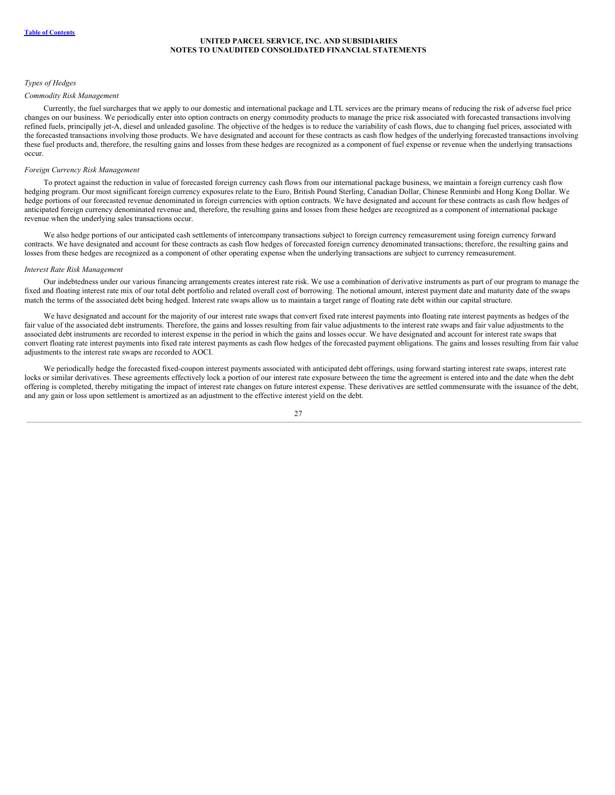#### *Types of Hedges*

#### *Commodity Risk Management*

Currently, the fuel surcharges that we apply to our domestic and international package and LTL services are the primary means of reducing the risk of adverse fuel price changes on our business. We periodically enter into option contracts on energy commodity products to manage the price risk associated with forecasted transactions involving refined fuels, principally jet-A, diesel and unleaded gasoline. The objective of the hedges is to reduce the variability of cash flows, due to changing fuel prices, associated with the forecasted transactions involving those products. We have designated and account for these contracts as cash flow hedges of the underlying forecasted transactions involving these fuel products and, therefore, the resulting gains and losses from these hedges are recognized as a component of fuel expense or revenue when the underlying transactions occur.

#### *Foreign Currency Risk Management*

To protect against the reduction in value of forecasted foreign currency cash flows from our international package business, we maintain a foreign currency cash flow hedging program. Our most significant foreign currency exposures relate to the Euro, British Pound Sterling, Canadian Dollar, Chinese Renminbi and Hong Kong Dollar. We hedge portions of our forecasted revenue denominated in foreign currencies with option contracts. We have designated and account for these contracts as cash flow hedges of anticipated foreign currency denominated revenue and, therefore, the resulting gains and losses from these hedges are recognized as a component of international package revenue when the underlying sales transactions occur.

We also hedge portions of our anticipated cash settlements of intercompany transactions subject to foreign currency remeasurement using foreign currency forward contracts. We have designated and account for these contracts as cash flow hedges of forecasted foreign currency denominated transactions; therefore, the resulting gains and losses from these hedges are recognized as a component of other operating expense when the underlying transactions are subject to currency remeasurement.

#### *Interest Rate Risk Management*

Our indebtedness under our various financing arrangements creates interest rate risk. We use a combination of derivative instruments as part of our program to manage the fixed and floating interest rate mix of our total debt portfolio and related overall cost of borrowing. The notional amount, interest payment date and maturity date of the swaps match the terms of the associated debt being hedged. Interest rate swaps allow us to maintain a target range of floating rate debt within our capital structure.

We have designated and account for the majority of our interest rate swaps that convert fixed rate interest payments into floating rate interest payments as hedges of the fair value of the associated debt instruments. Therefore, the gains and losses resulting from fair value adjustments to the interest rate swaps and fair value adjustments to the associated debt instruments are recorded to interest expense in the period in which the gains and losses occur. We have designated and account for interest rate swaps that convert floating rate interest payments into fixed rate interest payments as cash flow hedges of the forecasted payment obligations. The gains and losses resulting from fair value adjustments to the interest rate swaps are recorded to AOCI.

We periodically hedge the forecasted fixed-coupon interest payments associated with anticipated debt offerings, using forward starting interest rate swaps, interest rate locks or similar derivatives. These agreements effectively lock a portion of our interest rate exposure between the time the agreement is entered into and the date when the debt offering is completed, thereby mitigating the impact of interest rate changes on future interest expense. These derivatives are settled commensurate with the issuance of the debt, and any gain or loss upon settlement is amortized as an adjustment to the effective interest yield on the debt.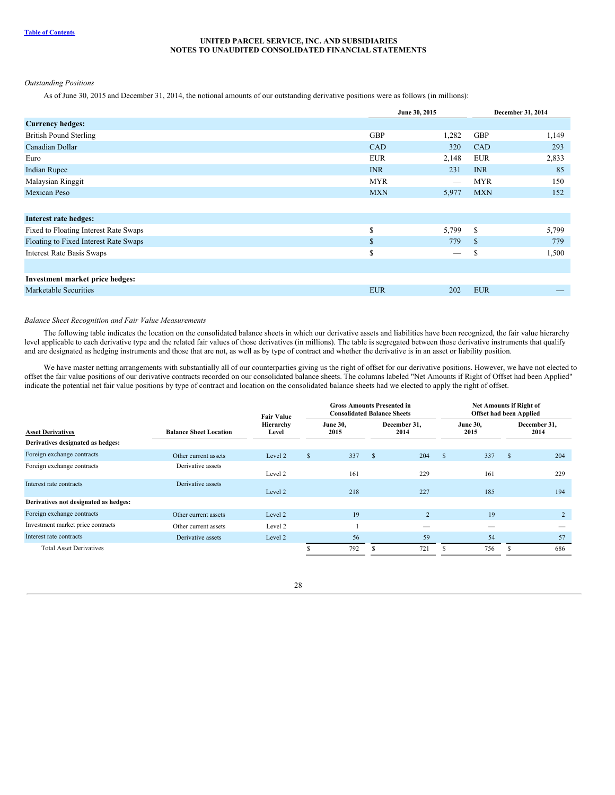# *Outstanding Positions*

As of June 30, 2015 and December 31, 2014, the notional amounts of our outstanding derivative positions were as follows (in millions):

|                                       | June 30, 2015 |       | December 31, 2014 |       |  |
|---------------------------------------|---------------|-------|-------------------|-------|--|
| <b>Currency hedges:</b>               |               |       |                   |       |  |
| <b>British Pound Sterling</b>         | <b>GBP</b>    | 1,282 | <b>GBP</b>        | 1,149 |  |
| Canadian Dollar                       | CAD           | 320   | CAD               | 293   |  |
| Euro                                  | <b>EUR</b>    | 2,148 | <b>EUR</b>        | 2,833 |  |
| <b>Indian Rupee</b>                   | <b>INR</b>    | 231   | <b>INR</b>        | 85    |  |
| Malaysian Ringgit                     | <b>MYR</b>    |       | <b>MYR</b>        | 150   |  |
| <b>Mexican Peso</b>                   | <b>MXN</b>    | 5,977 | <b>MXN</b>        | 152   |  |
|                                       |               |       |                   |       |  |
| Interest rate hedges:                 |               |       |                   |       |  |
| Fixed to Floating Interest Rate Swaps | S             | 5,799 | <sup>\$</sup>     | 5,799 |  |
| Floating to Fixed Interest Rate Swaps | \$            | 779   | <sup>\$</sup>     | 779   |  |
| <b>Interest Rate Basis Swaps</b>      | <sup>\$</sup> |       | -S                | 1,500 |  |
|                                       |               |       |                   |       |  |
| Investment market price hedges:       |               |       |                   |       |  |
| Marketable Securities                 | <b>EUR</b>    | 202   | <b>EUR</b>        |       |  |

#### *Balance Sheet Recognition and Fair Value Measurements*

The following table indicates the location on the consolidated balance sheets in which our derivative assets and liabilities have been recognized, the fair value hierarchy level applicable to each derivative type and the related fair values of those derivatives (in millions). The table is segregated between those derivative instruments that qualify and are designated as hedging instruments and those that are not, as well as by type of contract and whether the derivative is in an asset or liability position.

We have master netting arrangements with substantially all of our counterparties giving us the right of offset for our derivative positions. However, we have not elected to offset the fair value positions of our derivative contracts recorded on our consolidated balance sheets. The columns labeled "Net Amounts if Right of Offset had been Applied" indicate the potential net fair value positions by type of contract and location on the consolidated balance sheets had we elected to apply the right of offset.

|                                       |                               | <b>Fair Value</b>  |     | <b>Gross Amounts Presented in</b><br><b>Consolidated Balance Sheets</b> |              |                      |              | <b>Net Amounts if Right of</b><br><b>Offset had been Applied</b> |               |                      |  |  |
|---------------------------------------|-------------------------------|--------------------|-----|-------------------------------------------------------------------------|--------------|----------------------|--------------|------------------------------------------------------------------|---------------|----------------------|--|--|
| <b>Asset Derivatives</b>              | <b>Balance Sheet Location</b> | Hierarchy<br>Level |     | <b>June 30,</b><br>2015                                                 |              | December 31,<br>2014 |              | <b>June 30,</b><br>2015                                          |               | December 31,<br>2014 |  |  |
| Derivatives designated as hedges:     |                               |                    |     |                                                                         |              |                      |              |                                                                  |               |                      |  |  |
| Foreign exchange contracts            | Other current assets          | Level 2            | \$. | 337                                                                     | <sup>S</sup> | 204                  | <sup>S</sup> | 337                                                              | <sup>\$</sup> | 204                  |  |  |
| Foreign exchange contracts            | Derivative assets             | Level 2            |     | 161                                                                     |              | 229                  |              | 161                                                              |               | 229                  |  |  |
| Interest rate contracts               | Derivative assets             | Level 2            |     | 218                                                                     |              | 227                  |              | 185                                                              |               | 194                  |  |  |
| Derivatives not designated as hedges: |                               |                    |     |                                                                         |              |                      |              |                                                                  |               |                      |  |  |
| Foreign exchange contracts            | Other current assets          | Level 2            |     | 19                                                                      |              | $\overline{2}$       |              | 19                                                               |               |                      |  |  |
| Investment market price contracts     | Other current assets          | Level 2            |     |                                                                         |              | __                   |              |                                                                  |               |                      |  |  |
| Interest rate contracts               | Derivative assets             | Level 2            |     | 56                                                                      |              | 59                   |              | 54                                                               |               | 57                   |  |  |
| <b>Total Asset Derivatives</b>        |                               |                    |     | 792                                                                     |              | 721                  |              | 756                                                              |               | 686                  |  |  |

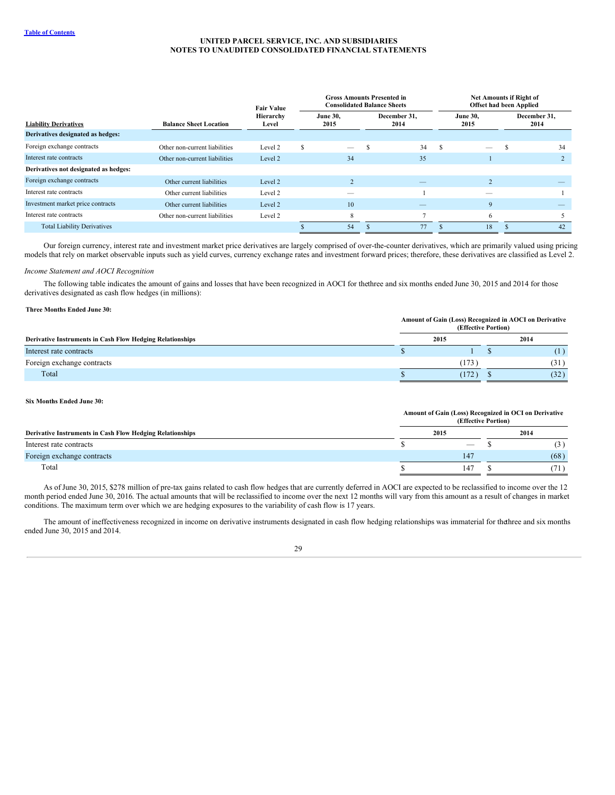|                                       |                               | <b>Fair Value</b>  |    | <b>Gross Amounts Presented in</b><br><b>Consolidated Balance Sheets</b> |    |    | <b>Net Amounts if Right of</b><br><b>Offset had been Applied</b> |     |  |    |  |                      |                         |  |  |                      |
|---------------------------------------|-------------------------------|--------------------|----|-------------------------------------------------------------------------|----|----|------------------------------------------------------------------|-----|--|----|--|----------------------|-------------------------|--|--|----------------------|
| <b>Liability Derivatives</b>          | <b>Balance Sheet Location</b> | Hierarchy<br>Level |    | <b>June 30,</b><br>2015                                                 |    |    |                                                                  |     |  |    |  | December 31,<br>2014 | <b>June 30,</b><br>2015 |  |  | December 31,<br>2014 |
| Derivatives designated as hedges:     |                               |                    |    |                                                                         |    |    |                                                                  |     |  |    |  |                      |                         |  |  |                      |
| Foreign exchange contracts            | Other non-current liabilities | Level 2            | S. | $\overline{\phantom{a}}$                                                |    | 34 | <sup>\$</sup>                                                    |     |  | 34 |  |                      |                         |  |  |                      |
| Interest rate contracts               | Other non-current liabilities | Level 2            | 34 |                                                                         | 35 |    |                                                                  |     |  |    |  |                      |                         |  |  |                      |
| Derivatives not designated as hedges: |                               |                    |    |                                                                         |    |    |                                                                  |     |  |    |  |                      |                         |  |  |                      |
| Foreign exchange contracts            | Other current liabilities     | Level 2            |    | $\overline{2}$                                                          |    |    |                                                                  |     |  |    |  |                      |                         |  |  |                      |
| Interest rate contracts               | Other current liabilities     | Level 2            |    |                                                                         |    |    |                                                                  | $-$ |  |    |  |                      |                         |  |  |                      |
| Investment market price contracts     | Other current liabilities     | Level 2            |    | 10                                                                      |    |    |                                                                  | 9   |  |    |  |                      |                         |  |  |                      |
| Interest rate contracts               | Other non-current liabilities | Level 2            |    | 8                                                                       |    |    |                                                                  | 6   |  |    |  |                      |                         |  |  |                      |
| <b>Total Liability Derivatives</b>    |                               |                    |    | 54                                                                      |    | 77 |                                                                  | 18  |  | 42 |  |                      |                         |  |  |                      |

Our foreign currency, interest rate and investment market price derivatives are largely comprised of over-the-counter derivatives, which are primarily valued using pricing models that rely on market observable inputs such as yield curves, currency exchange rates and investment forward prices; therefore, these derivatives are classified as Level 2.

#### *Income Statement and AOCI Recognition*

The following table indicates the amount of gains and losses that have been recognized in AOCI for thethree and six months ended June 30, 2015 and 2014 for those derivatives designated as cash flow hedges (in millions):

#### **Three Months Ended June 30:**

|                                                           | (Effective Portion) |      | Amount of Gain (Loss) Recognized in AOCI on Derivative |  |
|-----------------------------------------------------------|---------------------|------|--------------------------------------------------------|--|
| Derivative Instruments in Cash Flow Hedging Relationships | 2015                | 2014 |                                                        |  |
| Interest rate contracts                                   |                     |      |                                                        |  |
| Foreign exchange contracts                                | (173)               |      | (31)                                                   |  |
| Total                                                     | (172)               |      | (32)                                                   |  |

#### **Six Months Ended June 30:**

|                                                           |  | (Effective Portion)             | Amount of Gain (Loss) Recognized in OCI on Derivative |
|-----------------------------------------------------------|--|---------------------------------|-------------------------------------------------------|
| Derivative Instruments in Cash Flow Hedging Relationships |  | 2015                            | 2014                                                  |
| Interest rate contracts                                   |  | $\hspace{0.1mm}-\hspace{0.1mm}$ | (3)                                                   |
| Foreign exchange contracts                                |  | 147                             | (68)                                                  |
| Total                                                     |  | 147                             | 71)                                                   |

As of June 30, 2015, \$278 million of pre-tax gains related to cash flow hedges that are currently deferred in AOCI are expected to be reclassified to income over the 12 month period ended June 30, 2016. The actual amounts that will be reclassified to income over the next 12 months will vary from this amount as a result of changes in market conditions. The maximum term over which we are hedging exposures to the variability of cash flow is 17 years.

The amount of ineffectiveness recognized in income on derivative instruments designated in cash flow hedging relationships was immaterial for thethree and six months ended June 30, 2015 and 2014.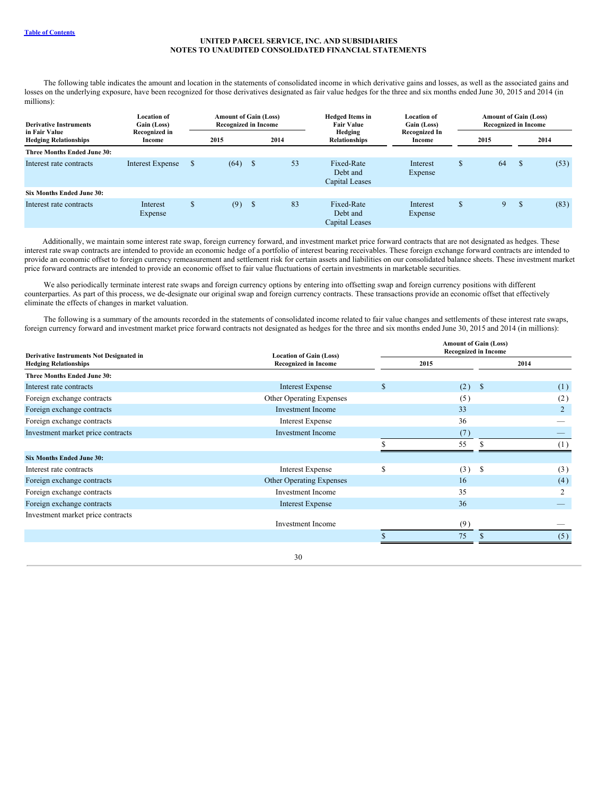The following table indicates the amount and location in the statements of consolidated income in which derivative gains and losses, as well as the associated gains and losses on the underlying exposure, have been recognized for those derivatives designated as fair value hedges for the three and six months ended June 30, 2015 and 2014 (in millions):

| <b>Derivative Instruments</b>                 | <b>Location of</b><br>Gain (Loss) | <b>Amount of Gain (Loss)</b><br><b>Recognized in Income</b> |      |              |      | <b>Hedged Items in</b><br><b>Fair Value</b> | <b>Location of</b><br>Gain (Loss) | <b>Amount of Gain (Loss)</b><br><b>Recognized in Income</b> |    |               |      |  |  |  |
|-----------------------------------------------|-----------------------------------|-------------------------------------------------------------|------|--------------|------|---------------------------------------------|-----------------------------------|-------------------------------------------------------------|----|---------------|------|--|--|--|
| in Fair Value<br><b>Hedging Relationships</b> | <b>Recognized in</b><br>Income    |                                                             | 2015 |              | 2014 | Hedging<br><b>Relationships</b>             | <b>Recognized In</b><br>Income    | 2015                                                        |    |               | 2014 |  |  |  |
| Three Months Ended June 30:                   |                                   |                                                             |      |              |      |                                             |                                   |                                                             |    |               |      |  |  |  |
| Interest rate contracts                       | Interest Expense                  | <sup>S</sup>                                                | (64) | <sup>S</sup> | 53   | Fixed-Rate<br>Debt and<br>Capital Leases    | Interest<br>Expense               | \$                                                          | 64 | <sup>\$</sup> | (53) |  |  |  |
| Six Months Ended June 30:                     |                                   |                                                             |      |              |      |                                             |                                   |                                                             |    |               |      |  |  |  |
| Interest rate contracts                       | Interest<br>Expense               | \$                                                          | (9)  | <sup>S</sup> | 83   | Fixed-Rate<br>Debt and<br>Capital Leases    | Interest<br>Expense               | \$.                                                         | 9  | S             | (83) |  |  |  |

Additionally, we maintain some interest rate swap, foreign currency forward, and investment market price forward contracts that are not designated as hedges. These interest rate swap contracts are intended to provide an economic hedge of a portfolio of interest bearing receivables. These foreign exchange forward contracts are intended to provide an economic offset to foreign currency remeasurement and settlement risk for certain assets and liabilities on our consolidated balance sheets. These investment market price forward contracts are intended to provide an economic offset to fair value fluctuations of certain investments in marketable securities.

We also periodically terminate interest rate swaps and foreign currency options by entering into offsetting swap and foreign currency positions with different counterparties. As part of this process, we de-designate our original swap and foreign currency contracts. These transactions provide an economic offset that effectively eliminate the effects of changes in market valuation.

The following is a summary of the amounts recorded in the statements of consolidated income related to fair value changes and settlements of these interest rate swaps, foreign currency forward and investment market price forward contracts not designated as hedges for the three and six months ended June 30, 2015 and 2014 (in millions):

| Derivative Instruments Not Designated in | <b>Location of Gain (Loss)</b>  |           | <b>Amount of Gain (Loss)</b><br><b>Recognized in Income</b> |                |  |
|------------------------------------------|---------------------------------|-----------|-------------------------------------------------------------|----------------|--|
| <b>Hedging Relationships</b>             | <b>Recognized in Income</b>     | 2015      | 2014                                                        |                |  |
| <b>Three Months Ended June 30:</b>       |                                 |           |                                                             |                |  |
| Interest rate contracts                  | <b>Interest Expense</b>         | \$<br>(2) | $\mathbb{S}$                                                | (1)            |  |
| Foreign exchange contracts               | Other Operating Expenses        | (5)       |                                                             | (2)            |  |
| Foreign exchange contracts               | <b>Investment Income</b>        | 33        |                                                             | $\overline{2}$ |  |
| Foreign exchange contracts               | <b>Interest Expense</b>         | 36        |                                                             |                |  |
| Investment market price contracts        | <b>Investment Income</b>        | (7)       |                                                             |                |  |
|                                          |                                 | 55        |                                                             | (1)            |  |
| <b>Six Months Ended June 30:</b>         |                                 |           |                                                             |                |  |
| Interest rate contracts                  | <b>Interest Expense</b>         | \$<br>(3) | \$                                                          | (3)            |  |
| Foreign exchange contracts               | <b>Other Operating Expenses</b> | 16        |                                                             | (4)            |  |
| Foreign exchange contracts               | <b>Investment Income</b>        | 35        |                                                             | $\overline{2}$ |  |
| Foreign exchange contracts               | <b>Interest Expense</b>         | 36        |                                                             |                |  |
| Investment market price contracts        |                                 |           |                                                             |                |  |
|                                          | <b>Investment Income</b>        | (9)       |                                                             |                |  |
|                                          |                                 | 75        |                                                             | (5)            |  |
|                                          | 30                              |           |                                                             |                |  |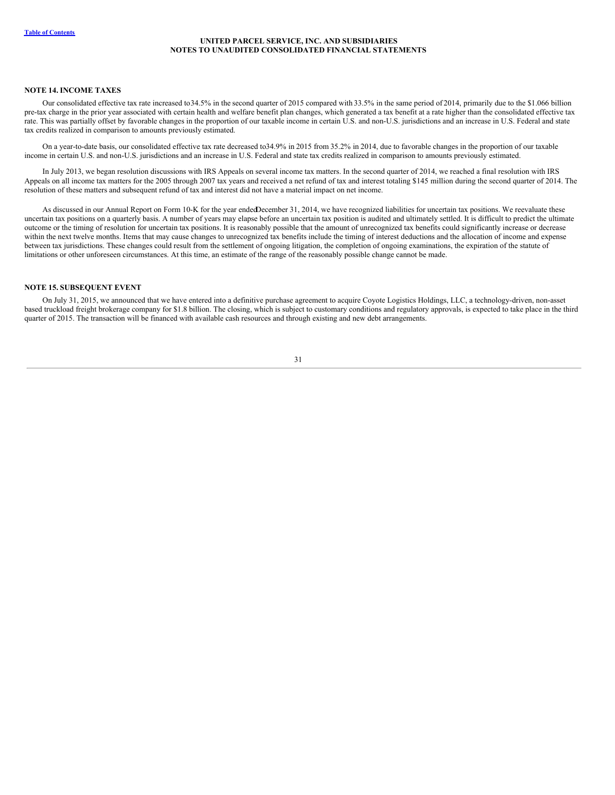#### <span id="page-32-0"></span>**NOTE 14. INCOME TAXES**

Our consolidated effective tax rate increased to 34.5% in the second quarter of 2015 compared with 33.5% in the same period of 2014, primarily due to the \$1.066 billion pre-tax charge in the prior year associated with certain health and welfare benefit plan changes, which generated a tax benefit at a rate higher than the consolidated effective tax rate. This was partially offset by favorable changes in the proportion of our taxable income in certain U.S. and non-U.S. jurisdictions and an increase in U.S. Federal and state tax credits realized in comparison to amounts previously estimated.

On a year-to-date basis, our consolidated effective tax rate decreased to34.9% in 2015 from 35.2% in 2014, due to favorable changes in the proportion of our taxable income in certain U.S. and non-U.S. jurisdictions and an increase in U.S. Federal and state tax credits realized in comparison to amounts previously estimated.

In July 2013, we began resolution discussions with IRS Appeals on several income tax matters. In the second quarter of 2014, we reached a final resolution with IRS Appeals on all income tax matters for the 2005 through 2007 tax years and received a net refund of tax and interest totaling \$145 million during the second quarter of 2014. The resolution of these matters and subsequent refund of tax and interest did not have a material impact on net income.

As discussed in our Annual Report on Form 10-K for the year endedDecember 31, 2014, we have recognized liabilities for uncertain tax positions. We reevaluate these uncertain tax positions on a quarterly basis. A number of years may elapse before an uncertain tax position is audited and ultimately settled. It is difficult to predict the ultimate outcome or the timing of resolution for uncertain tax positions. It is reasonably possible that the amount of unrecognized tax benefits could significantly increase or decrease within the next twelve months. Items that may cause changes to unrecognized tax benefits include the timing of interest deductions and the allocation of income and expense between tax jurisdictions. These changes could result from the settlement of ongoing litigation, the completion of ongoing examinations, the expiration of the statute of limitations or other unforeseen circumstances. At this time, an estimate of the range of the reasonably possible change cannot be made.

# <span id="page-32-1"></span>**NOTE 15. SUBSEQUENT EVENT**

On July 31, 2015, we announced that we have entered into a definitive purchase agreement to acquire Coyote Logistics Holdings, LLC, a technology-driven, non-asset based truckload freight brokerage company for \$1.8 billion. The closing, which is subject to customary conditions and regulatory approvals, is expected to take place in the third quarter of 2015. The transaction will be financed with available cash resources and through existing and new debt arrangements.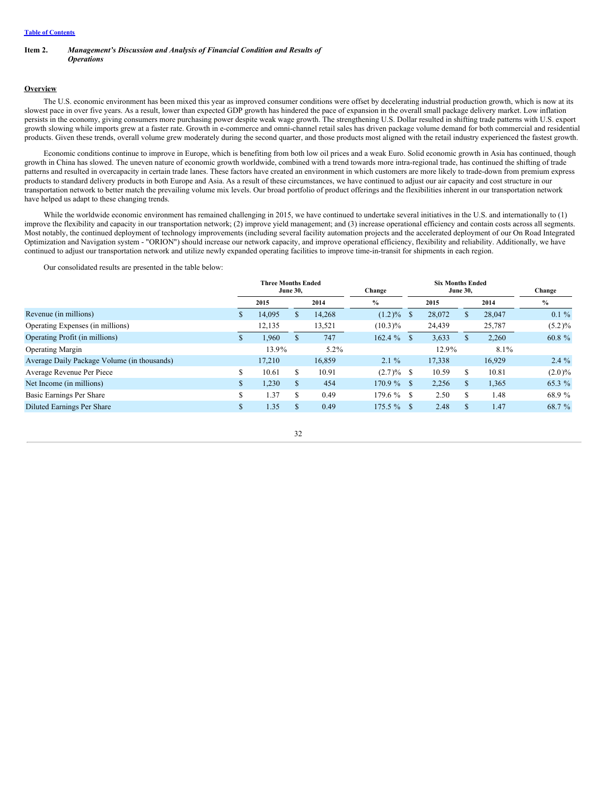<span id="page-33-0"></span>**Item 2.** *Management's Discussion and Analysis of Financial Condition and Results of Operations*

#### <span id="page-33-1"></span>**Overview**

The U.S. economic environment has been mixed this year as improved consumer conditions were offset by decelerating industrial production growth, which is now at its slowest pace in over five years. As a result, lower than expected GDP growth has hindered the pace of expansion in the overall small package delivery market. Low inflation persists in the economy, giving consumers more purchasing power despite weak wage growth. The strengthening U.S. Dollar resulted in shifting trade patterns with U.S. export growth slowing while imports grew at a faster rate. Growth in e-commerce and omni-channel retail sales has driven package volume demand for both commercial and residential products. Given these trends, overall volume grew moderately during the second quarter, and those products most aligned with the retail industry experienced the fastest growth.

Economic conditions continue to improve in Europe, which is benefiting from both low oil prices and a weak Euro. Solid economic growth in Asia has continued, though growth in China has slowed. The uneven nature of economic growth worldwide, combined with a trend towards more intra-regional trade, has continued the shifting of trade patterns and resulted in overcapacity in certain trade lanes. These factors have created an environment in which customers are more likely to trade-down from premium express products to standard delivery products in both Europe and Asia. As a result of these circumstances, we have continued to adjust our air capacity and cost structure in our transportation network to better match the prevailing volume mix levels. Our broad portfolio of product offerings and the flexibilities inherent in our transportation network have helped us adapt to these changing trends.

While the worldwide economic environment has remained challenging in 2015, we have continued to undertake several initiatives in the U.S. and internationally to (1) improve the flexibility and capacity in our transportation network; (2) improve yield management; and (3) increase operational efficiency and contain costs across all segments. Most notably, the continued deployment of technology improvements (including several facility automation projects and the accelerated deployment of our On Road Integrated Optimization and Navigation system - "ORION") should increase our network capacity, and improve operational efficiency, flexibility and reliability. Additionally, we have continued to adjust our transportation network and utilize newly expanded operating facilities to improve time-in-transit for shipments in each region.

Our consolidated results are presented in the table below:

|                                             | <b>Three Months Ended</b><br><b>June 30,</b> |        |     |         | Change        |  | <b>Six Months Ended</b><br><b>June 30,</b> | Change |         |           |
|---------------------------------------------|----------------------------------------------|--------|-----|---------|---------------|--|--------------------------------------------|--------|---------|-----------|
|                                             |                                              | 2015   |     | 2014    | $\%$          |  | 2015                                       |        | 2014    | $\%$      |
| Revenue (in millions)                       |                                              | 14,095 | аħ. | 14,268  | $(1.2)\%$ \$  |  | 28,072                                     | \$     | 28,047  | $0.1\%$   |
| Operating Expenses (in millions)            |                                              | 12,135 |     | 13,521  | $(10.3)\%$    |  | 24,439                                     |        | 25,787  | $(5.2)\%$ |
| Operating Profit (in millions)              | S                                            | 1,960  |     | 747     | 162.4%        |  | 3,633                                      | \$.    | 2,260   | 60.8 %    |
| <b>Operating Margin</b>                     |                                              | 13.9%  |     | $5.2\%$ |               |  | 12.9%                                      |        | $8.1\%$ |           |
| Average Daily Package Volume (in thousands) |                                              | 17.210 |     | 16,859  | $2.1\%$       |  | 17,338                                     |        | 16,929  | $2.4\%$   |
| Average Revenue Per Piece                   | S                                            | 10.61  | S   | 10.91   | $(2.7)\%$ \$  |  | 10.59                                      | S      | 10.81   | $(2.0)\%$ |
| Net Income (in millions)                    | \$                                           | 1,230  | S.  | 454     | $170.9 \%$ \$ |  | 2,256                                      | \$     | 1,365   | 65.3 %    |
| Basic Earnings Per Share                    | S                                            | 1.37   | σ   | 0.49    | $179.6\%$ \$  |  | 2.50                                       | S      | 1.48    | 68.9 %    |
| Diluted Earnings Per Share                  | \$                                           | 1.35   | S   | 0.49    | $175.5 \%$ \$ |  | 2.48                                       | \$     | 1.47    | 68.7 %    |

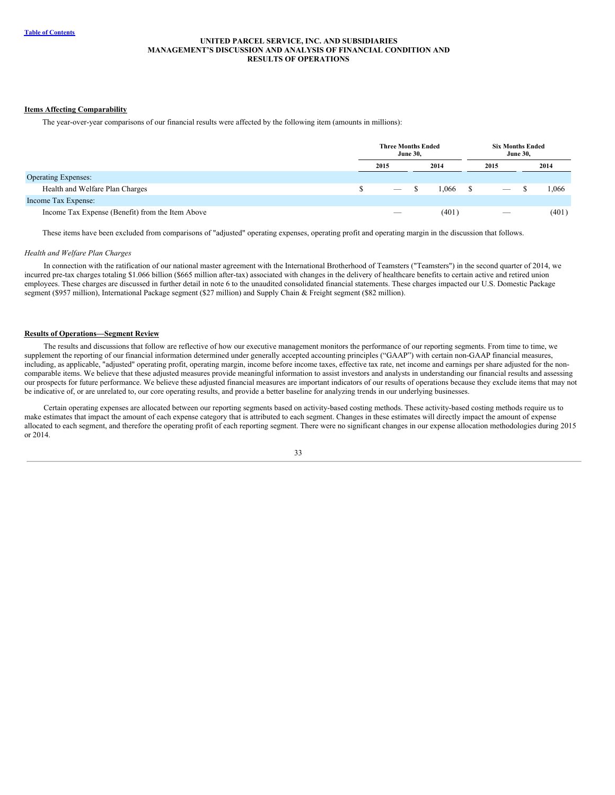# <span id="page-34-0"></span>**Items Affecting Comparability**

The year-over-year comparisons of our financial results were affected by the following item (amounts in millions):

|                                                  |      | <b>Three Months Ended</b> | <b>June 30.</b> |       | <b>Six Months Ended</b>  | <b>June 30,</b> |       |
|--------------------------------------------------|------|---------------------------|-----------------|-------|--------------------------|-----------------|-------|
|                                                  | 2015 |                           |                 | 2014  | 2015                     |                 | 2014  |
| <b>Operating Expenses:</b>                       |      |                           |                 |       |                          |                 |       |
| Health and Welfare Plan Charges                  |      | $\overline{\phantom{a}}$  |                 | 1.066 | $\overline{\phantom{a}}$ |                 | 1,066 |
| Income Tax Expense:                              |      |                           |                 |       |                          |                 |       |
| Income Tax Expense (Benefit) from the Item Above |      | __                        |                 | (401) |                          |                 | (401) |

These items have been excluded from comparisons of "adjusted" operating expenses, operating profit and operating margin in the discussion that follows.

#### *Health and Welfare Plan Charges*

In connection with the ratification of our national master agreement with the International Brotherhood of Teamsters ("Teamsters") in the second quarter of 2014, we incurred pre-tax charges totaling \$1.066 billion (\$665 million after-tax) associated with changes in the delivery of healthcare benefits to certain active and retired union employees. These charges are discussed in further detail in note 6 to the unaudited consolidated financial statements. These charges impacted our U.S. Domestic Package segment (\$957 million), International Package segment (\$27 million) and Supply Chain & Freight segment (\$82 million).

#### <span id="page-34-1"></span>**Results of Operations—Segment Review**

The results and discussions that follow are reflective of how our executive management monitors the performance of our reporting segments. From time to time, we supplement the reporting of our financial information determined under generally accepted accounting principles ("GAAP") with certain non-GAAP financial measures, including, as applicable, "adjusted" operating profit, operating margin, income before income taxes, effective tax rate, net income and earnings per share adjusted for the noncomparable items. We believe that these adjusted measures provide meaningful information to assist investors and analysts in understanding our financial results and assessing our prospects for future performance. We believe these adjusted financial measures are important indicators of our results of operations because they exclude items that may not be indicative of, or are unrelated to, our core operating results, and provide a better baseline for analyzing trends in our underlying businesses.

Certain operating expenses are allocated between our reporting segments based on activity-based costing methods. These activity-based costing methods require us to make estimates that impact the amount of each expense category that is attributed to each segment. Changes in these estimates will directly impact the amount of expense allocated to each segment, and therefore the operating profit of each reporting segment. There were no significant changes in our expense allocation methodologies during 2015 or 2014.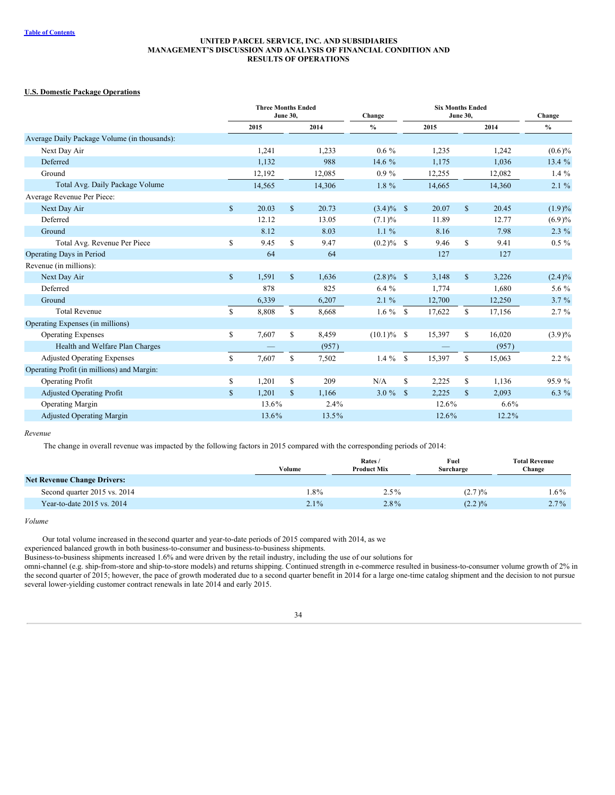# <span id="page-35-0"></span>**U.S. Domestic Package Operations**

|                                              | <b>Three Months Ended</b><br><b>June 30.</b> |        |               | Change | <b>Six Months Ended</b><br><b>June 30,</b> |    |          |              | Change |               |
|----------------------------------------------|----------------------------------------------|--------|---------------|--------|--------------------------------------------|----|----------|--------------|--------|---------------|
|                                              |                                              | 2015   |               | 2014   | $\frac{0}{0}$                              |    | 2015     |              | 2014   | $\frac{0}{0}$ |
| Average Daily Package Volume (in thousands): |                                              |        |               |        |                                            |    |          |              |        |               |
| Next Day Air                                 |                                              | 1,241  |               | 1,233  | $0.6\%$                                    |    | 1,235    |              | 1,242  | $(0.6)\%$     |
| Deferred                                     |                                              | 1,132  |               | 988    | 14.6 %                                     |    | 1,175    |              | 1,036  | 13.4 %        |
| Ground                                       |                                              | 12,192 |               | 12,085 | $0.9\%$                                    |    | 12,255   |              | 12,082 | $1.4\%$       |
| Total Avg. Daily Package Volume              |                                              | 14,565 |               | 14,306 | 1.8 %                                      |    | 14,665   |              | 14,360 | $2.1\%$       |
| Average Revenue Per Piece:                   |                                              |        |               |        |                                            |    |          |              |        |               |
| Next Day Air                                 | $\mathbb{S}$                                 | 20.03  | $\mathsf{\$}$ | 20.73  | $(3.4)\%$ \$                               |    | 20.07    | \$           | 20.45  | $(1.9)\%$     |
| Deferred                                     |                                              | 12.12  |               | 13.05  | (7.1)%                                     |    | 11.89    |              | 12.77  | $(6.9)\%$     |
| Ground                                       |                                              | 8.12   |               | 8.03   | $1.1\%$                                    |    | 8.16     |              | 7.98   | $2.3\%$       |
| Total Avg. Revenue Per Piece                 | \$                                           | 9.45   | \$            | 9.47   | $(0.2)\%$ \$                               |    | 9.46     | \$           | 9.41   | $0.5\%$       |
| Operating Days in Period                     |                                              | 64     |               | 64     |                                            |    | 127      |              | 127    |               |
| Revenue (in millions):                       |                                              |        |               |        |                                            |    |          |              |        |               |
| Next Day Air                                 | $\mathbb{S}$                                 | 1,591  | $\mathsf{\$}$ | 1,636  | $(2.8)\%$ \$                               |    | 3,148    | $\mathbb{S}$ | 3,226  | $(2.4)\%$     |
| Deferred                                     |                                              | 878    |               | 825    | $6.4\%$                                    |    | 1,774    |              | 1,680  | 5.6 $%$       |
| Ground                                       |                                              | 6,339  |               | 6,207  | $2.1\%$                                    |    | 12,700   |              | 12,250 | $3.7\%$       |
| <b>Total Revenue</b>                         | \$                                           | 8,808  | \$            | 8,668  | $1.6 \%$ \$                                |    | 17,622   | $\mathbb{S}$ | 17,156 | $2.7\%$       |
| Operating Expenses (in millions)             |                                              |        |               |        |                                            |    |          |              |        |               |
| <b>Operating Expenses</b>                    | \$                                           | 7,607  | \$            | 8,459  | $(10.1)\%$ \$                              |    | 15,397   | \$           | 16,020 | $(3.9)\%$     |
| Health and Welfare Plan Charges              |                                              |        |               | (957)  |                                            |    |          |              | (957)  |               |
| <b>Adjusted Operating Expenses</b>           | \$                                           | 7,607  | \$            | 7,502  | $1.4 \%$ \$                                |    | 15,397   | \$           | 15,063 | $2.2\%$       |
| Operating Profit (in millions) and Margin:   |                                              |        |               |        |                                            |    |          |              |        |               |
| <b>Operating Profit</b>                      | \$                                           | 1,201  | \$            | 209    | N/A                                        | \$ | 2,225    | \$           | 1,136  | 95.9%         |
| <b>Adjusted Operating Profit</b>             | $\mathbb{S}$                                 | 1,201  | $\mathsf{\$}$ | 1,166  | $3.0\%$ \$                                 |    | 2,225    | \$           | 2,093  | 6.3 $%$       |
| <b>Operating Margin</b>                      |                                              | 13.6%  |               | 2.4%   |                                            |    | 12.6%    |              | 6.6%   |               |
| <b>Adjusted Operating Margin</b>             |                                              | 13.6%  |               | 13.5%  |                                            |    | $12.6\%$ |              | 12.2%  |               |

*Revenue*

The change in overall revenue was impacted by the following factors in 2015 compared with the corresponding periods of 2014:

|                                    | Volume  | Rates<br><b>Product Mix</b> | Fuel<br>Surcharge | <b>Total Revenue</b><br>Change |
|------------------------------------|---------|-----------------------------|-------------------|--------------------------------|
| <b>Net Revenue Change Drivers:</b> |         |                             |                   |                                |
| Second quarter 2015 vs. 2014       | $.8\%$  | $2.5\%$                     | (2.7)%            | .6%                            |
| Year-to-date $2015$ vs. $2014$     | $2.1\%$ | $2.8\%$                     | $(2.2)\%$         | $2.7\%$                        |

*Volume*

Our total volume increased in the second quarter and year-to-date periods of 2015 compared with 2014, as we

experienced balanced growth in both business-to-consumer and business-to-business shipments.

Business-to-business shipments increased 1.6% and were driven by the retail industry, including the use of our solutions for

omni-channel (e.g. ship-from-store and ship-to-store models) and returns shipping. Continued strength in e-commerce resulted in business-to-consumer volume growth of 2% in the second quarter of 2015; however, the pace of growth moderated due to a second quarter benefit in 2014 for a large one-time catalog shipment and the decision to not pursue several lower-yielding customer contract renewals in late 2014 and early 2015.

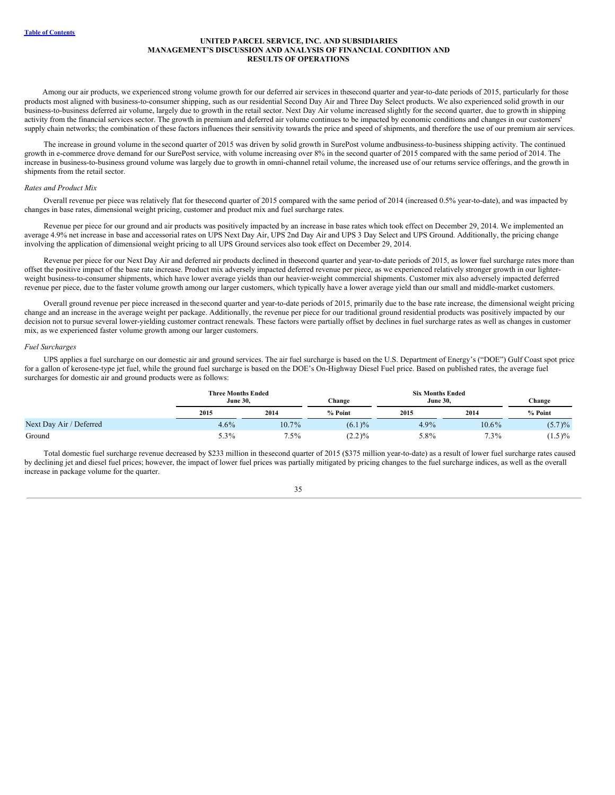Among our air products, we experienced strong volume growth for our deferred air services in thesecond quarter and year-to-date periods of 2015, particularly for those products most aligned with business-to-consumer shipping, such as our residential Second Day Air and Three Day Select products. We also experienced solid growth in our business-to-business deferred air volume, largely due to growth in the retail sector. Next Day Air volume increased slightly for the second quarter, due to growth in shipping activity from the financial services sector. The growth in premium and deferred air volume continues to be impacted by economic conditions and changes in our customers' supply chain networks; the combination of these factors influences their sensitivity towards the price and speed of shipments, and therefore the use of our premium air services.

The increase in ground volume in the second quarter of 2015 was driven by solid growth in SurePost volume andbusiness-to-business shipping activity. The continued growth in e-commerce drove demand for our SurePost service, with volume increasing over 8% in the second quarter of 2015 compared with the same period of 2014. The increase in business-to-business ground volume was largely due to growth in omni-channel retail volume, the increased use of our returns service offerings, and the growth in shipments from the retail sector.

#### *Rates and Product Mix*

Overall revenue per piece was relatively flat for thesecond quarter of 2015 compared with the same period of 2014 (increased 0.5% year-to-date), and was impacted by changes in base rates, dimensional weight pricing, customer and product mix and fuel surcharge rates.

Revenue per piece for our ground and air products was positively impacted by an increase in base rates which took effect on December 29, 2014. We implemented an average 4.9% net increase in base and accessorial rates on UPS Next Day Air, UPS 2nd Day Air and UPS 3 Day Select and UPS Ground. Additionally, the pricing change involving the application of dimensional weight pricing to all UPS Ground services also took effect on December 29, 2014.

Revenue per piece for our Next Day Air and deferred air products declined in thesecond quarter and year-to-date periods of 2015, as lower fuel surcharge rates more than offset the positive impact of the base rate increase. Product mix adversely impacted deferred revenue per piece, as we experienced relatively stronger growth in our lighterweight business-to-consumer shipments, which have lower average yields than our heavier-weight commercial shipments. Customer mix also adversely impacted deferred revenue per piece, due to the faster volume growth among our larger customers, which typically have a lower average yield than our small and middle-market customers.

Overall ground revenue per piece increased in thesecond quarter and year-to-date periods of 2015, primarily due to the base rate increase, the dimensional weight pricing change and an increase in the average weight per package. Additionally, the revenue per piece for our traditional ground residential products was positively impacted by our decision not to pursue several lower-yielding customer contract renewals. These factors were partially offset by declines in fuel surcharge rates as well as changes in customer mix, as we experienced faster volume growth among our larger customers.

#### *Fuel Surcharges*

UPS applies a fuel surcharge on our domestic air and ground services. The air fuel surcharge is based on the U.S. Department of Energy's ("DOE") Gulf Coast spot price for a gallon of kerosene-type jet fuel, while the ground fuel surcharge is based on the DOE's On-Highway Diesel Fuel price. Based on published rates, the average fuel surcharges for domestic air and ground products were as follows:

|                         | <b>Three Months Ended</b><br><b>June 30.</b> |          | Change    | <b>Six Months Ended</b><br>June 30, | Change   |           |  |
|-------------------------|----------------------------------------------|----------|-----------|-------------------------------------|----------|-----------|--|
|                         | 2015                                         | 2014     | % Point   | 2015                                | 2014     | % Point   |  |
| Next Day Air / Deferred | $4.6\%$                                      | $10.7\%$ | $(6.1)\%$ | $4.9\%$                             | $10.6\%$ | (5.7)%    |  |
| Ground                  | 5.3%                                         | $7.5\%$  | $(2.2)\%$ | 5.8%                                | $7.3\%$  | $(1.5)\%$ |  |

Total domestic fuel surcharge revenue decreased by \$233 million in thesecond quarter of 2015 (\$375 million year-to-date) as a result of lower fuel surcharge rates caused by declining jet and diesel fuel prices; however, the impact of lower fuel prices was partially mitigated by pricing changes to the fuel surcharge indices, as well as the overall increase in package volume for the quarter.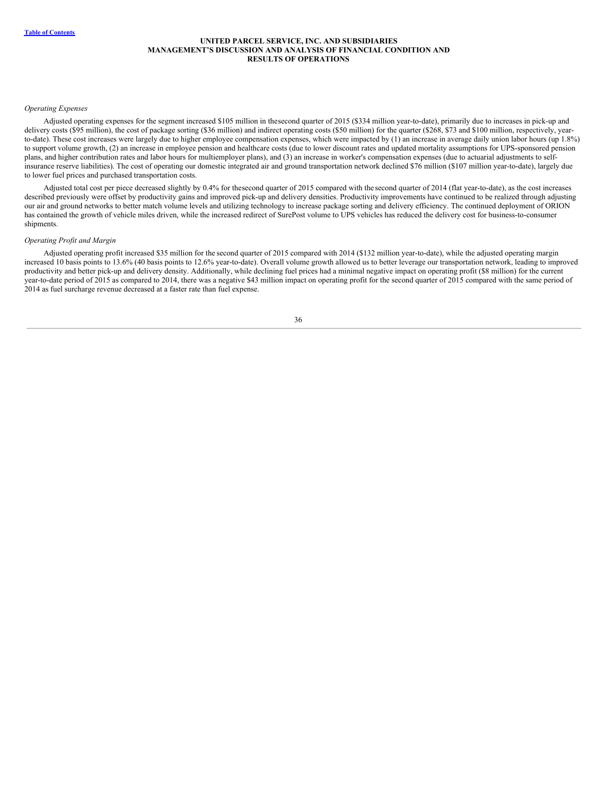# *Operating Expenses*

Adjusted operating expenses for the segment increased \$105 million in thesecond quarter of 2015 (\$334 million year-to-date), primarily due to increases in pick-up and delivery costs (\$95 million), the cost of package sorting (\$36 million) and indirect operating costs (\$50 million) for the quarter (\$268, \$73 and \$100 million, respectively, yearto-date). These cost increases were largely due to higher employee compensation expenses, which were impacted by (1) an increase in average daily union labor hours (up 1.8%) to support volume growth, (2) an increase in employee pension and healthcare costs (due to lower discount rates and updated mortality assumptions for UPS-sponsored pension plans, and higher contribution rates and labor hours for multiemployer plans), and (3) an increase in worker's compensation expenses (due to actuarial adjustments to selfinsurance reserve liabilities). The cost of operating our domestic integrated air and ground transportation network declined \$76 million (\$107 million year-to-date), largely due to lower fuel prices and purchased transportation costs.

Adjusted total cost per piece decreased slightly by 0.4% for thesecond quarter of 2015 compared with the second quarter of 2014 (flat year-to-date), as the cost increases described previously were offset by productivity gains and improved pick-up and delivery densities. Productivity improvements have continued to be realized through adjusting our air and ground networks to better match volume levels and utilizing technology to increase package sorting and delivery efficiency. The continued deployment of ORION has contained the growth of vehicle miles driven, while the increased redirect of SurePost volume to UPS vehicles has reduced the delivery cost for business-to-consumer shipments.

#### *Operating Profit and Margin*

Adjusted operating profit increased \$35 million for the second quarter of 2015 compared with 2014 (\$132 million year-to-date), while the adjusted operating margin increased 10 basis points to 13.6% (40 basis points to 12.6% year-to-date). Overall volume growth allowed us to better leverage our transportation network, leading to improved productivity and better pick-up and delivery density. Additionally, while declining fuel prices had a minimal negative impact on operating profit (\$8 million) for the current year-to-date period of 2015 as compared to 2014, there was a negative \$43 million impact on operating profit for the second quarter of 2015 compared with the same period of 2014 as fuel surcharge revenue decreased at a faster rate than fuel expense.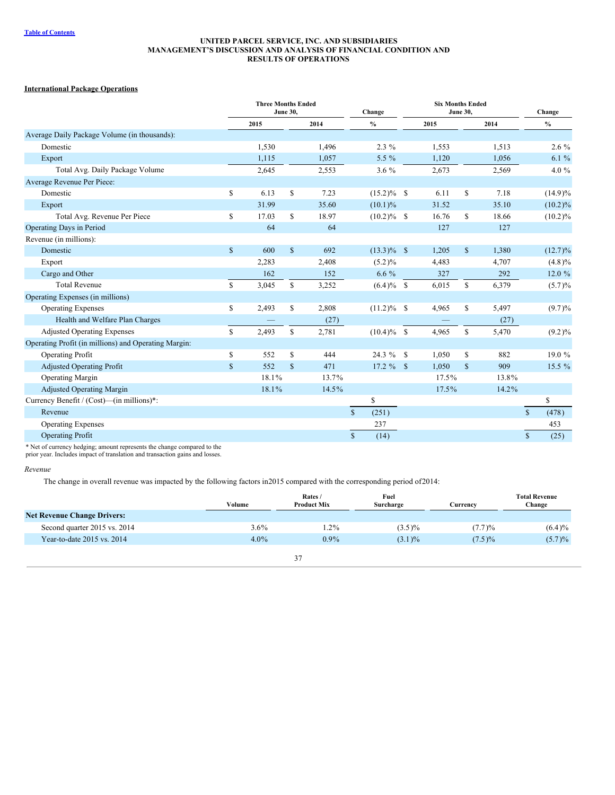# <span id="page-38-0"></span>**International Package Operations**

|                                                      |              | <b>Three Months Ended</b><br><b>June 30.</b> |               |       |              | Change        | <b>Six Months Ended</b><br><b>June 30.</b> |          |               |       |             | Change     |  |
|------------------------------------------------------|--------------|----------------------------------------------|---------------|-------|--------------|---------------|--------------------------------------------|----------|---------------|-------|-------------|------------|--|
|                                                      |              | 2015                                         |               | 2014  |              | $\%$          |                                            | 2015     |               | 2014  |             | $\%$       |  |
| Average Daily Package Volume (in thousands):         |              |                                              |               |       |              |               |                                            |          |               |       |             |            |  |
| Domestic                                             |              | 1,530                                        |               | 1,496 |              | $2.3\%$       |                                            | 1,553    |               | 1,513 |             | $2.6\%$    |  |
| Export                                               |              | 1,115                                        |               | 1.057 |              | 5.5 $%$       |                                            | 1,120    |               | 1,056 |             | $6.1\%$    |  |
| Total Avg. Daily Package Volume                      |              | 2,645                                        |               | 2,553 |              | $3.6\%$       |                                            | 2,673    |               | 2,569 |             | 4.0 $%$    |  |
| Average Revenue Per Piece:                           |              |                                              |               |       |              |               |                                            |          |               |       |             |            |  |
| Domestic                                             | \$           | 6.13                                         | \$            | 7.23  |              | $(15.2)\%$ \$ |                                            | 6.11     | \$            | 7.18  |             | $(14.9)\%$ |  |
| Export                                               |              | 31.99                                        |               | 35.60 |              | $(10.1)\%$    |                                            | 31.52    |               | 35.10 |             | $(10.2)\%$ |  |
| Total Avg. Revenue Per Piece                         | \$           | 17.03                                        | \$            | 18.97 |              | $(10.2)\%$ \$ |                                            | 16.76    | \$            | 18.66 |             | $(10.2)\%$ |  |
| Operating Days in Period                             |              | 64                                           |               | 64    |              |               |                                            | 127      |               | 127   |             |            |  |
| Revenue (in millions):                               |              |                                              |               |       |              |               |                                            |          |               |       |             |            |  |
| Domestic                                             | $\mathbb{S}$ | 600                                          | $\mathsf{\$}$ | 692   |              | $(13.3)\%$ \$ |                                            | 1,205    | $\mathbb{S}$  | 1,380 |             | $(12.7)\%$ |  |
| Export                                               |              | 2,283                                        |               | 2,408 |              | $(5.2)\%$     |                                            | 4,483    |               | 4,707 |             | $(4.8)\%$  |  |
| Cargo and Other                                      |              | 162                                          |               | 152   |              | $6.6\%$       |                                            | 327      |               | 292   |             | 12.0 $%$   |  |
| <b>Total Revenue</b>                                 | \$           | 3,045                                        | \$            | 3,252 |              | $(6.4)\%$ \$  |                                            | 6,015    | \$            | 6,379 |             | $(5.7)\%$  |  |
| Operating Expenses (in millions)                     |              |                                              |               |       |              |               |                                            |          |               |       |             |            |  |
| <b>Operating Expenses</b>                            | \$           | 2,493                                        | \$            | 2,808 |              | $(11.2)\%$ \$ |                                            | 4,965    | \$            | 5,497 |             | $(9.7)\%$  |  |
| Health and Welfare Plan Charges                      |              |                                              |               | (27)  |              |               |                                            |          |               | (27)  |             |            |  |
| <b>Adjusted Operating Expenses</b>                   | $\mathbb{S}$ | 2,493                                        | $\mathbb{S}$  | 2,781 |              | $(10.4)\%$ \$ |                                            | 4,965    | \$            | 5,470 |             | $(9.2)\%$  |  |
| Operating Profit (in millions) and Operating Margin: |              |                                              |               |       |              |               |                                            |          |               |       |             |            |  |
| <b>Operating Profit</b>                              | \$           | 552                                          | \$            | 444   |              | $24.3 \%$ \$  |                                            | 1,050    | \$            | 882   |             | 19.0%      |  |
| <b>Adjusted Operating Profit</b>                     | $\mathbb{S}$ | 552                                          | $\mathbb{S}$  | 471   |              | $17.2 \%$ \$  |                                            | 1,050    | $\mathsf{\$}$ | 909   |             | $15.5\%$   |  |
| <b>Operating Margin</b>                              |              | 18.1%                                        |               | 13.7% |              |               |                                            | $17.5\%$ |               | 13.8% |             |            |  |
| <b>Adjusted Operating Margin</b>                     |              | 18.1%                                        |               | 14.5% |              |               |                                            | 17.5%    |               | 14.2% |             |            |  |
| Currency Benefit / (Cost)—(in millions)*:            |              |                                              |               |       |              | \$            |                                            |          |               |       |             | \$         |  |
| Revenue                                              |              |                                              |               |       | S            | (251)         |                                            |          |               |       | S           | (478)      |  |
| <b>Operating Expenses</b>                            |              |                                              |               |       |              | 237           |                                            |          |               |       |             | 453        |  |
| <b>Operating Profit</b>                              |              |                                              |               |       | $\mathbb{S}$ | (14)          |                                            |          |               |       | $\mathbb S$ | (25)       |  |

\* Net of currency hedging; amount represents the change compared to the

prior year. Includes impact of translation and transaction gains and losses.

*Revenue*

The change in overall revenue was impacted by the following factors in2015 compared with the corresponding period of2014:

|                                    | Volume  | Rates<br><b>Product Mix</b> | Fuel<br>Surcharge | Currency  | <b>Total Revenue</b><br>Change |
|------------------------------------|---------|-----------------------------|-------------------|-----------|--------------------------------|
| <b>Net Revenue Change Drivers:</b> |         |                             |                   |           |                                |
| Second quarter 2015 vs. 2014       | $3.6\%$ | $1.2\%$                     | $(3.5)\%$         | (7.7)%    | $(6.4)\%$                      |
| Year-to-date 2015 vs. 2014         | $4.0\%$ | $0.9\%$                     | $(3.1)\%$         | $(7.5)\%$ | $(5.7)\%$                      |
|                                    |         | 37                          |                   |           |                                |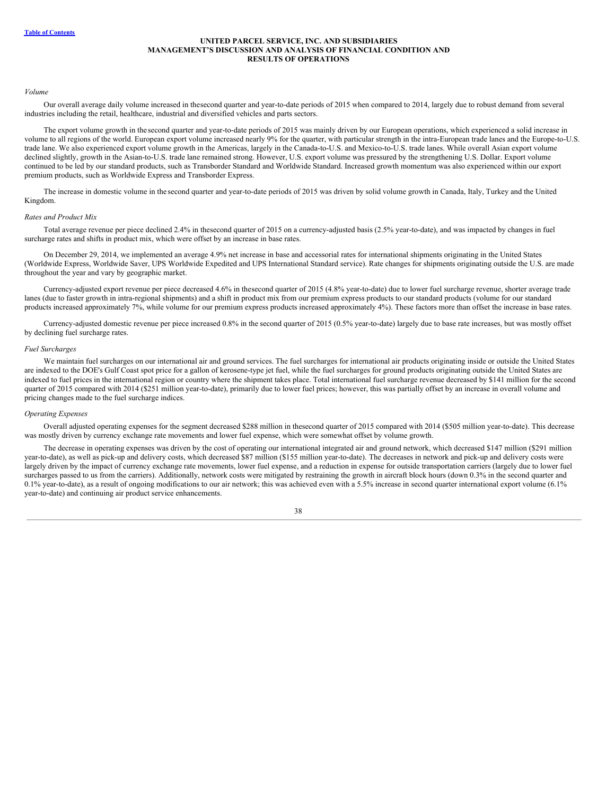### *Volume*

Our overall average daily volume increased in thesecond quarter and year-to-date periods of 2015 when compared to 2014, largely due to robust demand from several industries including the retail, healthcare, industrial and diversified vehicles and parts sectors.

The export volume growth in the second quarter and year-to-date periods of 2015 was mainly driven by our European operations, which experienced a solid increase in volume to all regions of the world. European export volume increased nearly 9% for the quarter, with particular strength in the intra-European trade lanes and the Europe-to-U.S. trade lane. We also experienced export volume growth in the Americas, largely in the Canada-to-U.S. and Mexico-to-U.S. trade lanes. While overall Asian export volume declined slightly, growth in the Asian-to-U.S. trade lane remained strong. However, U.S. export volume was pressured by the strengthening U.S. Dollar. Export volume continued to be led by our standard products, such as Transborder Standard and Worldwide Standard. Increased growth momentum was also experienced within our export premium products, such as Worldwide Express and Transborder Express.

The increase in domestic volume in the second quarter and year-to-date periods of 2015 was driven by solid volume growth in Canada, Italy, Turkey and the United Kingdom.

#### *Rates and Product Mix*

Total average revenue per piece declined 2.4% in thesecond quarter of 2015 on a currency-adjusted basis (2.5% year-to-date), and was impacted by changes in fuel surcharge rates and shifts in product mix, which were offset by an increase in base rates.

On December 29, 2014, we implemented an average 4.9% net increase in base and accessorial rates for international shipments originating in the United States (Worldwide Express, Worldwide Saver, UPS Worldwide Expedited and UPS International Standard service). Rate changes for shipments originating outside the U.S. are made throughout the year and vary by geographic market.

Currency-adjusted export revenue per piece decreased 4.6% in thesecond quarter of 2015 (4.8% year-to-date) due to lower fuel surcharge revenue, shorter average trade lanes (due to faster growth in intra-regional shipments) and a shift in product mix from our premium express products to our standard products (volume for our standard products increased approximately 7%, while volume for our premium express products increased approximately 4%). These factors more than offset the increase in base rates.

Currency-adjusted domestic revenue per piece increased 0.8% in the second quarter of 2015 (0.5% year-to-date) largely due to base rate increases, but was mostly offset by declining fuel surcharge rates.

#### *Fuel Surcharges*

We maintain fuel surcharges on our international air and ground services. The fuel surcharges for international air products originating inside or outside the United States are indexed to the DOE's Gulf Coast spot price for a gallon of kerosene-type jet fuel, while the fuel surcharges for ground products originating outside the United States are indexed to fuel prices in the international region or country where the shipment takes place. Total international fuel surcharge revenue decreased by \$141 million for the second quarter of 2015 compared with 2014 (\$251 million year-to-date), primarily due to lower fuel prices; however, this was partially offset by an increase in overall volume and pricing changes made to the fuel surcharge indices.

#### *Operating Expenses*

Overall adjusted operating expenses for the segment decreased \$288 million in thesecond quarter of 2015 compared with 2014 (\$505 million year-to-date). This decrease was mostly driven by currency exchange rate movements and lower fuel expense, which were somewhat offset by volume growth.

The decrease in operating expenses was driven by the cost of operating our international integrated air and ground network, which decreased \$147 million (\$291 million year-to-date), as well as pick-up and delivery costs, which decreased \$87 million (\$155 million year-to-date). The decreases in network and pick-up and delivery costs were largely driven by the impact of currency exchange rate movements, lower fuel expense, and a reduction in expense for outside transportation carriers (largely due to lower fuel surcharges passed to us from the carriers). Additionally, network costs were mitigated by restraining the growth in aircraft block hours (down 0.3% in the second quarter and 0.1% year-to-date), as a result of ongoing modifications to our air network; this was achieved even with a 5.5% increase in second quarter international export volume (6.1%) year-to-date) and continuing air product service enhancements.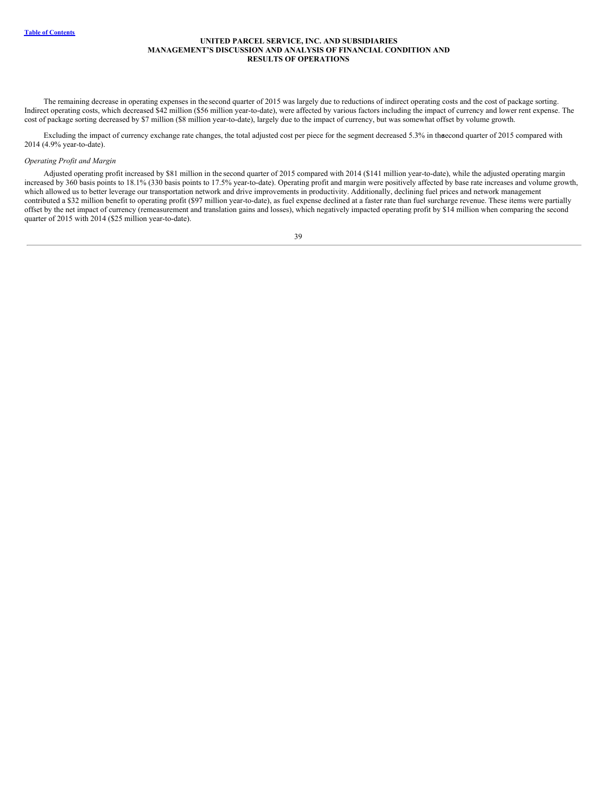The remaining decrease in operating expenses in the second quarter of 2015 was largely due to reductions of indirect operating costs and the cost of package sorting. Indirect operating costs, which decreased \$42 million (\$56 million year-to-date), were affected by various factors including the impact of currency and lower rent expense. The cost of package sorting decreased by \$7 million (\$8 million year-to-date), largely due to the impact of currency, but was somewhat offset by volume growth.

Excluding the impact of currency exchange rate changes, the total adjusted cost per piece for the segment decreased 5.3% in the cond quarter of 2015 compared with 2014 (4.9% year-to-date).

# *Operating Profit and Margin*

Adjusted operating profit increased by \$81 million in the second quarter of 2015 compared with 2014 (\$141 million year-to-date), while the adjusted operating margin increased by 360 basis points to 18.1% (330 basis points to 17.5% year-to-date). Operating profit and margin were positively affected by base rate increases and volume growth, which allowed us to better leverage our transportation network and drive improvements in productivity. Additionally, declining fuel prices and network management contributed a \$32 million benefit to operating profit (\$97 million year-to-date), as fuel expense declined at a faster rate than fuel surcharge revenue. These items were partially offset by the net impact of currency (remeasurement and translation gains and losses), which negatively impacted operating profit by \$14 million when comparing the second quarter of 2015 with 2014 (\$25 million year-to-date).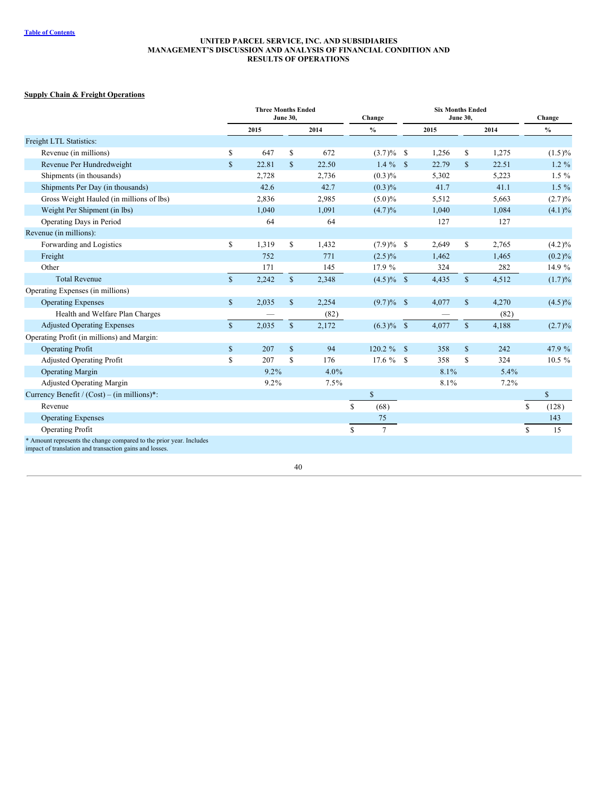# <span id="page-41-0"></span>**Supply Chain & Freight Operations**

|                                                                                                                                | <b>Three Months Ended</b><br><b>June 30.</b> |         |              |       | Change        | <b>Six Months Ended</b><br><b>June 30,</b> |  |       |              | Change |             |               |
|--------------------------------------------------------------------------------------------------------------------------------|----------------------------------------------|---------|--------------|-------|---------------|--------------------------------------------|--|-------|--------------|--------|-------------|---------------|
|                                                                                                                                |                                              | 2015    |              | 2014  |               | $\frac{0}{0}$                              |  | 2015  |              | 2014   |             | $\frac{0}{0}$ |
| Freight LTL Statistics:                                                                                                        |                                              |         |              |       |               |                                            |  |       |              |        |             |               |
| Revenue (in millions)                                                                                                          | \$                                           | 647     | \$           | 672   |               | $(3.7)\%$ \$                               |  | 1,256 | \$           | 1,275  |             | $(1.5)\%$     |
| Revenue Per Hundredweight                                                                                                      | $\mathbb{S}$                                 | 22.81   | $\mathbb{S}$ | 22.50 |               | $1.4 \%$ \$                                |  | 22.79 | $\mathbb{S}$ | 22.51  |             | $1.2\%$       |
| Shipments (in thousands)                                                                                                       |                                              | 2,728   |              | 2,736 |               | $(0.3)\%$                                  |  | 5,302 |              | 5,223  |             | $1.5\%$       |
| Shipments Per Day (in thousands)                                                                                               |                                              | 42.6    |              | 42.7  |               | $(0.3)\%$                                  |  | 41.7  |              | 41.1   |             | $1.5\%$       |
| Gross Weight Hauled (in millions of lbs)                                                                                       |                                              | 2,836   |              | 2,985 |               | $(5.0)\%$                                  |  | 5,512 |              | 5,663  |             | (2.7)%        |
| Weight Per Shipment (in lbs)                                                                                                   |                                              | 1,040   |              | 1,091 |               | (4.7)%                                     |  | 1,040 |              | 1,084  |             | (4.1)%        |
| Operating Days in Period                                                                                                       |                                              | 64      |              | 64    |               |                                            |  | 127   |              | 127    |             |               |
| Revenue (in millions):                                                                                                         |                                              |         |              |       |               |                                            |  |       |              |        |             |               |
| Forwarding and Logistics                                                                                                       | \$                                           | 1,319   | \$           | 1,432 |               | $(7.9)\%$ \$                               |  | 2,649 | \$           | 2,765  |             | $(4.2)\%$     |
| Freight                                                                                                                        |                                              | 752     |              | 771   |               | $(2.5)\%$                                  |  | 1,462 |              | 1,465  |             | $(0.2)\%$     |
| Other                                                                                                                          |                                              | 171     |              | 145   |               | 17.9 %                                     |  | 324   |              | 282    |             | 14.9 %        |
| <b>Total Revenue</b>                                                                                                           | S                                            | 2,242   | $\mathbb{S}$ | 2,348 |               | $(4.5)\%$ \$                               |  | 4,435 | \$           | 4,512  |             | (1.7)%        |
| Operating Expenses (in millions)                                                                                               |                                              |         |              |       |               |                                            |  |       |              |        |             |               |
| <b>Operating Expenses</b>                                                                                                      | $\mathbb{S}$                                 | 2,035   | $\mathbb{S}$ | 2,254 |               | $(9.7)\%$ \$                               |  | 4,077 | \$           | 4,270  |             | $(4.5)\%$     |
| Health and Welfare Plan Charges                                                                                                |                                              |         |              | (82)  |               |                                            |  |       |              | (82)   |             |               |
| <b>Adjusted Operating Expenses</b>                                                                                             | $\mathbb{S}$                                 | 2,035   | $\mathbb{S}$ | 2,172 |               | $(6.3)\%$ \$                               |  | 4,077 | \$           | 4,188  |             | (2.7)%        |
| Operating Profit (in millions) and Margin:                                                                                     |                                              |         |              |       |               |                                            |  |       |              |        |             |               |
| <b>Operating Profit</b>                                                                                                        | $\mathbb{S}$                                 | 207     | $\mathbb{S}$ | 94    |               | $120.2 \%$ \$                              |  | 358   | $\mathbb{S}$ | 242    |             | 47.9 %        |
| <b>Adjusted Operating Profit</b>                                                                                               | \$                                           | 207     | $\mathbf S$  | 176   |               | $17.6 \%$ \$                               |  | 358   | $\mathbb{S}$ | 324    |             | 10.5 %        |
| <b>Operating Margin</b>                                                                                                        |                                              | $9.2\%$ |              | 4.0%  |               |                                            |  | 8.1%  |              | 5.4%   |             |               |
| <b>Adjusted Operating Margin</b>                                                                                               |                                              | $9.2\%$ |              | 7.5%  |               |                                            |  | 8.1%  |              | 7.2%   |             |               |
| Currency Benefit / $(Cost) - (in millions)*$ :                                                                                 |                                              |         |              |       |               | $\mathsf{\$}$                              |  |       |              |        |             | $\mathbb{S}$  |
| Revenue                                                                                                                        |                                              |         |              |       | $\mathbf S$   | (68)                                       |  |       |              |        | $\mathbf S$ | (128)         |
| <b>Operating Expenses</b>                                                                                                      |                                              |         |              |       |               | 75                                         |  |       |              |        |             | 143           |
| <b>Operating Profit</b>                                                                                                        |                                              |         |              |       | $\mathsf{\$}$ | $\overline{7}$                             |  |       |              |        | \$          | 15            |
| * Amount represents the change compared to the prior year. Includes<br>impact of translation and transaction gains and losses. |                                              |         |              |       |               |                                            |  |       |              |        |             |               |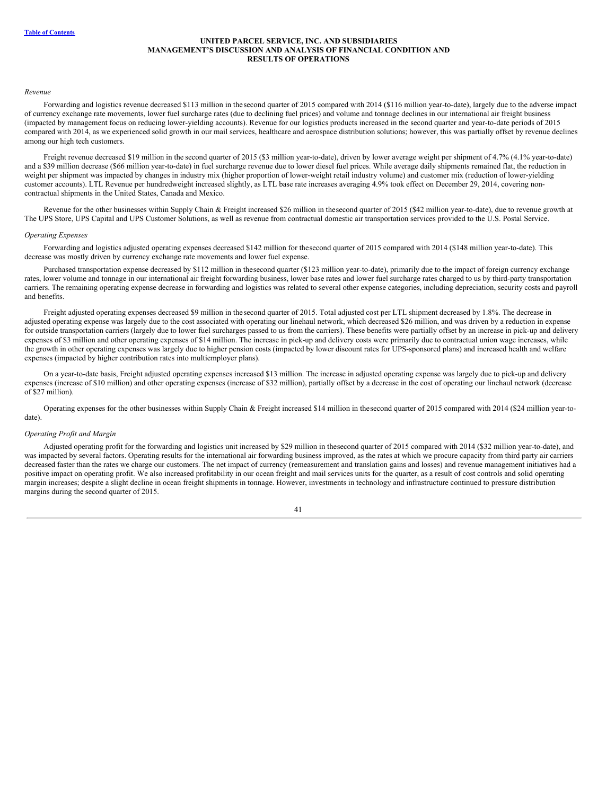#### *Revenue*

Forwarding and logistics revenue decreased \$113 million in the second quarter of 2015 compared with 2014 (\$116 million year-to-date), largely due to the adverse impact of currency exchange rate movements, lower fuel surcharge rates (due to declining fuel prices) and volume and tonnage declines in our international air freight business (impacted by management focus on reducing lower-yielding accounts). Revenue for our logistics products increased in the second quarter and year-to-date periods of 2015 compared with 2014, as we experienced solid growth in our mail services, healthcare and aerospace distribution solutions; however, this was partially offset by revenue declines among our high tech customers.

Freight revenue decreased \$19 million in the second quarter of 2015 (\$3 million year-to-date), driven by lower average weight per shipment of 4.7% (4.1% year-to-date) and a \$39 million decrease (\$66 million year-to-date) in fuel surcharge revenue due to lower diesel fuel prices. While average daily shipments remained flat, the reduction in weight per shipment was impacted by changes in industry mix (higher proportion of lower-weight retail industry volume) and customer mix (reduction of lower-yielding customer accounts). LTL Revenue per hundredweight increased slightly, as LTL base rate increases averaging 4.9% took effect on December 29, 2014, covering noncontractual shipments in the United States, Canada and Mexico.

Revenue for the other businesses within Supply Chain & Freight increased \$26 million in thesecond quarter of 2015 (\$42 million year-to-date), due to revenue growth at The UPS Store, UPS Capital and UPS Customer Solutions, as well as revenue from contractual domestic air transportation services provided to the U.S. Postal Service.

#### *Operating Expenses*

Forwarding and logistics adjusted operating expenses decreased \$142 million for thesecond quarter of 2015 compared with 2014 (\$148 million year-to-date). This decrease was mostly driven by currency exchange rate movements and lower fuel expense.

Purchased transportation expense decreased by \$112 million in thesecond quarter (\$123 million year-to-date), primarily due to the impact of foreign currency exchange rates, lower volume and tonnage in our international air freight forwarding business, lower base rates and lower fuel surcharge rates charged to us by third-party transportation carriers. The remaining operating expense decrease in forwarding and logistics was related to several other expense categories, including depreciation, security costs and payroll and benefits.

Freight adjusted operating expenses decreased \$9 million in the second quarter of 2015. Total adjusted cost per LTL shipment decreased by 1.8%. The decrease in adjusted operating expense was largely due to the cost associated with operating our linehaul network, which decreased \$26 million, and was driven by a reduction in expense for outside transportation carriers (largely due to lower fuel surcharges passed to us from the carriers). These benefits were partially offset by an increase in pick-up and delivery expenses of \$3 million and other operating expenses of \$14 million. The increase in pick-up and delivery costs were primarily due to contractual union wage increases, while the growth in other operating expenses was largely due to higher pension costs (impacted by lower discount rates for UPS-sponsored plans) and increased health and welfare expenses (impacted by higher contribution rates into multiemployer plans).

On a year-to-date basis, Freight adjusted operating expenses increased \$13 million. The increase in adjusted operating expense was largely due to pick-up and delivery expenses (increase of \$10 million) and other operating expenses (increase of \$32 million), partially offset by a decrease in the cost of operating our linehaul network (decrease of \$27 million).

Operating expenses for the other businesses within Supply Chain & Freight increased \$14 million in thesecond quarter of 2015 compared with 2014 (\$24 million year-todate).

#### *Operating Profit and Margin*

Adjusted operating profit for the forwarding and logistics unit increased by \$29 million in thesecond quarter of 2015 compared with 2014 (\$32 million year-to-date), and was impacted by several factors. Operating results for the international air forwarding business improved, as the rates at which we procure capacity from third party air carriers decreased faster than the rates we charge our customers. The net impact of currency (remeasurement and translation gains and losses) and revenue management initiatives had a positive impact on operating profit. We also increased profitability in our ocean freight and mail services units for the quarter, as a result of cost controls and solid operating margin increases; despite a slight decline in ocean freight shipments in tonnage. However, investments in technology and infrastructure continued to pressure distribution margins during the second quarter of 2015.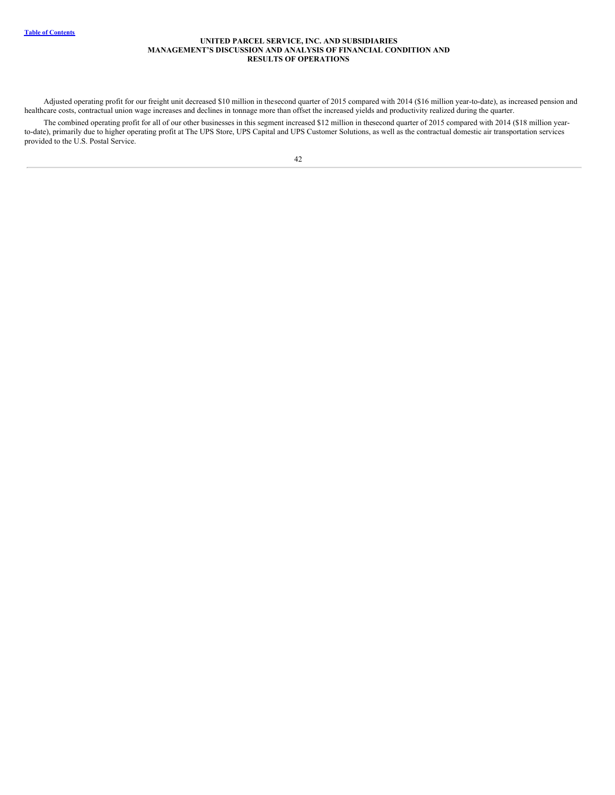Adjusted operating profit for our freight unit decreased \$10 million in thesecond quarter of 2015 compared with 2014 (\$16 million year-to-date), as increased pension and healthcare costs, contractual union wage increases and declines in tonnage more than offset the increased yields and productivity realized during the quarter.

The combined operating profit for all of our other businesses in this segment increased \$12 million in thesecond quarter of 2015 compared with 2014 (\$18 million yearto-date), primarily due to higher operating profit at The UPS Store, UPS Capital and UPS Customer Solutions, as well as the contractual domestic air transportation services provided to the U.S. Postal Service.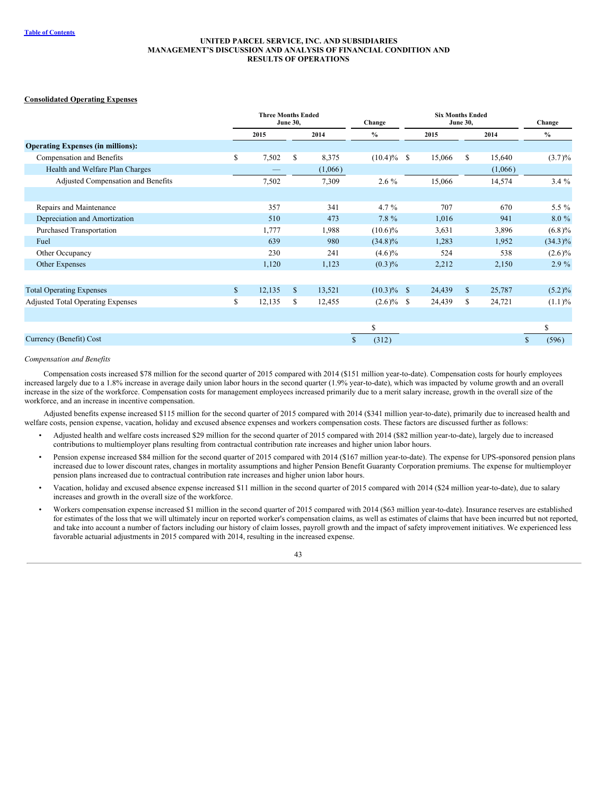### <span id="page-44-0"></span>**Consolidated Operating Expenses**

|                                          |              | <b>Three Months Ended</b> | <b>June 30,</b> |         |   | Change        |    | <b>Six Months Ended</b> | <b>June 30.</b> |         | Change        |
|------------------------------------------|--------------|---------------------------|-----------------|---------|---|---------------|----|-------------------------|-----------------|---------|---------------|
|                                          |              | 2015                      |                 | 2014    |   | $\frac{0}{0}$ |    | 2015                    |                 | 2014    | $\frac{0}{0}$ |
| <b>Operating Expenses (in millions):</b> |              |                           |                 |         |   |               |    |                         |                 |         |               |
| Compensation and Benefits                | $\mathbb{S}$ | 7,502                     | <sup>\$</sup>   | 8,375   |   | $(10.4)\%$    | -S | 15,066                  | S               | 15,640  | $(3.7)\%$     |
| Health and Welfare Plan Charges          |              |                           |                 | (1,066) |   |               |    |                         |                 | (1,066) |               |
| Adjusted Compensation and Benefits       |              | 7,502                     |                 | 7,309   |   | $2.6\%$       |    | 15,066                  |                 | 14,574  | $3.4\%$       |
|                                          |              |                           |                 |         |   |               |    |                         |                 |         |               |
| Repairs and Maintenance                  |              | 357                       |                 | 341     |   | 4.7 $%$       |    | 707                     |                 | 670     | 5.5 $%$       |
| Depreciation and Amortization            |              | 510                       |                 | 473     |   | $7.8 \%$      |    | 1,016                   |                 | 941     | $8.0\%$       |
| <b>Purchased Transportation</b>          |              | 1,777                     |                 | 1,988   |   | $(10.6)\%$    |    | 3,631                   |                 | 3,896   | $(6.8)\%$     |
| Fuel                                     |              | 639                       |                 | 980     |   | $(34.8)\%$    |    | 1,283                   |                 | 1,952   | $(34.3)\%$    |
| Other Occupancy                          |              | 230                       |                 | 241     |   | $(4.6)\%$     |    | 524                     |                 | 538     | $(2.6)\%$     |
| Other Expenses                           |              | 1,120                     |                 | 1,123   |   | $(0.3)\%$     |    | 2,212                   |                 | 2,150   | $2.9\%$       |
|                                          |              |                           |                 |         |   |               |    |                         |                 |         |               |
| <b>Total Operating Expenses</b>          | $\mathbb{S}$ | 12,135                    | $\mathbb{S}$    | 13,521  |   | $(10.3)\%$ \$ |    | 24,439                  | $\mathbb{S}$    | 25,787  | $(5.2)\%$     |
| <b>Adjusted Total Operating Expenses</b> | \$           | 12,135                    | \$              | 12,455  |   | $(2.6)\%$ \$  |    | 24,439                  | \$              | 24,721  | (1.1)%        |
|                                          |              |                           |                 |         |   |               |    |                         |                 |         |               |
|                                          |              |                           |                 |         |   | \$            |    |                         |                 |         | \$            |
| Currency (Benefit) Cost                  |              |                           |                 |         | S | (312)         |    |                         |                 |         | \$<br>(596)   |

#### *Compensation and Benefits*

Compensation costs increased \$78 million for the second quarter of 2015 compared with 2014 (\$151 million year-to-date). Compensation costs for hourly employees increased largely due to a 1.8% increase in average daily union labor hours in the second quarter (1.9% year-to-date), which was impacted by volume growth and an overall increase in the size of the workforce. Compensation costs for management employees increased primarily due to a merit salary increase, growth in the overall size of the workforce, and an increase in incentive compensation.

Adjusted benefits expense increased \$115 million for the second quarter of 2015 compared with 2014 (\$341 million year-to-date), primarily due to increased health and welfare costs, pension expense, vacation, holiday and excused absence expenses and workers compensation costs. These factors are discussed further as follows:

- Adjusted health and welfare costs increased \$29 million for the second quarter of 2015 compared with 2014 (\$82 million year-to-date), largely due to increased contributions to multiemployer plans resulting from contractual contribution rate increases and higher union labor hours.
- Pension expense increased \$84 million for the second quarter of 2015 compared with 2014 (\$167 million year-to-date). The expense for UPS-sponsored pension plans increased due to lower discount rates, changes in mortality assumptions and higher Pension Benefit Guaranty Corporation premiums. The expense for multiemployer pension plans increased due to contractual contribution rate increases and higher union labor hours.
- Vacation, holiday and excused absence expense increased \$11 million in the second quarter of 2015 compared with 2014 (\$24 million year-to-date), due to salary increases and growth in the overall size of the workforce.
- Workers compensation expense increased \$1 million in the second quarter of 2015 compared with 2014 (\$63 million year-to-date). Insurance reserves are established for estimates of the loss that we will ultimately incur on reported worker's compensation claims, as well as estimates of claims that have been incurred but not reported, and take into account a number of factors including our history of claim losses, payroll growth and the impact of safety improvement initiatives. We experienced less favorable actuarial adjustments in 2015 compared with 2014, resulting in the increased expense.

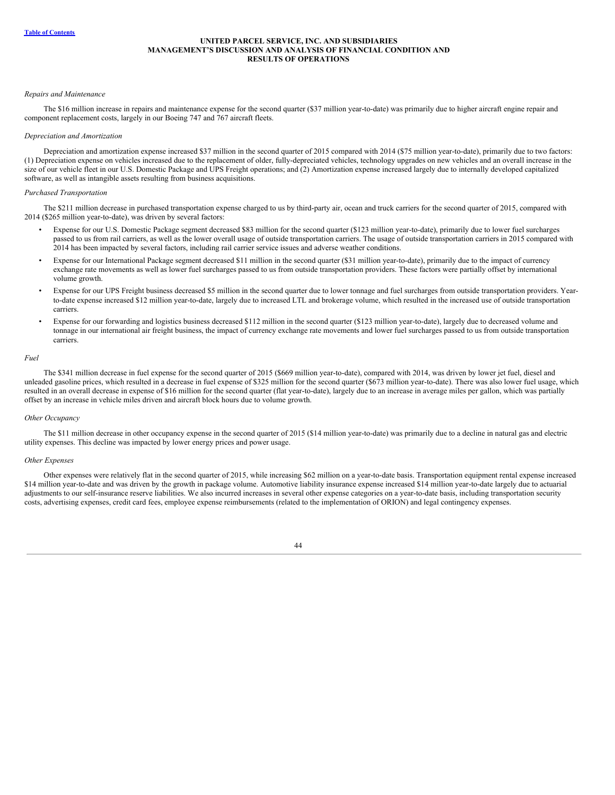#### *Repairs and Maintenance*

The \$16 million increase in repairs and maintenance expense for the second quarter (\$37 million year-to-date) was primarily due to higher aircraft engine repair and component replacement costs, largely in our Boeing 747 and 767 aircraft fleets.

#### *Depreciation and Amortization*

Depreciation and amortization expense increased \$37 million in the second quarter of 2015 compared with 2014 (\$75 million year-to-date), primarily due to two factors: (1) Depreciation expense on vehicles increased due to the replacement of older, fully-depreciated vehicles, technology upgrades on new vehicles and an overall increase in the size of our vehicle fleet in our U.S. Domestic Package and UPS Freight operations; and (2) Amortization expense increased largely due to internally developed capitalized software, as well as intangible assets resulting from business acquisitions.

#### *Purchased Transportation*

The \$211 million decrease in purchased transportation expense charged to us by third-party air, ocean and truck carriers for the second quarter of 2015, compared with 2014 (\$265 million year-to-date), was driven by several factors:

- Expense for our U.S. Domestic Package segment decreased \$83 million for the second quarter (\$123 million year-to-date), primarily due to lower fuel surcharges passed to us from rail carriers, as well as the lower overall usage of outside transportation carriers. The usage of outside transportation carriers in 2015 compared with 2014 has been impacted by several factors, including rail carrier service issues and adverse weather conditions.
- Expense for our International Package segment decreased \$11 million in the second quarter (\$31 million year-to-date), primarily due to the impact of currency exchange rate movements as well as lower fuel surcharges passed to us from outside transportation providers. These factors were partially offset by international volume growth.
- Expense for our UPS Freight business decreased \$5 million in the second quarter due to lower tonnage and fuel surcharges from outside transportation providers. Yearto-date expense increased \$12 million year-to-date, largely due to increased LTL and brokerage volume, which resulted in the increased use of outside transportation carriers.
- Expense for our forwarding and logistics business decreased \$112 million in the second quarter (\$123 million year-to-date), largely due to decreased volume and tonnage in our international air freight business, the impact of currency exchange rate movements and lower fuel surcharges passed to us from outside transportation carriers.

#### *Fuel*

The \$341 million decrease in fuel expense for the second quarter of 2015 (\$669 million year-to-date), compared with 2014, was driven by lower jet fuel, diesel and unleaded gasoline prices, which resulted in a decrease in fuel expense of \$325 million for the second quarter (\$673 million year-to-date). There was also lower fuel usage, which resulted in an overall decrease in expense of \$16 million for the second quarter (flat year-to-date), largely due to an increase in average miles per gallon, which was partially offset by an increase in vehicle miles driven and aircraft block hours due to volume growth.

#### *Other Occupancy*

The \$11 million decrease in other occupancy expense in the second quarter of 2015 (\$14 million year-to-date) was primarily due to a decline in natural gas and electric utility expenses. This decline was impacted by lower energy prices and power usage.

#### *Other Expenses*

Other expenses were relatively flat in the second quarter of 2015, while increasing \$62 million on a year-to-date basis. Transportation equipment rental expense increased \$14 million year-to-date and was driven by the growth in package volume. Automotive liability insurance expense increased \$14 million year-to-date largely due to actuarial adjustments to our self-insurance reserve liabilities. We also incurred increases in several other expense categories on a year-to-date basis, including transportation security costs, advertising expenses, credit card fees, employee expense reimbursements (related to the implementation of ORION) and legal contingency expenses.

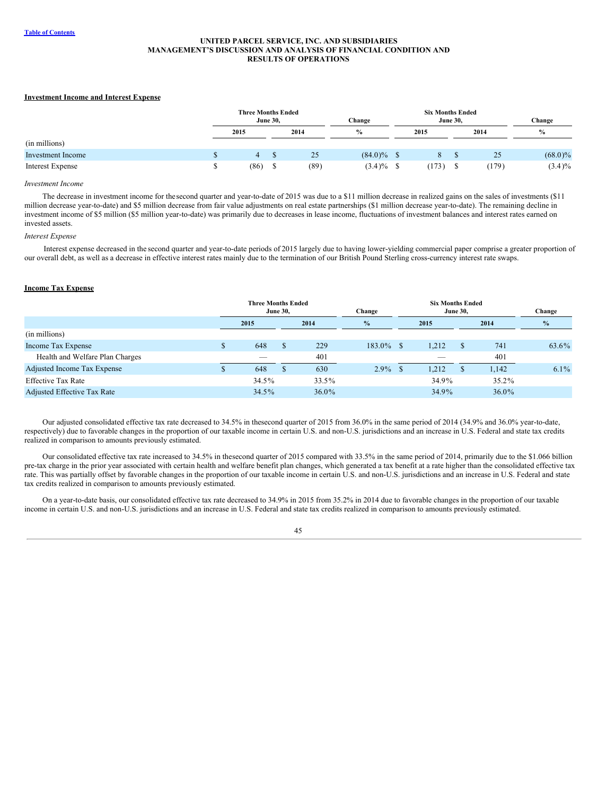### <span id="page-46-0"></span>**Investment Income and Interest Expense**

|                   | <b>Three Months Ended</b> | <b>June 30,</b> |      | Change        | <b>Six Months Ended</b><br><b>June 30.</b> | Change |               |
|-------------------|---------------------------|-----------------|------|---------------|--------------------------------------------|--------|---------------|
|                   | 2015                      |                 | 2014 | $\frac{0}{0}$ | 2015                                       | 2014   | $\frac{9}{6}$ |
| (in millions)     |                           |                 |      |               |                                            |        |               |
| Investment Income | 4                         |                 | 25   | $(84.0)\%$ \$ | ŏ                                          | 25     | $(68.0)\%$    |
| Interest Expense  | (86)                      |                 | (89) | $(3.4)\%$ \$  | (173)                                      | (179)  | $(3.4)\%$     |

#### *Investment Income*

The decrease in investment income for the second quarter and year-to-date of 2015 was due to a \$11 million decrease in realized gains on the sales of investments (\$11) million decrease year-to-date) and \$5 million decrease from fair value adjustments on real estate partnerships (\$1 million decrease year-to-date). The remaining decline in investment income of \$5 million (\$5 million year-to-date) was primarily due to decreases in lease income, fluctuations of investment balances and interest rates earned on invested assets.

# *Interest Expense*

<span id="page-46-1"></span>Interest expense decreased in the second quarter and year-to-date periods of 2015 largely due to having lower-yielding commercial paper comprise a greater proportion of our overall debt, as well as a decrease in effective interest rates mainly due to the termination of our British Pound Sterling cross-currency interest rate swaps.

#### **Income Tax Expense**

|                                    | <b>Three Months Ended</b><br><b>June 30.</b> |    | Change   | Change        |    |       |          |       |               |
|------------------------------------|----------------------------------------------|----|----------|---------------|----|-------|----------|-------|---------------|
|                                    | 2015                                         |    | 2014     | $\frac{0}{0}$ |    | 2015  |          | 2014  | $\frac{0}{2}$ |
| (in millions)                      |                                              |    |          |               |    |       |          |       |               |
| Income Tax Expense                 | 648                                          |    | 229      | 183.0%        | -8 | 1.212 | -S       | 741   | 63.6%         |
| Health and Welfare Plan Charges    | _                                            |    | 401      |               |    |       |          | 401   |               |
| Adjusted Income Tax Expense        | 648                                          | \$ | 630      | $2.9\%$ \$    |    | 1,212 | <b>S</b> | 1.142 | $6.1\%$       |
| <b>Effective Tax Rate</b>          | 34.5%                                        |    | 33.5%    |               |    | 34.9% |          | 35.2% |               |
| <b>Adjusted Effective Tax Rate</b> | $34.5\%$                                     |    | $36.0\%$ |               |    | 34.9% |          | 36.0% |               |

Our adjusted consolidated effective tax rate decreased to 34.5% in thesecond quarter of 2015 from 36.0% in the same period of 2014 (34.9% and 36.0% year-to-date, respectively) due to favorable changes in the proportion of our taxable income in certain U.S. and non-U.S. jurisdictions and an increase in U.S. Federal and state tax credits realized in comparison to amounts previously estimated.

Our consolidated effective tax rate increased to 34.5% in thesecond quarter of 2015 compared with 33.5% in the same period of 2014, primarily due to the \$1.066 billion pre-tax charge in the prior year associated with certain health and welfare benefit plan changes, which generated a tax benefit at a rate higher than the consolidated effective tax rate. This was partially offset by favorable changes in the proportion of our taxable income in certain U.S. and non-U.S. jurisdictions and an increase in U.S. Federal and state tax credits realized in comparison to amounts previously estimated.

On a year-to-date basis, our consolidated effective tax rate decreased to 34.9% in 2015 from 35.2% in 2014 due to favorable changes in the proportion of our taxable income in certain U.S. and non-U.S. jurisdictions and an increase in U.S. Federal and state tax credits realized in comparison to amounts previously estimated.

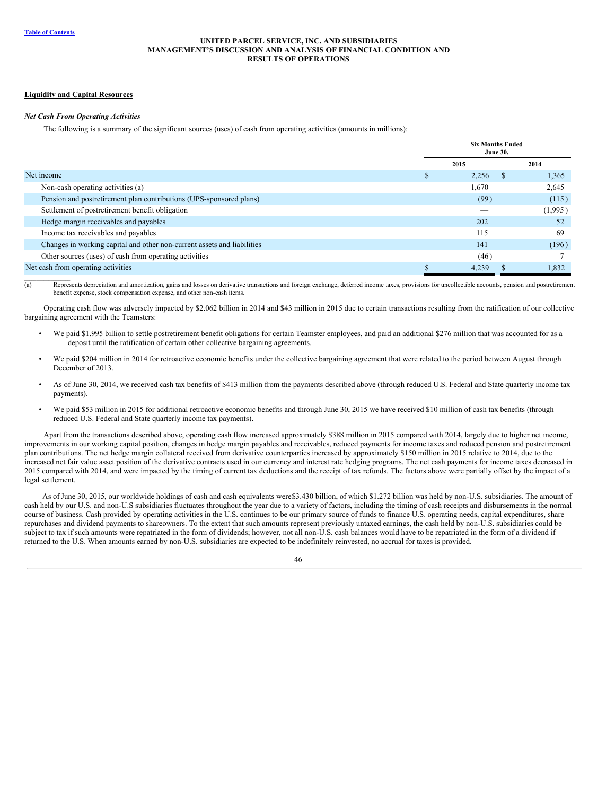$\mathcal{L}_\text{max}$ 

#### **UNITED PARCEL SERVICE, INC. AND SUBSIDIARIES MANAGEMENT'S DISCUSSION AND ANALYSIS OF FINANCIAL CONDITION AND RESULTS OF OPERATIONS**

# <span id="page-47-1"></span><span id="page-47-0"></span>**Liquidity and Capital Resources**

### *Net Cash From Operating Activities*

The following is a summary of the significant sources (uses) of cash from operating activities (amounts in millions):

|                                                                         | <b>Six Months Ended</b><br><b>June 30,</b> |              |         |
|-------------------------------------------------------------------------|--------------------------------------------|--------------|---------|
|                                                                         | 2015                                       |              | 2014    |
| Net income                                                              | 2,256                                      | <sup>8</sup> | 1,365   |
| Non-cash operating activities (a)                                       | 1,670                                      |              | 2,645   |
| Pension and postretirement plan contributions (UPS-sponsored plans)     | (99)                                       |              | (115)   |
| Settlement of postretirement benefit obligation                         |                                            |              | (1,995) |
| Hedge margin receivables and payables                                   | 202                                        |              | 52      |
| Income tax receivables and payables                                     | 115                                        |              | 69      |
| Changes in working capital and other non-current assets and liabilities | 141                                        |              | (196)   |
| Other sources (uses) of cash from operating activities                  | (46)                                       |              |         |
| Net cash from operating activities                                      | 4,239                                      |              | 1,832   |

(a) Represents depreciation and amortization, gains and losses on derivative transactions and foreign exchange, deferred income taxes, provisions for uncollectible accounts, pension and postretirement benefit expense, stock compensation expense, and other non-cash items.

Operating cash flow was adversely impacted by \$2.062 billion in 2014 and \$43 million in 2015 due to certain transactions resulting from the ratification of our collective bargaining agreement with the Teamsters:

- We paid \$1.995 billion to settle postretirement benefit obligations for certain Teamster employees, and paid an additional \$276 million that was accounted for as a deposit until the ratification of certain other collective bargaining agreements.
- We paid \$204 million in 2014 for retroactive economic benefits under the collective bargaining agreement that were related to the period between August through December of 2013.
- As of June 30, 2014, we received cash tax benefits of \$413 million from the payments described above (through reduced U.S. Federal and State quarterly income tax payments).
- We paid \$53 million in 2015 for additional retroactive economic benefits and through June 30, 2015 we have received \$10 million of cash tax benefits (through reduced U.S. Federal and State quarterly income tax payments).

Apart from the transactions described above, operating cash flow increased approximately \$388 million in 2015 compared with 2014, largely due to higher net income, improvements in our working capital position, changes in hedge margin payables and receivables, reduced payments for income taxes and reduced pension and postretirement plan contributions. The net hedge margin collateral received from derivative counterparties increased by approximately \$150 million in 2015 relative to 2014, due to the increased net fair value asset position of the derivative contracts used in our currency and interest rate hedging programs. The net cash payments for income taxes decreased in 2015 compared with 2014, and were impacted by the timing of current tax deductions and the receipt of tax refunds. The factors above were partially offset by the impact of a legal settlement.

As of June 30, 2015, our worldwide holdings of cash and cash equivalents were\$3.430 billion, of which \$1.272 billion was held by non-U.S. subsidiaries. The amount of cash held by our U.S. and non-U.S subsidiaries fluctuates throughout the year due to a variety of factors, including the timing of cash receipts and disbursements in the normal course of business. Cash provided by operating activities in the U.S. continues to be our primary source of funds to finance U.S. operating needs, capital expenditures, share repurchases and dividend payments to shareowners. To the extent that such amounts represent previously untaxed earnings, the cash held by non-U.S. subsidiaries could be subject to tax if such amounts were repatriated in the form of dividends; however, not all non-U.S. cash balances would have to be repatriated in the form of a dividend if returned to the U.S. When amounts earned by non-U.S. subsidiaries are expected to be indefinitely reinvested, no accrual for taxes is provided.

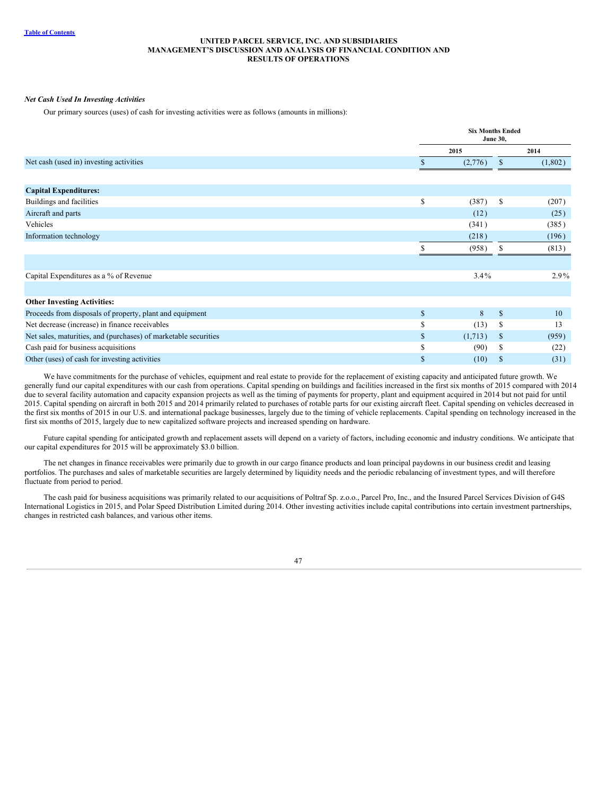#### <span id="page-48-0"></span>*Net Cash Used In Investing Activities*

Our primary sources (uses) of cash for investing activities were as follows (amounts in millions):

|                                                                 |              | <b>Six Months Ended</b><br><b>June 30,</b> |              |         |  |  |  |
|-----------------------------------------------------------------|--------------|--------------------------------------------|--------------|---------|--|--|--|
|                                                                 |              | 2015                                       |              | 2014    |  |  |  |
| Net cash (used in) investing activities                         |              | (2,776)                                    |              | (1,802) |  |  |  |
|                                                                 |              |                                            |              |         |  |  |  |
| <b>Capital Expenditures:</b>                                    |              |                                            |              |         |  |  |  |
| Buildings and facilities                                        | \$           | (387)                                      | \$           | (207)   |  |  |  |
| Aircraft and parts                                              |              | (12)                                       |              | (25)    |  |  |  |
| Vehicles                                                        |              | (341)                                      |              | (385)   |  |  |  |
| Information technology                                          |              | (218)                                      |              | (196)   |  |  |  |
|                                                                 | S            | (958)                                      | S.           | (813)   |  |  |  |
|                                                                 |              |                                            |              |         |  |  |  |
| Capital Expenditures as a % of Revenue                          |              | $3.4\%$                                    |              | $2.9\%$ |  |  |  |
|                                                                 |              |                                            |              |         |  |  |  |
| <b>Other Investing Activities:</b>                              |              |                                            |              |         |  |  |  |
| Proceeds from disposals of property, plant and equipment        | \$           | 8                                          | $\mathbb{S}$ | 10      |  |  |  |
| Net decrease (increase) in finance receivables                  | \$           | (13)                                       | \$           | 13      |  |  |  |
| Net sales, maturities, and (purchases) of marketable securities | $\$$         | (1,713)                                    | \$           | (959)   |  |  |  |
| Cash paid for business acquisitions                             | \$           | (90)                                       | \$           | (22)    |  |  |  |
| Other (uses) of cash for investing activities                   | $\mathbb{S}$ | (10)                                       | \$           | (31)    |  |  |  |

We have commitments for the purchase of vehicles, equipment and real estate to provide for the replacement of existing capacity and anticipated future growth. We generally fund our capital expenditures with our cash from operations. Capital spending on buildings and facilities increased in the first six months of 2015 compared with 2014 due to several facility automation and capacity expansion projects as well as the timing of payments for property, plant and equipment acquired in 2014 but not paid for until 2015. Capital spending on aircraft in both 2015 and 2014 primarily related to purchases of rotable parts for our existing aircraft fleet. Capital spending on vehicles decreased in the first six months of 2015 in our U.S. and international package businesses, largely due to the timing of vehicle replacements. Capital spending on technology increased in the first six months of 2015, largely due to new capitalized software projects and increased spending on hardware.

Future capital spending for anticipated growth and replacement assets will depend on a variety of factors, including economic and industry conditions. We anticipate that our capital expenditures for 2015 will be approximately \$3.0 billion.

The net changes in finance receivables were primarily due to growth in our cargo finance products and loan principal paydowns in our business credit and leasing portfolios. The purchases and sales of marketable securities are largely determined by liquidity needs and the periodic rebalancing of investment types, and will therefore fluctuate from period to period.

The cash paid for business acquisitions was primarily related to our acquisitions of Poltraf Sp. z.o.o., Parcel Pro, Inc., and the Insured Parcel Services Division of G4S International Logistics in 2015, and Polar Speed Distribution Limited during 2014. Other investing activities include capital contributions into certain investment partnerships, changes in restricted cash balances, and various other items.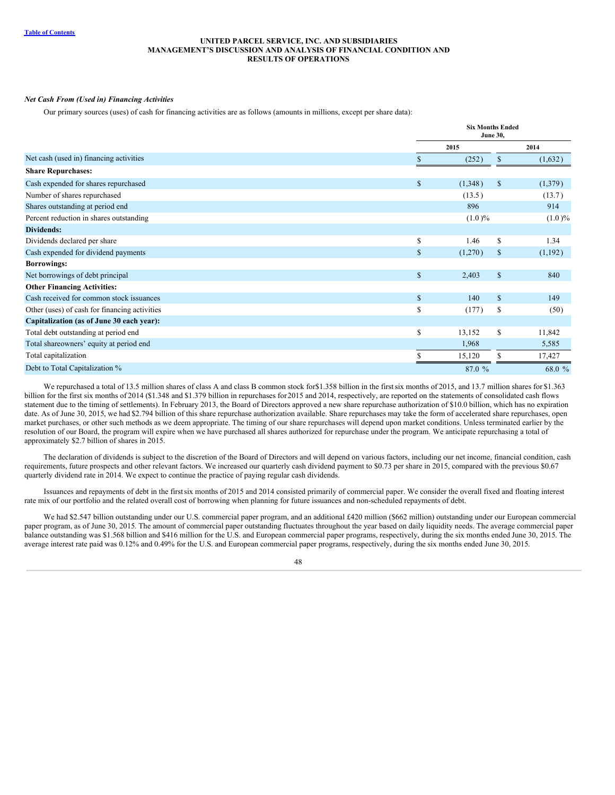# <span id="page-49-0"></span>*Net Cash From (Used in) Financing Activities*

Our primary sources (uses) of cash for financing activities are as follows (amounts in millions, except per share data):

|                                               |              | <b>Six Months Ended</b><br><b>June 30,</b> |               |           |  |  |  |
|-----------------------------------------------|--------------|--------------------------------------------|---------------|-----------|--|--|--|
|                                               |              | 2015                                       |               | 2014      |  |  |  |
| Net cash (used in) financing activities       | S.           | (252)                                      | <sup>\$</sup> | (1,632)   |  |  |  |
| <b>Share Repurchases:</b>                     |              |                                            |               |           |  |  |  |
| Cash expended for shares repurchased          | $\mathbb{S}$ | (1,348)                                    | $\mathbb{S}$  | (1,379)   |  |  |  |
| Number of shares repurchased                  |              | (13.5)                                     |               | (13.7)    |  |  |  |
| Shares outstanding at period end              |              | 896                                        |               | 914       |  |  |  |
| Percent reduction in shares outstanding       |              | $(1.0)\%$                                  |               | $(1.0)\%$ |  |  |  |
| <b>Dividends:</b>                             |              |                                            |               |           |  |  |  |
| Dividends declared per share                  | S            | 1.46                                       | <sup>\$</sup> | 1.34      |  |  |  |
| Cash expended for dividend payments           | $\mathbb{S}$ | (1,270)                                    | \$            | (1,192)   |  |  |  |
| <b>Borrowings:</b>                            |              |                                            |               |           |  |  |  |
| Net borrowings of debt principal              | $\mathbb{S}$ | 2,403                                      | \$            | 840       |  |  |  |
| <b>Other Financing Activities:</b>            |              |                                            |               |           |  |  |  |
| Cash received for common stock issuances      | $\mathbb{S}$ | 140                                        | $\mathbf S$   | 149       |  |  |  |
| Other (uses) of cash for financing activities | S            | (177)                                      | \$            | (50)      |  |  |  |
| Capitalization (as of June 30 each year):     |              |                                            |               |           |  |  |  |
| Total debt outstanding at period end          | S            | 13,152                                     | <sup>\$</sup> | 11,842    |  |  |  |
| Total shareowners' equity at period end       |              | 1,968                                      |               | 5,585     |  |  |  |
| Total capitalization                          | S            | 15,120                                     | S             | 17,427    |  |  |  |
| Debt to Total Capitalization %                |              | 87.0 %                                     |               | 68.0 %    |  |  |  |

We repurchased a total of 13.5 million shares of class A and class B common stock for\$1.358 billion in the first six months of 2015, and 13.7 million shares for \$1.363 billion for the first six months of 2014 (\$1.348 and \$1.379 billion in repurchases for2015 and 2014, respectively, are reported on the statements of consolidated cash flows statement due to the timing of settlements). In February 2013, the Board of Directors approved a new share repurchase authorization of \$10.0 billion, which has no expiration date. As of June 30, 2015, we had \$2.794 billion of this share repurchase authorization available. Share repurchases may take the form of accelerated share repurchases, open market purchases, or other such methods as we deem appropriate. The timing of our share repurchases will depend upon market conditions. Unless terminated earlier by the resolution of our Board, the program will expire when we have purchased all shares authorized for repurchase under the program. We anticipate repurchasing a total of approximately \$2.7 billion of shares in 2015.

The declaration of dividends is subject to the discretion of the Board of Directors and will depend on various factors, including our net income, financial condition, cash requirements, future prospects and other relevant factors. We increased our quarterly cash dividend payment to \$0.73 per share in 2015, compared with the previous \$0.67 quarterly dividend rate in 2014. We expect to continue the practice of paying regular cash dividends.

Issuances and repayments of debt in the firstsix months of 2015 and 2014 consisted primarily of commercial paper. We consider the overall fixed and floating interest rate mix of our portfolio and the related overall cost of borrowing when planning for future issuances and non-scheduled repayments of debt.

We had \$2.547 billion outstanding under our U.S. commercial paper program, and an additional £420 million (\$662 million) outstanding under our European commercial paper program, as of June 30, 2015. The amount of commercial paper outstanding fluctuates throughout the year based on daily liquidity needs. The average commercial paper balance outstanding was \$1.568 billion and \$416 million for the U.S. and European commercial paper programs, respectively, during the six months ended June 30, 2015. The average interest rate paid was 0.12% and 0.49% for the U.S. and European commercial paper programs, respectively, during the six months ended June 30, 2015.

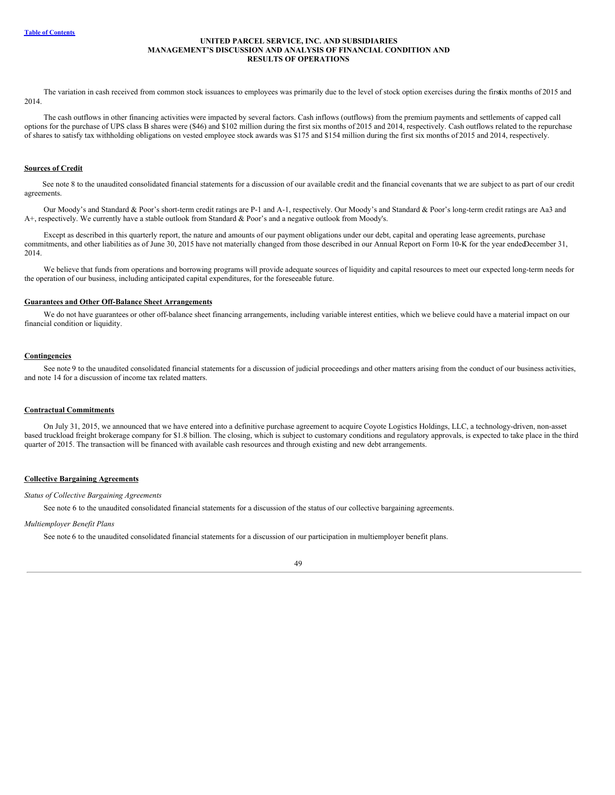The variation in cash received from common stock issuances to employees was primarily due to the level of stock option exercises during the firstix months of 2015 and 2014.

<span id="page-50-0"></span>The cash outflows in other financing activities were impacted by several factors. Cash inflows (outflows) from the premium payments and settlements of capped call options for the purchase of UPS class B shares were (\$46) and \$102 million during the first six months of 2015 and 2014, respectively. Cash outflows related to the repurchase of shares to satisfy tax withholding obligations on vested employee stock awards was \$175 and \$154 million during the first six months of 2015 and 2014, respectively.

#### **Sources of Credit**

See note 8 to the unaudited consolidated financial statements for a discussion of our available credit and the financial covenants that we are subject to as part of our credit agreements.

Our Moody's and Standard & Poor's short-term credit ratings are P-1 and A-1, respectively. Our Moody's and Standard & Poor's long-term credit ratings are Aa3 and A+, respectively. We currently have a stable outlook from Standard & Poor's and a negative outlook from Moody's.

Except as described in this quarterly report, the nature and amounts of our payment obligations under our debt, capital and operating lease agreements, purchase commitments, and other liabilities as of June 30, 2015 have not materially changed from those described in our Annual Report on Form 10-K for the year endedDecember 31, 2014.

We believe that funds from operations and borrowing programs will provide adequate sources of liquidity and capital resources to meet our expected long-term needs for the operation of our business, including anticipated capital expenditures, for the foreseeable future.

### **Guarantees and Other Off-Balance Sheet Arrangements**

<span id="page-50-1"></span>We do not have guarantees or other off-balance sheet financing arrangements, including variable interest entities, which we believe could have a material impact on our financial condition or liquidity.

#### **Contingencies**

<span id="page-50-2"></span>See note 9 to the unaudited consolidated financial statements for a discussion of judicial proceedings and other matters arising from the conduct of our business activities, and note 14 for a discussion of income tax related matters.

#### **Contractual Commitments**

On July 31, 2015, we announced that we have entered into a definitive purchase agreement to acquire Coyote Logistics Holdings, LLC, a technology-driven, non-asset based truckload freight brokerage company for \$1.8 billion. The closing, which is subject to customary conditions and regulatory approvals, is expected to take place in the third quarter of 2015. The transaction will be financed with available cash resources and through existing and new debt arrangements.

### <span id="page-50-3"></span>**Collective Bargaining Agreements**

*Status of Collective Bargaining Agreements*

See note 6 to the unaudited consolidated financial statements for a discussion of the status of our collective bargaining agreements.

#### *Multiemployer Benefit Plans*

See note 6 to the unaudited consolidated financial statements for a discussion of our participation in multiemployer benefit plans.

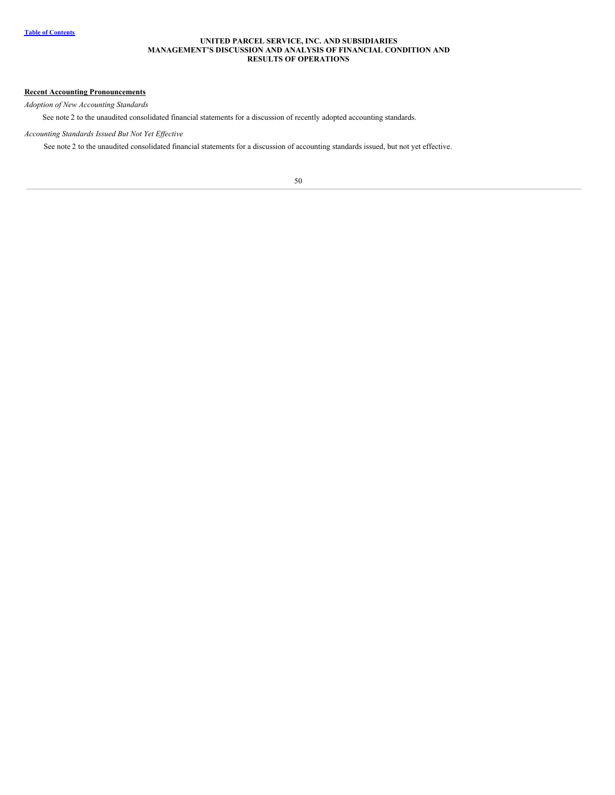# <span id="page-51-0"></span>**Recent Accounting Pronouncements**

*Adoption of New Accounting Standards*

See note 2 to the unaudited consolidated financial statements for a discussion of recently adopted accounting standards.

*Accounting Standards Issued But Not Yet Ef ective*

See note 2 to the unaudited consolidated financial statements for a discussion of accounting standards issued, but not yet effective.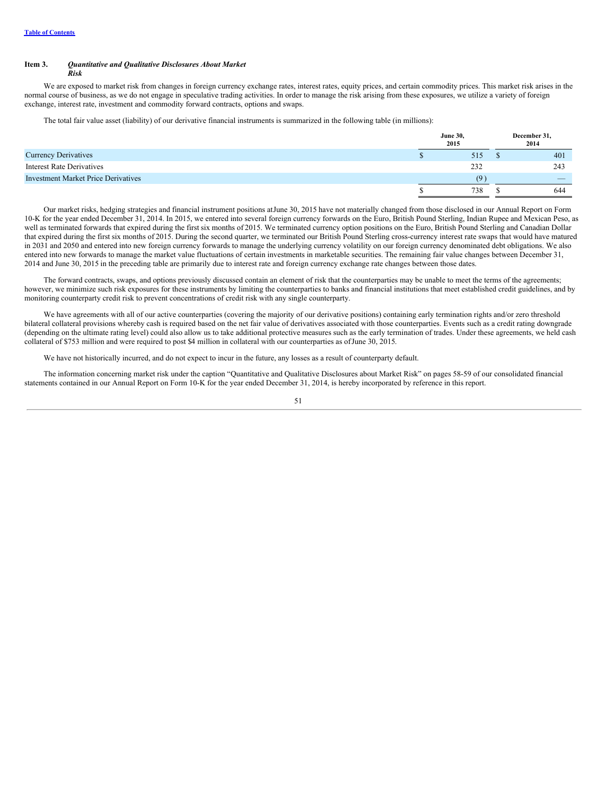#### <span id="page-52-0"></span>**Item 3.** *Quantitative and Qualitative Disclosures About Market Risk*

We are exposed to market risk from changes in foreign currency exchange rates, interest rates, equity prices, and certain commodity prices. This market risk arises in the normal course of business, as we do not engage in speculative trading activities. In order to manage the risk arising from these exposures, we utilize a variety of foreign exchange, interest rate, investment and commodity forward contracts, options and swaps.

The total fair value asset (liability) of our derivative financial instruments is summarized in the following table (in millions):

|                                            | <b>June 30,</b><br>2015 | December 31,<br>2014 |  |  |  |
|--------------------------------------------|-------------------------|----------------------|--|--|--|
| <b>Currency Derivatives</b>                | 515                     | 401                  |  |  |  |
| <b>Interest Rate Derivatives</b>           | 232                     | 243                  |  |  |  |
| <b>Investment Market Price Derivatives</b> | (9)                     |                      |  |  |  |
|                                            | 738                     | 644                  |  |  |  |

Our market risks, hedging strategies and financial instrument positions atJune 30, 2015 have not materially changed from those disclosed in our Annual Report on Form 10-K for the year ended December 31, 2014. In 2015, we entered into several foreign currency forwards on the Euro, British Pound Sterling, Indian Rupee and Mexican Peso, as well as terminated forwards that expired during the first six months of 2015. We terminated currency option positions on the Euro, British Pound Sterling and Canadian Dollar that expired during the first six months of 2015. During the second quarter, we terminated our British Pound Sterling cross-currency interest rate swaps that would have matured in 2031 and 2050 and entered into new foreign currency forwards to manage the underlying currency volatility on our foreign currency denominated debt obligations. We also entered into new forwards to manage the market value fluctuations of certain investments in marketable securities. The remaining fair value changes between December 31, 2014 and June 30, 2015 in the preceding table are primarily due to interest rate and foreign currency exchange rate changes between those dates.

The forward contracts, swaps, and options previously discussed contain an element of risk that the counterparties may be unable to meet the terms of the agreements; however, we minimize such risk exposures for these instruments by limiting the counterparties to banks and financial institutions that meet established credit guidelines, and by monitoring counterparty credit risk to prevent concentrations of credit risk with any single counterparty.

We have agreements with all of our active counterparties (covering the majority of our derivative positions) containing early termination rights and/or zero threshold bilateral collateral provisions whereby cash is required based on the net fair value of derivatives associated with those counterparties. Events such as a credit rating downgrade (depending on the ultimate rating level) could also allow us to take additional protective measures such as the early termination of trades. Under these agreements, we held cash collateral of \$753 million and were required to post \$4 million in collateral with our counterparties as ofJune 30, 2015.

We have not historically incurred, and do not expect to incur in the future, any losses as a result of counterparty default.

The information concerning market risk under the caption "Quantitative and Qualitative Disclosures about Market Risk" on pages 58-59 of our consolidated financial statements contained in our Annual Report on Form 10-K for the year ended December 31, 2014, is hereby incorporated by reference in this report.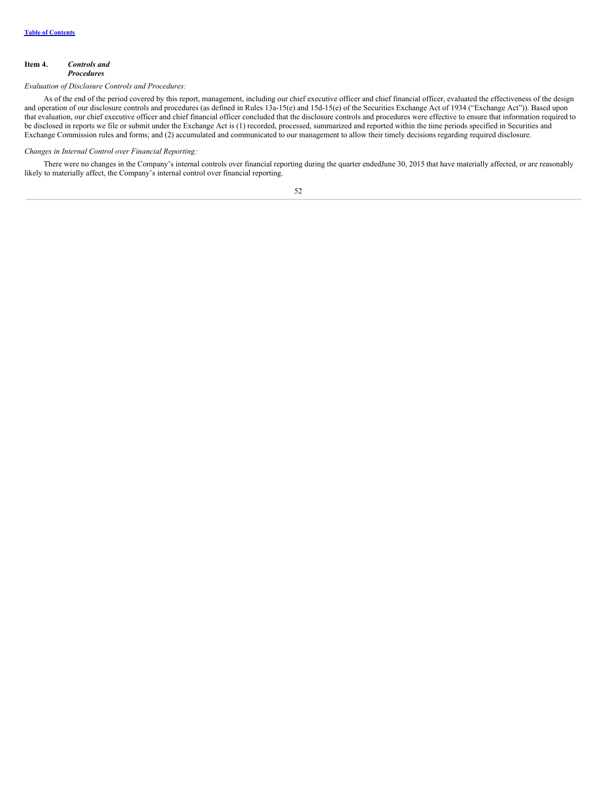### <span id="page-53-0"></span>**Item 4.** *Controls and Procedures*

#### *Evaluation of Disclosure Controls and Procedures:*

As of the end of the period covered by this report, management, including our chief executive officer and chief financial officer, evaluated the effectiveness of the design and operation of our disclosure controls and procedures (as defined in Rules 13a-15(e) and 15d-15(e) of the Securities Exchange Act of 1934 ("Exchange Act")). Based upon that evaluation, our chief executive officer and chief financial officer concluded that the disclosure controls and procedures were effective to ensure that information required to be disclosed in reports we file or submit under the Exchange Act is (1) recorded, processed, summarized and reported within the time periods specified in Securities and Exchange Commission rules and forms; and (2) accumulated and communicated to our management to allow their timely decisions regarding required disclosure.

### *Changes in Internal Control over Financial Reporting:*

There were no changes in the Company's internal controls over financial reporting during the quarter endedJune 30, 2015 that have materially affected, or are reasonably likely to materially affect, the Company's internal control over financial reporting.

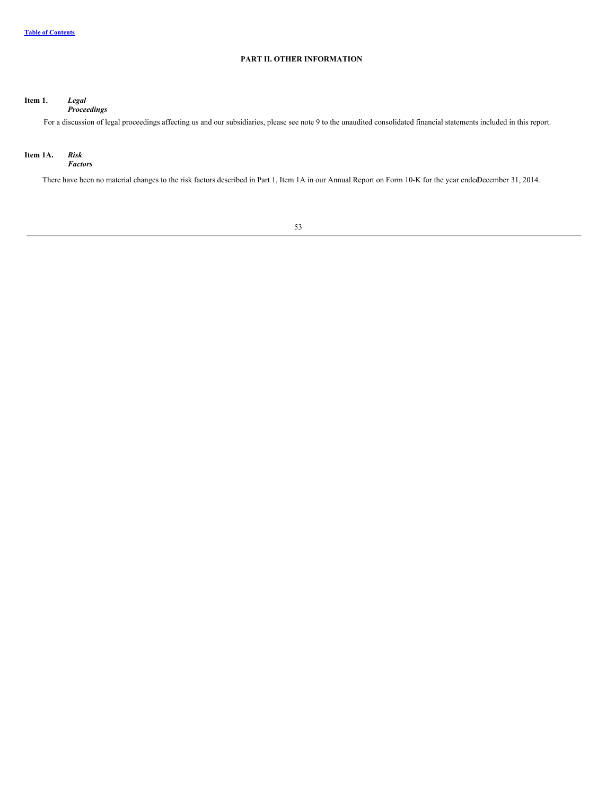# **PART II. OTHER INFORMATION**

# <span id="page-54-0"></span>**Item 1.** *Legal*

*Proceedings*

<span id="page-54-1"></span>For a discussion of legal proceedings affecting us and our subsidiaries, please see note 9 to the unaudited consolidated financial statements included in this report.

# **Item 1A.** *Risk*

# *Factors*

There have been no material changes to the risk factors described in Part 1, Item 1A in our Annual Report on Form 10-K for the year endedDecember 31, 2014.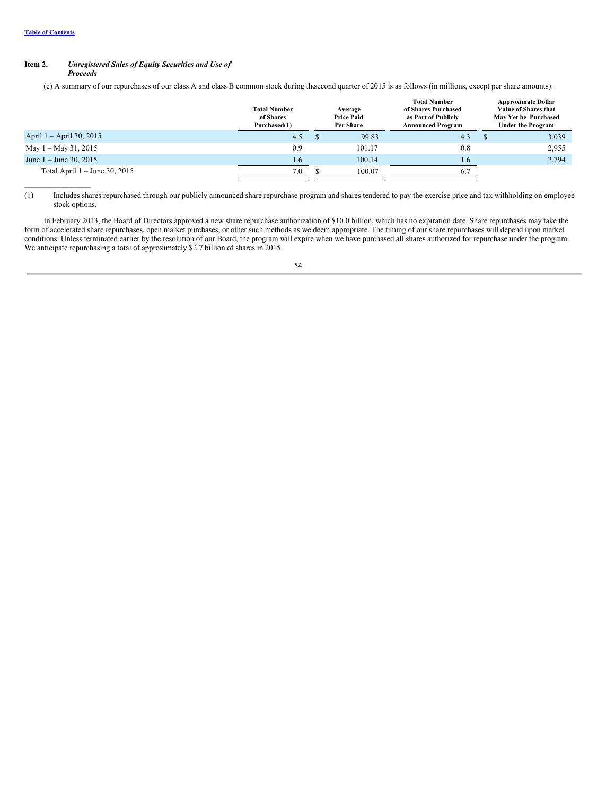# <span id="page-55-0"></span>**Item 2.** *Unregistered Sales of Equity Securities and Use of*

*Proceeds*

 $\mathcal{L}=\mathcal{L}^{\mathcal{L}}$  , where  $\mathcal{L}^{\mathcal{L}}$ 

(c) A summary of our repurchases of our class A and class B common stock during thesecond quarter of 2015 is as follows (in millions, except per share amounts):

|                                 | <b>Total Number</b><br>of Shares<br>Purchased(1) | Average<br><b>Price Paid</b><br>Per Share | <b>Total Number</b><br>of Shares Purchased<br>as Part of Publicly<br><b>Announced Program</b> | <b>Approximate Dollar</b><br>Value of Shares that<br>May Yet be Purchased<br><b>Under the Program</b> |       |  |
|---------------------------------|--------------------------------------------------|-------------------------------------------|-----------------------------------------------------------------------------------------------|-------------------------------------------------------------------------------------------------------|-------|--|
| April 1 – April 30, 2015        | 4.5                                              | 99.83                                     | 4.3                                                                                           |                                                                                                       | 3,039 |  |
| May $1 -$ May 31, 2015          | 0.9                                              | 101.17                                    | 0.8                                                                                           |                                                                                                       | 2,955 |  |
| June $1 -$ June 30, 2015        | 1.6                                              | 100.14                                    | 1.6                                                                                           |                                                                                                       | 2,794 |  |
| Total April $1 -$ June 30, 2015 | 7.0                                              | 100.07                                    | 6.7                                                                                           |                                                                                                       |       |  |
|                                 |                                                  |                                           |                                                                                               |                                                                                                       |       |  |

(1) Includes shares repurchased through our publicly announced share repurchase program and shares tendered to pay the exercise price and tax withholding on employee stock options.

In February 2013, the Board of Directors approved a new share repurchase authorization of \$10.0 billion, which has no expiration date. Share repurchases may take the form of accelerated share repurchases, open market purchases, or other such methods as we deem appropriate. The timing of our share repurchases will depend upon market conditions. Unless terminated earlier by the resolution of our Board, the program will expire when we have purchased all shares authorized for repurchase under the program. We anticipate repurchasing a total of approximately \$2.7 billion of shares in 2015.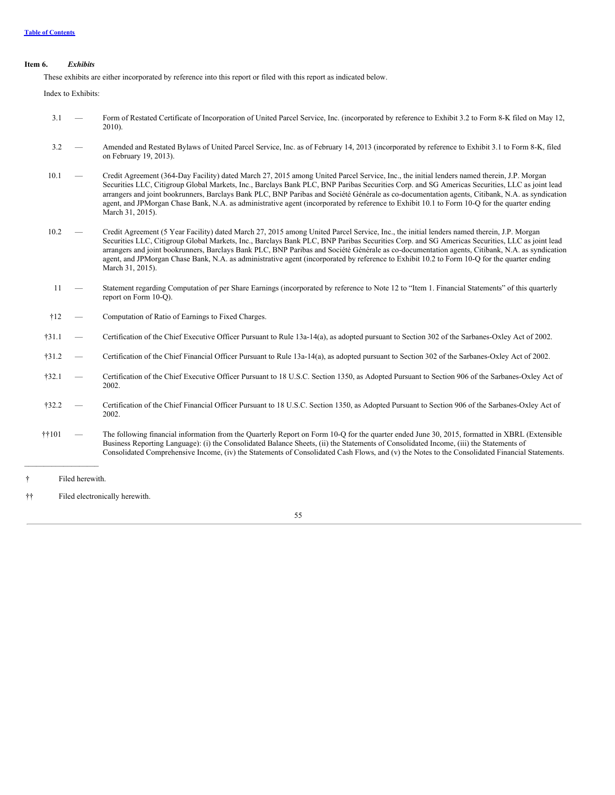#### <span id="page-56-0"></span>**Item 6.** *Exhibits*

These exhibits are either incorporated by reference into this report or filed with this report as indicated below.

Index to Exhibits:

| $3.1 -$ | Form of Restated Certificate of Incorporation of United Parcel Service, Inc. (incorporated by reference to Exhibit 3.2 to Form 8-K filed on May 12, |
|---------|-----------------------------------------------------------------------------------------------------------------------------------------------------|
|         | 2010).                                                                                                                                              |

- 3.2 Amended and Restated Bylaws of United Parcel Service, Inc. as of February 14, 2013 (incorporated by reference to Exhibit 3.1 to Form 8-K, filed on February 19, 2013).
- 10.1 Credit Agreement (364-Day Facility) dated March 27, 2015 among United Parcel Service, Inc., the initial lenders named therein, J.P. Morgan Securities LLC, Citigroup Global Markets, Inc., Barclays Bank PLC, BNP Paribas Securities Corp. and SG Americas Securities, LLC as joint lead arrangers and joint bookrunners, Barclays Bank PLC, BNP Paribas and Société Générale as co-documentation agents, Citibank, N.A. as syndication agent, and JPMorgan Chase Bank, N.A. as administrative agent (incorporated by reference to Exhibit 10.1 to Form 10-Q for the quarter ending March 31, 2015).
- 10.2 Credit Agreement (5 Year Facility) dated March 27, 2015 among United Parcel Service, Inc., the initial lenders named therein, J.P. Morgan Securities LLC, Citigroup Global Markets, Inc., Barclays Bank PLC, BNP Paribas Securities Corp. and SG Americas Securities, LLC as joint lead arrangers and joint bookrunners, Barclays Bank PLC, BNP Paribas and Société Générale as co-documentation agents, Citibank, N.A. as syndication agent, and JPMorgan Chase Bank, N.A. as administrative agent (incorporated by reference to Exhibit 10.2 to Form 10-Q for the quarter ending March 31, 2015).
- 11 Statement regarding Computation of per Share Earnings (incorporated by reference to Note 12 to "Item 1. Financial Statements" of this quarterly report on Form 10-Q).
- †12 Computation of Ratio of Earnings to Fixed Charges.
- †31.1 Certification of the Chief Executive Officer Pursuant to Rule 13a-14(a), as adopted pursuant to Section 302 of the Sarbanes-Oxley Act of 2002.
- †31.2 Certification of the Chief Financial Officer Pursuant to Rule 13a-14(a), as adopted pursuant to Section 302 of the Sarbanes-Oxley Act of 2002.
- †32.1 Certification of the Chief Executive Officer Pursuant to 18 U.S.C. Section 1350, as Adopted Pursuant to Section 906 of the Sarbanes-Oxley Act of 2002.
- †32.2 Certification of the Chief Financial Officer Pursuant to 18 U.S.C. Section 1350, as Adopted Pursuant to Section 906 of the Sarbanes-Oxley Act of 2002.

#### ††101 — The following financial information from the Quarterly Report on Form 10-Q for the quarter ended June 30, 2015, formatted in XBRL (Extensible Business Reporting Language): (i) the Consolidated Balance Sheets, (ii) the Statements of Consolidated Income, (iii) the Statements of Consolidated Comprehensive Income, (iv) the Statements of Consolidated Cash Flows, and (v) the Notes to the Consolidated Financial Statements.

 $\overline{\phantom{a}}$  , where  $\overline{\phantom{a}}$ † Filed herewith.

†† Filed electronically herewith.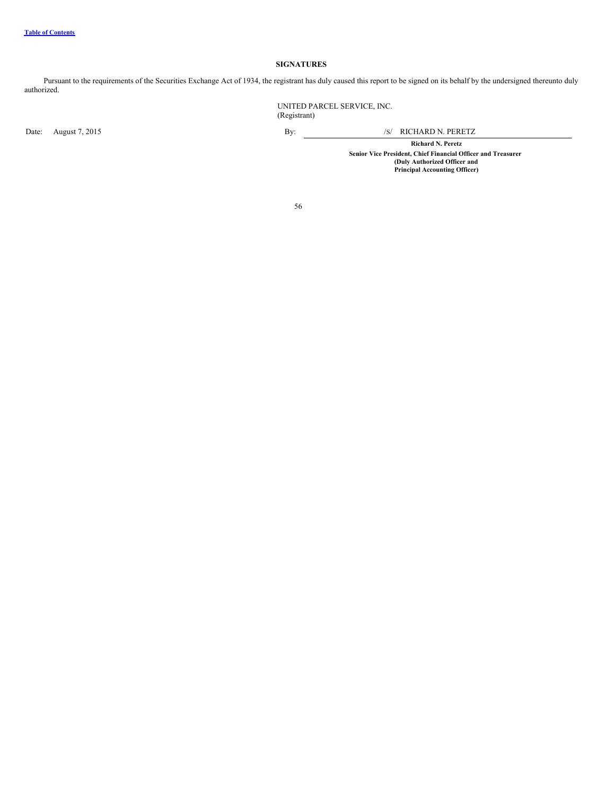# **SIGNATURES**

Pursuant to the requirements of the Securities Exchange Act of 1934, the registrant has duly caused this report to be signed on its behalf by the undersigned thereunto duly authorized.

> UNITED PARCEL SERVICE, INC. (Registrant)

Date: August 7, 2015 By: /S/ RICHARD N. PERETZ

**Richard N. Peretz**

**Senior Vice President, Chief Financial Officer and Treasurer (Duly Authorized Officer and Principal Accounting Officer)**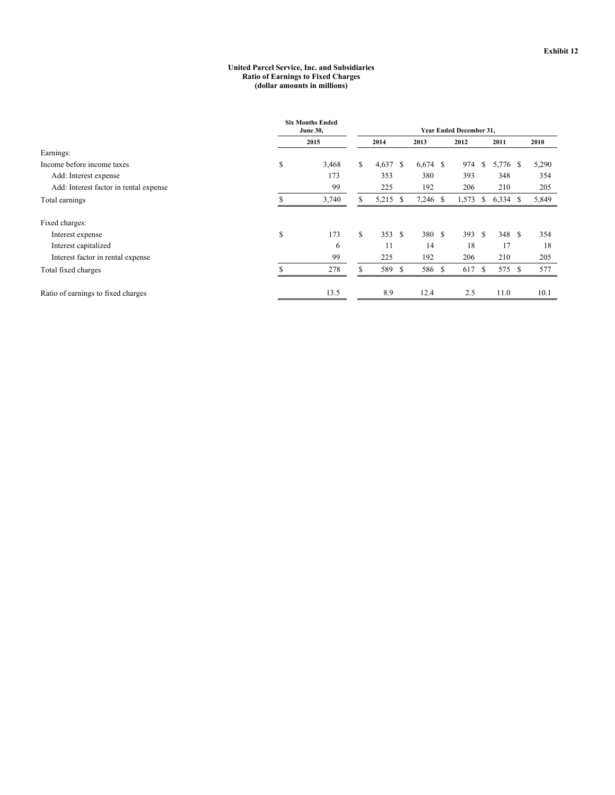#### **United Parcel Service, Inc. and Subsidiaries Ratio of Earnings to Fixed Charges (dollar amounts in millions)**

|                                        | <b>Six Months Ended</b><br><b>June 30,</b> |       |      | Year Ended December 31, |               |            |  |        |    |            |  |       |  |  |  |
|----------------------------------------|--------------------------------------------|-------|------|-------------------------|---------------|------------|--|--------|----|------------|--|-------|--|--|--|
|                                        | 2015                                       |       | 2014 |                         |               | 2013       |  | 2012   |    | 2011       |  | 2010  |  |  |  |
| Earnings:                              |                                            |       |      |                         |               |            |  |        |    |            |  |       |  |  |  |
| Income before income taxes             | \$                                         | 3,468 | \$   | 4,637                   | \$            | $6,674$ \$ |  | 974    | \$ | 5,776 \$   |  | 5,290 |  |  |  |
| Add: Interest expense                  |                                            | 173   |      | 353                     |               | 380        |  | 393    |    | 348        |  | 354   |  |  |  |
| Add: Interest factor in rental expense |                                            | 99    |      | 225                     |               | 192        |  | 206    |    | 210        |  | 205   |  |  |  |
| Total earnings                         |                                            | 3,740 | \$.  | 5,215 \$                |               | $7,246$ \$ |  | 1,573  | S  | $6,334$ \$ |  | 5,849 |  |  |  |
| Fixed charges:                         |                                            |       |      |                         |               |            |  |        |    |            |  |       |  |  |  |
| Interest expense                       | \$                                         | 173   | \$   | 353                     | <sup>\$</sup> | 380 \$     |  | 393S   |    | 348 \$     |  | 354   |  |  |  |
| Interest capitalized                   |                                            | 6     |      | 11                      |               | 14         |  | 18     |    | 17         |  | 18    |  |  |  |
| Interest factor in rental expense      |                                            | 99    |      | 225                     |               | 192        |  | 206    |    | 210        |  | 205   |  |  |  |
| Total fixed charges                    |                                            | 278   | S    | 589                     | <sup>\$</sup> | 586 \$     |  | 617 \$ |    | 575 \$     |  | 577   |  |  |  |
| Ratio of earnings to fixed charges     |                                            | 13.5  |      | 8.9                     |               | 12.4       |  | 2.5    |    | 11.0       |  | 10.1  |  |  |  |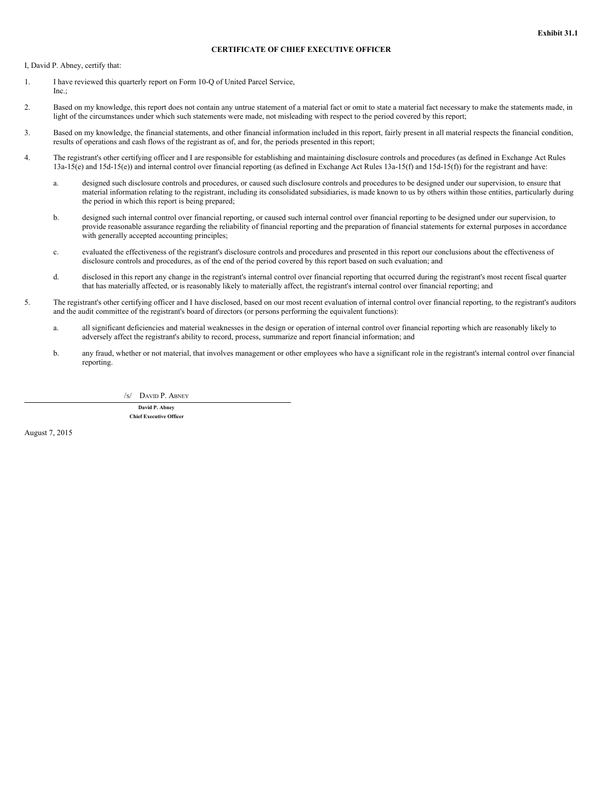# **CERTIFICATE OF CHIEF EXECUTIVE OFFICER**

#### I, David P. Abney, certify that:

- 1. I have reviewed this quarterly report on Form 10-Q of United Parcel Service, Inc.;
- 2. Based on my knowledge, this report does not contain any untrue statement of a material fact or omit to state a material fact necessary to make the statements made, in light of the circumstances under which such statements were made, not misleading with respect to the period covered by this report;
- 3. Based on my knowledge, the financial statements, and other financial information included in this report, fairly present in all material respects the financial condition, results of operations and cash flows of the registrant as of, and for, the periods presented in this report;
- 4. The registrant's other certifying officer and I are responsible for establishing and maintaining disclosure controls and procedures (as defined in Exchange Act Rules 13a-15(e) and 15d-15(e)) and internal control over financial reporting (as defined in Exchange Act Rules 13a-15(f) and 15d-15(f)) for the registrant and have:
	- a. designed such disclosure controls and procedures, or caused such disclosure controls and procedures to be designed under our supervision, to ensure that material information relating to the registrant, including its consolidated subsidiaries, is made known to us by others within those entities, particularly during the period in which this report is being prepared;
	- b. designed such internal control over financial reporting, or caused such internal control over financial reporting to be designed under our supervision, to provide reasonable assurance regarding the reliability of financial reporting and the preparation of financial statements for external purposes in accordance with generally accepted accounting principles;
	- c. evaluated the effectiveness of the registrant's disclosure controls and procedures and presented in this report our conclusions about the effectiveness of disclosure controls and procedures, as of the end of the period covered by this report based on such evaluation; and
	- d. disclosed in this report any change in the registrant's internal control over financial reporting that occurred during the registrant's most recent fiscal quarter that has materially affected, or is reasonably likely to materially affect, the registrant's internal control over financial reporting; and
- 5. The registrant's other certifying officer and I have disclosed, based on our most recent evaluation of internal control over financial reporting, to the registrant's auditors and the audit committee of the registrant's board of directors (or persons performing the equivalent functions):
	- a. all significant deficiencies and material weaknesses in the design or operation of internal control over financial reporting which are reasonably likely to adversely affect the registrant's ability to record, process, summarize and report financial information; and
	- b. any fraud, whether or not material, that involves management or other employees who have a significant role in the registrant's internal control over financial reporting.

/S/ DAVID P. ABNEY

**David P. Abney Chief Executive Officer**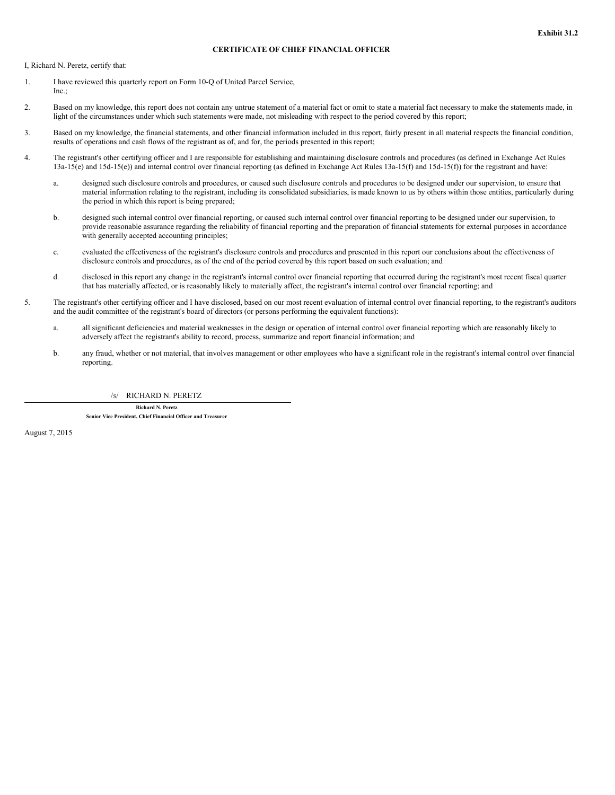# **CERTIFICATE OF CHIEF FINANCIAL OFFICER**

I, Richard N. Peretz, certify that:

- 1. I have reviewed this quarterly report on Form 10-Q of United Parcel Service, Inc.;
- 2. Based on my knowledge, this report does not contain any untrue statement of a material fact or omit to state a material fact necessary to make the statements made, in light of the circumstances under which such statements were made, not misleading with respect to the period covered by this report;
- 3. Based on my knowledge, the financial statements, and other financial information included in this report, fairly present in all material respects the financial condition, results of operations and cash flows of the registrant as of, and for, the periods presented in this report;
- 4. The registrant's other certifying officer and I are responsible for establishing and maintaining disclosure controls and procedures (as defined in Exchange Act Rules 13a-15(e) and 15d-15(e)) and internal control over financial reporting (as defined in Exchange Act Rules 13a-15(f) and 15d-15(f)) for the registrant and have:
	- a. designed such disclosure controls and procedures, or caused such disclosure controls and procedures to be designed under our supervision, to ensure that material information relating to the registrant, including its consolidated subsidiaries, is made known to us by others within those entities, particularly during the period in which this report is being prepared;
	- b. designed such internal control over financial reporting, or caused such internal control over financial reporting to be designed under our supervision, to provide reasonable assurance regarding the reliability of financial reporting and the preparation of financial statements for external purposes in accordance with generally accepted accounting principles;
	- c. evaluated the effectiveness of the registrant's disclosure controls and procedures and presented in this report our conclusions about the effectiveness of disclosure controls and procedures, as of the end of the period covered by this report based on such evaluation; and
	- d. disclosed in this report any change in the registrant's internal control over financial reporting that occurred during the registrant's most recent fiscal quarter that has materially affected, or is reasonably likely to materially affect, the registrant's internal control over financial reporting; and
- 5. The registrant's other certifying officer and I have disclosed, based on our most recent evaluation of internal control over financial reporting, to the registrant's auditors and the audit committee of the registrant's board of directors (or persons performing the equivalent functions):
	- a. all significant deficiencies and material weaknesses in the design or operation of internal control over financial reporting which are reasonably likely to adversely affect the registrant's ability to record, process, summarize and report financial information; and
	- b. any fraud, whether or not material, that involves management or other employees who have a significant role in the registrant's internal control over financial reporting.

/S/ RICHARD N. PERETZ

**Richard N. Peretz**

**Senior Vice President, Chief Financial Officer and Treasurer**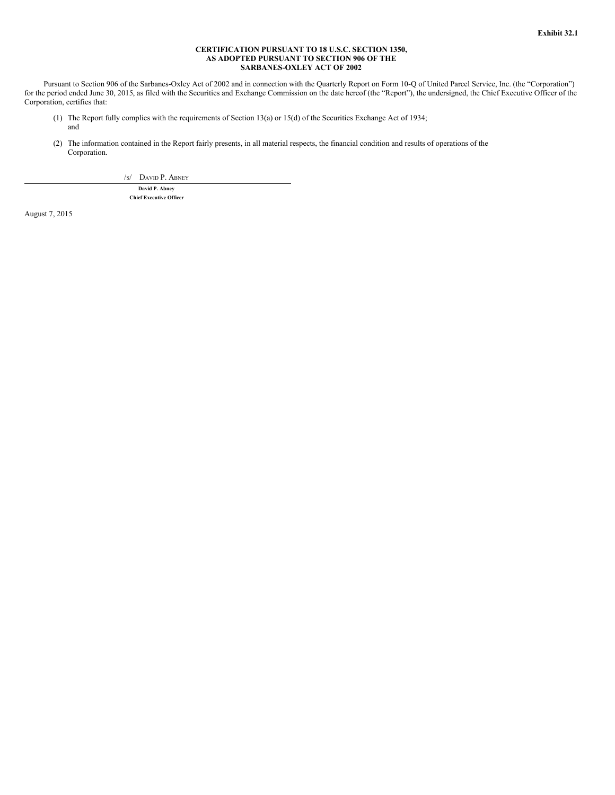### **CERTIFICATION PURSUANT TO 18 U.S.C. SECTION 1350, AS ADOPTED PURSUANT TO SECTION 906 OF THE SARBANES-OXLEY ACT OF 2002**

Pursuant to Section 906 of the Sarbanes-Oxley Act of 2002 and in connection with the Quarterly Report on Form 10-Q of United Parcel Service, Inc. (the "Corporation") for the period ended June 30, 2015, as filed with the Securities and Exchange Commission on the date hereof (the "Report"), the undersigned, the Chief Executive Officer of the Corporation, certifies that:

- (1) The Report fully complies with the requirements of Section 13(a) or 15(d) of the Securities Exchange Act of 1934; and
- (2) The information contained in the Report fairly presents, in all material respects, the financial condition and results of operations of the Corporation.

/S/ DAVID P. ABNEY

**David P. Abney Chief Executive Officer**